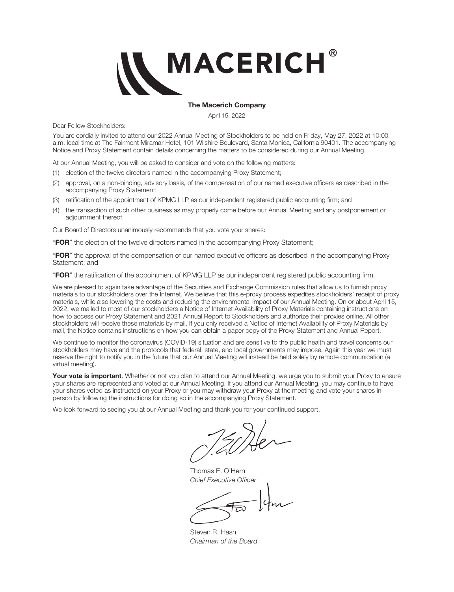

#### **The Macerich Company**

April 15, 2022

Dear Fellow Stockholders:

You are cordially invited to attend our 2022 Annual Meeting of Stockholders to be held on Friday, May 27, 2022 at 10:00 a.m. local time at The Fairmont Miramar Hotel, 101 Wilshire Boulevard, Santa Monica, California 90401. The accompanying Notice and Proxy Statement contain details concerning the matters to be considered during our Annual Meeting.

At our Annual Meeting, you will be asked to consider and vote on the following matters:

- (1) election of the twelve directors named in the accompanying Proxy Statement;
- (2) approval, on a non-binding, advisory basis, of the compensation of our named executive officers as described in the accompanying Proxy Statement;
- (3) ratification of the appointment of KPMG LLP as our independent registered public accounting firm; and
- (4) the transaction of such other business as may properly come before our Annual Meeting and any postponement or adiournment thereof.

Our Board of Directors unanimously recommends that you vote your shares:

"**FOR**" the election of the twelve directors named in the accompanying Proxy Statement;

"**FOR**" the approval of the compensation of our named executive officers as described in the accompanying Proxy Statement; and

"**FOR**" the ratification of the appointment of KPMG LLP as our independent registered public accounting firm.

We are pleased to again take advantage of the Securities and Exchange Commission rules that allow us to furnish proxy materials to our stockholders over the Internet. We believe that this e-proxy process expedites stockholders' receipt of proxy materials, while also lowering the costs and reducing the environmental impact of our Annual Meeting. On or about April 15, 2022, we mailed to most of our stockholders a Notice of Internet Availability of Proxy Materials containing instructions on how to access our Proxy Statement and 2021 Annual Report to Stockholders and authorize their proxies online. All other stockholders will receive these materials by mail. If you only received a Notice of Internet Availability of Proxy Materials by mail, the Notice contains instructions on how you can obtain a paper copy of the Proxy Statement and Annual Report.

We continue to monitor the coronavirus (COVID-19) situation and are sensitive to the public health and travel concerns our stockholders may have and the protocols that federal, state, and local governments may impose. Again this year we must reserve the right to notify you in the future that our Annual Meeting will instead be held solely by remote communication (a virtual meeting).

**Your vote is important**. Whether or not you plan to attend our Annual Meeting, we urge you to submit your Proxy to ensure your shares are represented and voted at our Annual Meeting. If you attend our Annual Meeting, you may continue to have your shares voted as instructed on your Proxy or you may withdraw your Proxy at the meeting and vote your shares in person by following the instructions for doing so in the accompanying Proxy Statement.

We look forward to seeing you at our Annual Meeting and thank you for your continued support.

Thomas E. O'Hern *Chief Executive Officer*

Steven R. Hash *Chairman of the Board*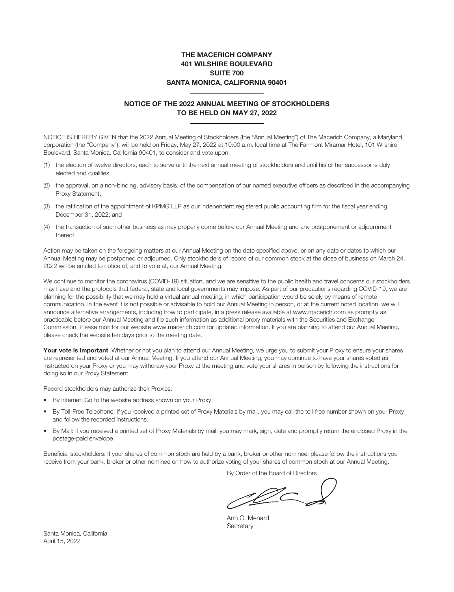#### **THE MACERICH COMPANY 401 WILSHIRE BOULEVARD SUITE 700 SANTA MONICA, CALIFORNIA 90401**

#### **NOTICE OF THE 2022 ANNUAL MEETING OF STOCKHOLDERS TO BE HELD ON MAY 27, 2022**

NOTICE IS HEREBY GIVEN that the 2022 Annual Meeting of Stockholders (the "Annual Meeting") of The Macerich Company, a Maryland corporation (the "Company"), will be held on Friday, May 27, 2022 at 10:00 a.m. local time at The Fairmont Miramar Hotel, 101 Wilshire Boulevard, Santa Monica, California 90401, to consider and vote upon:

- (1) the election of twelve directors, each to serve until the next annual meeting of stockholders and until his or her successor is duly elected and qualifies;
- (2) the approval, on a non-binding, advisory basis, of the compensation of our named executive officers as described in the accompanying Proxy Statement;
- (3) the ratification of the appointment of KPMG LLP as our independent registered public accounting firm for the fiscal year ending December 31, 2022; and
- (4) the transaction of such other business as may properly come before our Annual Meeting and any postponement or adjournment thereof.

Action may be taken on the foregoing matters at our Annual Meeting on the date specified above, or on any date or dates to which our Annual Meeting may be postponed or adjourned. Only stockholders of record of our common stock at the close of business on March 24, 2022 will be entitled to notice of, and to vote at, our Annual Meeting.

We continue to monitor the coronavirus (COVID-19) situation, and we are sensitive to the public health and travel concerns our stockholders may have and the protocols that federal, state and local governments may impose. As part of our precautions regarding COVID-19, we are planning for the possibility that we may hold a virtual annual meeting, in which participation would be solely by means of remote communication. In the event it is not possible or advisable to hold our Annual Meeting in person, or at the current noted location, we will announce alternative arrangements, including how to participate, in a press release available at www.macerich.com as promptly as practicable before our Annual Meeting and file such information as additional proxy materials with the Securities and Exchange Commission. Please monitor our website www.macerich.com for updated information. If you are planning to attend our Annual Meeting, please check the website ten days prior to the meeting date.

Your vote is important. Whether or not you plan to attend our Annual Meeting, we urge you to submit your Proxy to ensure your shares are represented and voted at our Annual Meeting. If you attend our Annual Meeting, you may continue to have your shares voted as instructed on your Proxy or you may withdraw your Proxy at the meeting and vote your shares in person by following the instructions for doing so in our Proxy Statement.

Record stockholders may authorize their Proxies:

- By Internet: Go to the website address shown on your Proxy.
- By Toll-Free Telephone: If you received a printed set of Proxy Materials by mail, you may call the toll-free number shown on your Proxy and follow the recorded instructions.
- By Mail: If you received a printed set of Proxy Materials by mail, you may mark, sign, date and promptly return the enclosed Proxy in the postage-paid envelope.

Beneficial stockholders: If your shares of common stock are held by a bank, broker or other nominee, please follow the instructions you receive from your bank, broker or other nominee on how to authorize voting of your shares of common stock at our Annual Meeting.

By Order of the Board of Directors

<u> 10</u>

Ann C. Menard **Secretary** 

Santa Monica, California April 15, 2022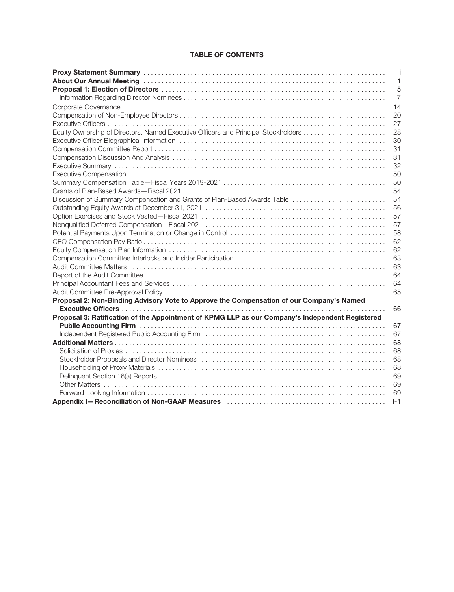### **TABLE OF CONTENTS**

|                                                                                                                                                                                                                                | j              |
|--------------------------------------------------------------------------------------------------------------------------------------------------------------------------------------------------------------------------------|----------------|
| About Our Annual Meeting (and accommodation of the control of the control of the control of the control of the                                                                                                                 | 1              |
|                                                                                                                                                                                                                                | 5              |
|                                                                                                                                                                                                                                | $\overline{7}$ |
|                                                                                                                                                                                                                                | 14             |
|                                                                                                                                                                                                                                | 20             |
|                                                                                                                                                                                                                                | 27             |
|                                                                                                                                                                                                                                | 28             |
| Executive Officer Biographical Information (all accommodation of the control of the officer Biographical Information (b) and the control of the control of the control of the control of the control of the control of the con | 30             |
|                                                                                                                                                                                                                                | 31             |
|                                                                                                                                                                                                                                | 31             |
|                                                                                                                                                                                                                                | 32             |
|                                                                                                                                                                                                                                | 50             |
|                                                                                                                                                                                                                                | 50             |
|                                                                                                                                                                                                                                | 54             |
| Discussion of Summary Compensation and Grants of Plan-Based Awards Table                                                                                                                                                       | 54             |
|                                                                                                                                                                                                                                | 56             |
|                                                                                                                                                                                                                                | 57             |
|                                                                                                                                                                                                                                | 57             |
|                                                                                                                                                                                                                                | 58             |
|                                                                                                                                                                                                                                | 62             |
|                                                                                                                                                                                                                                | 62             |
|                                                                                                                                                                                                                                | 63             |
|                                                                                                                                                                                                                                | 63             |
|                                                                                                                                                                                                                                | 64             |
|                                                                                                                                                                                                                                | 64             |
|                                                                                                                                                                                                                                | 65             |
| Proposal 2: Non-Binding Advisory Vote to Approve the Compensation of our Company's Named                                                                                                                                       |                |
|                                                                                                                                                                                                                                | 66             |
| Proposal 3: Ratification of the Appointment of KPMG LLP as our Company's Independent Registered                                                                                                                                |                |
|                                                                                                                                                                                                                                | 67             |
|                                                                                                                                                                                                                                | 67             |
|                                                                                                                                                                                                                                | 68             |
|                                                                                                                                                                                                                                | 68             |
|                                                                                                                                                                                                                                | 68             |
|                                                                                                                                                                                                                                | 68             |
| Delinquent Section 16(a) Reports (a) and a contract of the contract of the property of the contract of the contract of the contract of the contract of the contract of the contract of the contract of the contract of the con | 69             |
|                                                                                                                                                                                                                                | 69             |
|                                                                                                                                                                                                                                | 69             |
|                                                                                                                                                                                                                                | $I-1$          |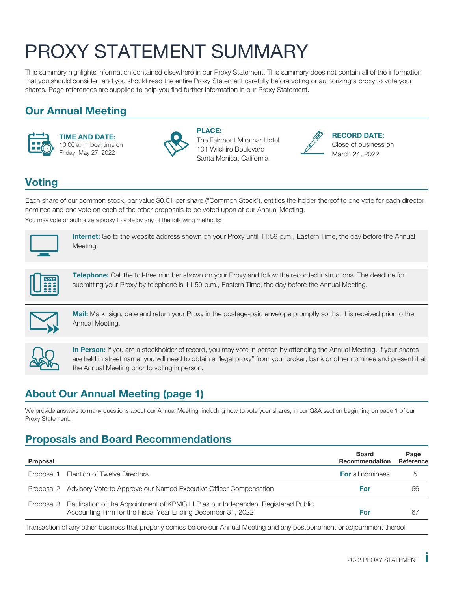# <span id="page-3-0"></span>PROXY STATEMENT SUMMARY

This summary highlights information contained elsewhere in our Proxy Statement. This summary does not contain all of the information that you should consider, and you should read the entire Proxy Statement carefully before voting or authorizing a proxy to vote your shares. Page references are supplied to help you find further information in our Proxy Statement.

## **Our Annual Meeting**



**TIME AND DATE:** 10:00 a.m. local time on Friday, May 27, 2022



**PLACE:** The Fairmont Miramar Hotel 101 Wilshire Boulevard Santa Monica, California



**RECORD DATE:** Close of business on March 24, 2022

## **Voting**

Each share of our common stock, par value \$0.01 per share ("Common Stock"), entitles the holder thereof to one vote for each director nominee and one vote on each of the other proposals to be voted upon at our Annual Meeting. You may vote or authorize a proxy to vote by any of the following methods:



**Internet:** Go to the website address shown on your Proxy until 11:59 p.m., Eastern Time, the day before the Annual Meeting.



**Telephone:** Call the toll-free number shown on your Proxy and follow the recorded instructions. The deadline for submitting your Proxy by telephone is 11:59 p.m., Eastern Time, the day before the Annual Meeting.



**Mail:** Mark, sign, date and return your Proxy in the postage-paid envelope promptly so that it is received prior to the Annual Meeting.



**In Person:** If you are a stockholder of record, you may vote in person by attending the Annual Meeting. If your shares are held in street name, you will need to obtain a "legal proxy" from your broker, bank or other nominee and present it at the Annual Meeting prior to voting in person.

## **About Our Annual Meeting (page 1)**

We provide answers to many questions about our Annual Meeting, including how to vote your shares, in our Q&A section beginning on page 1 of our Proxy Statement.

## **Proposals and Board Recommendations**

| Proposal   |                                                                                                                                                  | <b>Board</b><br><b>Recommendation</b> | Page<br>Reference |
|------------|--------------------------------------------------------------------------------------------------------------------------------------------------|---------------------------------------|-------------------|
| Proposal 1 | Election of Twelve Directors                                                                                                                     | <b>For</b> all nominees               | G                 |
|            | Proposal 2 Advisory Vote to Approve our Named Executive Officer Compensation                                                                     | For                                   | 66                |
| Proposal 3 | Ratification of the Appointment of KPMG LLP as our Independent Registered Public<br>Accounting Firm for the Fiscal Year Ending December 31, 2022 | For                                   | 67                |
|            | Transaction of any other business that properly comes before our Annual Meeting and any postponement or adjournment thereof                      |                                       |                   |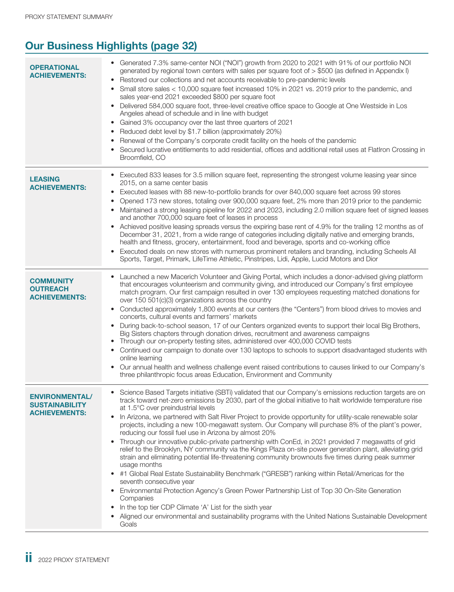## **Our Business Highlights (page 32)**

| <b>OPERATIONAL</b><br><b>ACHIEVEMENTS:</b>                             | • Generated 7.3% same-center NOI ("NOI") growth from 2020 to 2021 with 91% of our portfolio NOI<br>generated by regional town centers with sales per square foot of > \$500 (as defined in Appendix I)<br>Restored our collections and net accounts receivable to pre-pandemic levels<br>Small store sales < 10,000 square feet increased 10% in 2021 vs. 2019 prior to the pandemic, and<br>sales year-end 2021 exceeded \$800 per square foot<br>Delivered 584,000 square foot, three-level creative office space to Google at One Westside in Los<br>$\bullet$<br>Angeles ahead of schedule and in line with budget<br>• Gained 3% occupancy over the last three quarters of 2021<br>Reduced debt level by \$1.7 billion (approximately 20%)<br>Renewal of the Company's corporate credit facility on the heels of the pandemic<br>Secured lucrative entitlements to add residential, offices and additional retail uses at FlatIron Crossing in<br>Broomfield, CO                                                                                                                                                                                                                                                                                                                                                                                       |
|------------------------------------------------------------------------|-------------------------------------------------------------------------------------------------------------------------------------------------------------------------------------------------------------------------------------------------------------------------------------------------------------------------------------------------------------------------------------------------------------------------------------------------------------------------------------------------------------------------------------------------------------------------------------------------------------------------------------------------------------------------------------------------------------------------------------------------------------------------------------------------------------------------------------------------------------------------------------------------------------------------------------------------------------------------------------------------------------------------------------------------------------------------------------------------------------------------------------------------------------------------------------------------------------------------------------------------------------------------------------------------------------------------------------------------------------|
| <b>LEASING</b><br><b>ACHIEVEMENTS:</b>                                 | Executed 833 leases for 3.5 million square feet, representing the strongest volume leasing year since<br>$\bullet$<br>2015, on a same center basis<br>Executed leases with 88 new-to-portfolio brands for over 840,000 square feet across 99 stores<br>٠<br>Opened 173 new stores, totaling over 900,000 square feet, 2% more than 2019 prior to the pandemic<br>• Maintained a strong leasing pipeline for 2022 and 2023, including 2.0 million square feet of signed leases<br>and another 700,000 square feet of leases in process<br>Achieved positive leasing spreads versus the expiring base rent of 4.9% for the trailing 12 months as of<br>December 31, 2021, from a wide range of categories including digitally native and emerging brands,<br>health and fitness, grocery, entertainment, food and beverage, sports and co-working office<br>Executed deals on new stores with numerous prominent retailers and branding, including Scheels All<br>$\bullet$<br>Sports, Target, Primark, LifeTime Athletic, Pinstripes, Lidi, Apple, Lucid Motors and Dior                                                                                                                                                                                                                                                                                     |
| <b>COMMUNITY</b><br><b>OUTREACH</b><br><b>ACHIEVEMENTS:</b>            | Launched a new Macerich Volunteer and Giving Portal, which includes a donor-advised giving platform<br>that encourages volunteerism and community giving, and introduced our Company's first employee<br>match program. Our first campaign resulted in over 130 employees requesting matched donations for<br>over 150 501(c)(3) organizations across the country<br>Conducted approximately 1,800 events at our centers (the "Centers") from blood drives to movies and<br>$\bullet$<br>concerts, cultural events and farmers' markets<br>During back-to-school season, 17 of our Centers organized events to support their local Big Brothers,<br>$\bullet$<br>Big Sisters chapters through donation drives, recruitment and awareness campaigns<br>Through our on-property testing sites, administered over 400,000 COVID tests<br>Continued our campaign to donate over 130 laptops to schools to support disadvantaged students with<br>online learning<br>Our annual health and wellness challenge event raised contributions to causes linked to our Company's<br>$\bullet$<br>three philanthropic focus areas Education, Environment and Community                                                                                                                                                                                                  |
| <b>ENVIRONMENTAL/</b><br><b>SUSTAINABILITY</b><br><b>ACHIEVEMENTS:</b> | Science Based Targets initiative (SBTi) validated that our Company's emissions reduction targets are on<br>track toward net-zero emissions by 2030, part of the global initiative to halt worldwide temperature rise<br>at 1.5°C over preindustrial levels<br>In Arizona, we partnered with Salt River Project to provide opportunity for utility-scale renewable solar<br>$\bullet$<br>projects, including a new 100-megawatt system. Our Company will purchase 8% of the plant's power,<br>reducing our fossil fuel use in Arizona by almost 20%<br>Through our innovative public-private partnership with ConEd, in 2021 provided 7 megawatts of grid<br>$\bullet$<br>relief to the Brooklyn, NY community via the Kings Plaza on-site power generation plant, alleviating grid<br>strain and eliminating potential life-threatening community brownouts five times during peak summer<br>usage months<br>#1 Global Real Estate Sustainability Benchmark ("GRESB") ranking within Retail/Americas for the<br>$\bullet$<br>seventh consecutive year<br>Environmental Protection Agency's Green Power Partnership List of Top 30 On-Site Generation<br>$\bullet$<br>Companies<br>In the top tier CDP Climate 'A' List for the sixth year<br>Aligned our environmental and sustainability programs with the United Nations Sustainable Development<br>Goals |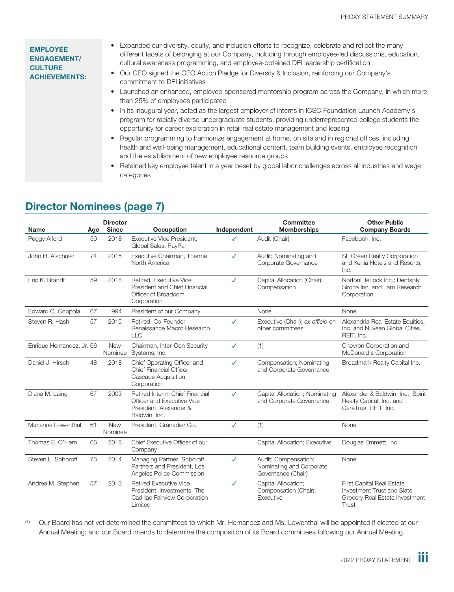| <b>EMPLOYEE</b><br><b>ENGAGEMENT/</b><br><b>CULTURE</b><br><b>ACHIEVEMENTS:</b> | Expanded our diversity, equity, and inclusion efforts to recognize, celebrate and reflect the many<br>different facets of belonging at our Company, including through employee-led discussions, education,<br>cultural awareness programming, and employee-obtained DEI leadership certification<br>• Our CEO signed the CEO Action Pledge for Diversity & Inclusion, reinforcing our Company's<br>commitment to DEI initiatives |
|---------------------------------------------------------------------------------|----------------------------------------------------------------------------------------------------------------------------------------------------------------------------------------------------------------------------------------------------------------------------------------------------------------------------------------------------------------------------------------------------------------------------------|
|                                                                                 | • Launched an enhanced, employee-sponsored mentorship program across the Company, in which more<br>than 25% of employees participated                                                                                                                                                                                                                                                                                            |
|                                                                                 | In its inaugural year, acted as the largest employer of interns in ICSC Foundation Launch Academy's<br>program for racially diverse undergraduate students, providing underrepresented college students the<br>opportunity for career exploration in retail real estate management and leasing                                                                                                                                   |
|                                                                                 | • Regular programming to harmonize engagement at home, on site and in regional offices, including<br>health and well-being management, educational content, team building events, employee recognition<br>and the establishment of new employee resource groups                                                                                                                                                                  |
|                                                                                 | Retained key employee talent in a year beset by global labor challenges across all industries and wage<br>categories                                                                                                                                                                                                                                                                                                             |

#### **Name Age Director Occupation** Independent **Committee Memberships Other Public Company Boards** Peggy Alford 50 2018 Executive Vice President, Global Sales, PayPal ✓ Audit (Chair) Facebook, Inc. John H. Alschuler 74 2015 Executive Chairman, Therme North America ✓ Audit; Nominating and Corporate Governance SL Green Realty Corporation and Xenia Hotels and Resorts, Inc. Eric K. Brandt 59 2018 Retired, Executive Vice President and Chief Financial Officer of Broadcom Corporation ✓ Capital Allocation (Chair); **Compensation** NortonLifeLock Inc.; Dentsply Sirona Inc. and Lam Research Corporation Edward C. Coppola 67 1994 President of our Company None None None None Steven R. Hash 57 2015 Retired, Co-Founder Renaissance Macro Research, LLC ✓ Executive (Chair); *ex officio* on other committees Alexandria Real Estate Equities, Inc. and Nuveen Global Cities REIT, Inc. Enrique Hernandez, Jr. 66 New Nominee Systems, Inc. Chairman, Inter-Con Security ✓ (1) Chevron Corporation and McDonald's Corporation Daniel J. Hirsch 48 2018 Chief Operating Officer and Chief Financial Officer, Cascade Acquisition **Corporation** ✓ Compensation; Nominating and Corporate Governance Broadmark Realty Capital Inc. Diana M. Laing 67 2003 Retired Interim Chief Financial Officer and Executive Vice President, Alexander & Baldwin, Inc. ✓ Capital Allocation; Nominating and Corporate Governance Alexander & Baldwin, Inc.; Spirit Realty Capital, Inc. and CareTrust REIT, Inc. Marianne Lowenthal 61 New Nominee President, Granadier Co. ✓ (1) None Thomas E. O'Hern 66 2018 Chief Executive Officer of our **Company** Capital Allocation; Executive Douglas Emmett, Inc. Steven L. Soboroff 73 2014 Managing Partner, Soboroff Partners and President, Los Angeles Police Commission ✓ Audit; Compensation; Nominating and Corporate Governance (Chair) None Andrea M. Stephen 57 2013 Retired Executive Vice President, Investments, The Cadillac Fairview Corporation Limited ✓ Capital Allocation; Compensation (Chair); **Executive** First Capital Real Estate Investment Trust and Slate Grocery Real Estate Investment **Trust**

## **Director Nominees (page 7)**

(1) Our Board has not yet determined the committees to which Mr. Hernandez and Ms. Lowenthal will be appointed if elected at our Annual Meeting; and our Board intends to determine the composition of its Board committees following our Annual Meeting.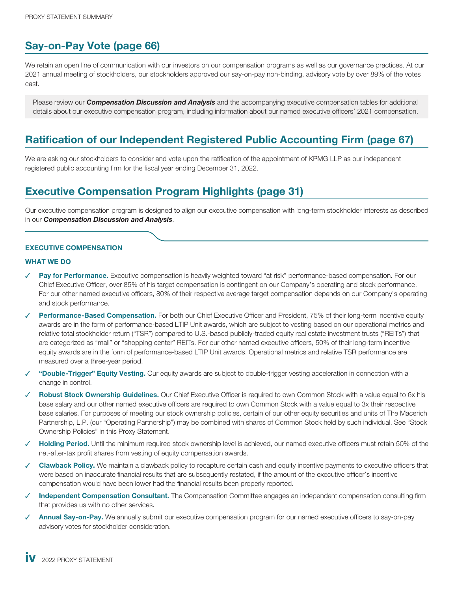## **Say-on-Pay Vote (page 66)**

We retain an open line of communication with our investors on our compensation programs as well as our governance practices. At our 2021 annual meeting of stockholders, our stockholders approved our say-on-pay non-binding, advisory vote by over 89% of the votes cast.

Please review our *Compensation Discussion and Analysis* and the accompanying executive compensation tables for additional details about our executive compensation program, including information about our named executive officers' 2021 compensation.

## **Ratification of our Independent Registered Public Accounting Firm (page 67)**

We are asking our stockholders to consider and vote upon the ratification of the appointment of KPMG LLP as our independent registered public accounting firm for the fiscal year ending December 31, 2022.

## **Executive Compensation Program Highlights (page 31)**

Our executive compensation program is designed to align our executive compensation with long-term stockholder interests as described in our *Compensation Discussion and Analysis*.

#### **EXECUTIVE COMPENSATION**

#### **WHAT WE DO**

- Pay for Performance. Executive compensation is heavily weighted toward "at risk" performance-based compensation. For our Chief Executive Officer, over 85% of his target compensation is contingent on our Company's operating and stock performance. For our other named executive officers, 80% of their respective average target compensation depends on our Company's operating and stock performance.
- **Performance-Based Compensation.** For both our Chief Executive Officer and President, 75% of their long-term incentive equity awards are in the form of performance-based LTIP Unit awards, which are subject to vesting based on our operational metrics and relative total stockholder return ("TSR") compared to U.S.-based publicly-traded equity real estate investment trusts ("REITs") that are categorized as "mall" or "shopping center" REITs. For our other named executive officers, 50% of their long-term incentive equity awards are in the form of performance-based LTIP Unit awards. Operational metrics and relative TSR performance are measured over a three-year period.
- ✓ **"Double-Trigger" Equity Vesting.** Our equity awards are subject to double-trigger vesting acceleration in connection with a change in control.
- **Robust Stock Ownership Guidelines.** Our Chief Executive Officer is required to own Common Stock with a value equal to 6x his base salary and our other named executive officers are required to own Common Stock with a value equal to 3x their respective base salaries. For purposes of meeting our stock ownership policies, certain of our other equity securities and units of The Macerich Partnership, L.P. (our "Operating Partnership") may be combined with shares of Common Stock held by such individual. See "Stock Ownership Policies" in this Proxy Statement.
- **Holding Period.** Until the minimum required stock ownership level is achieved, our named executive officers must retain 50% of the net-after-tax profit shares from vesting of equity compensation awards.
- **Clawback Policy.** We maintain a clawback policy to recapture certain cash and equity incentive payments to executive officers that were based on inaccurate financial results that are subsequently restated, if the amount of the executive officer's incentive compensation would have been lower had the financial results been properly reported.
- ✓ **Independent Compensation Consultant.** The Compensation Committee engages an independent compensation consulting firm that provides us with no other services.
- ✓ **Annual Say-on-Pay.** We annually submit our executive compensation program for our named executive officers to say-on-pay advisory votes for stockholder consideration.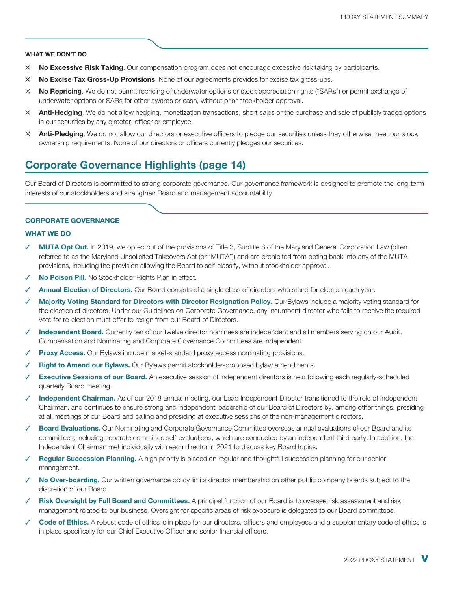#### **WHAT WE DON'T DO**

- ✕ **No Excessive Risk Taking**. Our compensation program does not encourage excessive risk taking by participants.
- ✕ **No Excise Tax Gross-Up Provisions**. None of our agreements provides for excise tax gross-ups.
- ✕ **No Repricing**. We do not permit repricing of underwater options or stock appreciation rights ("SARs") or permit exchange of underwater options or SARs for other awards or cash, without prior stockholder approval.
- ✕ **Anti-Hedging**. We do not allow hedging, monetization transactions, short sales or the purchase and sale of publicly traded options in our securities by any director, officer or employee.
- ✕ **Anti-Pledging**. We do not allow our directors or executive officers to pledge our securities unless they otherwise meet our stock ownership requirements. None of our directors or officers currently pledges our securities.

## **Corporate Governance Highlights (page 14)**

Our Board of Directors is committed to strong corporate governance. Our governance framework is designed to promote the long-term interests of our stockholders and strengthen Board and management accountability.

#### **CORPORATE GOVERNANCE**

#### **WHAT WE DO**

- **MUTA Opt Out.** In 2019, we opted out of the provisions of Title 3, Subtitle 8 of the Maryland General Corporation Law (often referred to as the Maryland Unsolicited Takeovers Act (or "MUTA")) and are prohibited from opting back into any of the MUTA provisions, including the provision allowing the Board to self-classify, without stockholder approval.
- **No Poison Pill.** No Stockholder Rights Plan in effect.
- Annual Election of Directors. Our Board consists of a single class of directors who stand for election each year.
- Majority Voting Standard for Directors with Director Resignation Policy. Our Bylaws include a majority voting standard for the election of directors. Under our Guidelines on Corporate Governance, any incumbent director who fails to receive the required vote for re-election must offer to resign from our Board of Directors.
- Independent Board. Currently ten of our twelve director nominees are independent and all members serving on our Audit, Compensation and Nominating and Corporate Governance Committees are independent.
- **Proxy Access.** Our Bylaws include market-standard proxy access nominating provisions.
- **Right to Amend our Bylaws.** Our Bylaws permit stockholder-proposed bylaw amendments.
- **Executive Sessions of our Board.** An executive session of independent directors is held following each regularly-scheduled quarterly Board meeting.
- Independent Chairman. As of our 2018 annual meeting, our Lead Independent Director transitioned to the role of Independent Chairman, and continues to ensure strong and independent leadership of our Board of Directors by, among other things, presiding at all meetings of our Board and calling and presiding at executive sessions of the non-management directors.
- ✓ **Board Evaluations.** Our Nominating and Corporate Governance Committee oversees annual evaluations of our Board and its committees, including separate committee self-evaluations, which are conducted by an independent third party. In addition, the Independent Chairman met individually with each director in 2021 to discuss key Board topics.
- **Regular Succession Planning.** A high priority is placed on regular and thoughtful succession planning for our senior management.
- No Over-boarding. Our written governance policy limits director membership on other public company boards subject to the discretion of our Board.
- **Risk Oversight by Full Board and Committees.** A principal function of our Board is to oversee risk assessment and risk management related to our business. Oversight for specific areas of risk exposure is delegated to our Board committees.
- Code of Ethics. A robust code of ethics is in place for our directors, officers and employees and a supplementary code of ethics is in place specifically for our Chief Executive Officer and senior financial officers.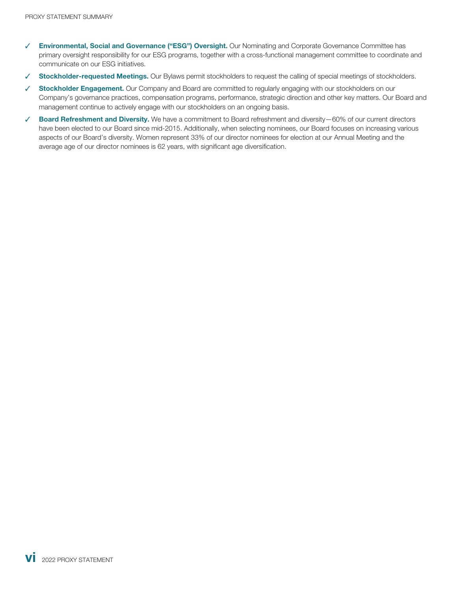- ✓ **Environmental, Social and Governance ("ESG") Oversight.** Our Nominating and Corporate Governance Committee has primary oversight responsibility for our ESG programs, together with a cross-functional management committee to coordinate and communicate on our ESG initiatives.
- ✓ **Stockholder-requested Meetings.** Our Bylaws permit stockholders to request the calling of special meetings of stockholders.
- ✓ **Stockholder Engagement.** Our Company and Board are committed to regularly engaging with our stockholders on our Company's governance practices, compensation programs, performance, strategic direction and other key matters. Our Board and management continue to actively engage with our stockholders on an ongoing basis.
- ✓ **Board Refreshment and Diversity.** We have a commitment to Board refreshment and diversity—60% of our current directors have been elected to our Board since mid-2015. Additionally, when selecting nominees, our Board focuses on increasing various aspects of our Board's diversity. Women represent 33% of our director nominees for election at our Annual Meeting and the average age of our director nominees is 62 years, with significant age diversification.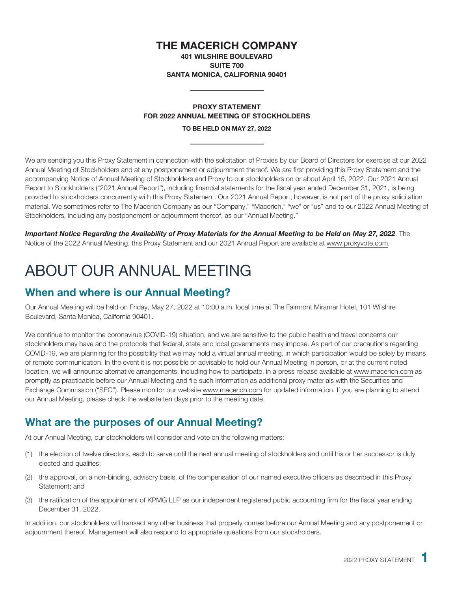## **THE MACERICH COMPANY**

**401 WILSHIRE BOULEVARD SUITE 700 SANTA MONICA, CALIFORNIA 90401**

## **PROXY STATEMENT FOR 2022 ANNUAL MEETING OF STOCKHOLDERS**

**TO BE HELD ON MAY 27, 2022**

We are sending you this Proxy Statement in connection with the solicitation of Proxies by our Board of Directors for exercise at our 2022 Annual Meeting of Stockholders and at any postponement or adjournment thereof. We are first providing this Proxy Statement and the accompanying Notice of Annual Meeting of Stockholders and Proxy to our stockholders on or about April 15, 2022. Our 2021 Annual Report to Stockholders ("2021 Annual Report"), including financial statements for the fiscal year ended December 31, 2021, is being provided to stockholders concurrently with this Proxy Statement. Our 2021 Annual Report, however, is not part of the proxy solicitation material. We sometimes refer to The Macerich Company as our "Company," "Macerich," "we" or "us" and to our 2022 Annual Meeting of Stockholders, including any postponement or adjournment thereof, as our "Annual Meeting."

*Important Notice Regarding the Availability of Proxy Materials for the Annual Meeting to be Held on May 27, 2022*. The Notice of the 2022 Annual Meeting, this Proxy Statement and our 2021 Annual Report are available at www.proxyvote.com.

# <span id="page-9-0"></span>ABOUT OUR ANNUAL MEETING

## **When and where is our Annual Meeting?**

Our Annual Meeting will be held on Friday, May 27, 2022 at 10:00 a.m. local time at The Fairmont Miramar Hotel, 101 Wilshire Boulevard, Santa Monica, California 90401.

We continue to monitor the coronavirus (COVID-19) situation, and we are sensitive to the public health and travel concerns our stockholders may have and the protocols that federal, state and local governments may impose. As part of our precautions regarding COVID-19, we are planning for the possibility that we may hold a virtual annual meeting, in which participation would be solely by means of remote communication. In the event it is not possible or advisable to hold our Annual Meeting in person, or at the current noted location, we will announce alternative arrangements, including how to participate, in a press release available at www.macerich.com as promptly as practicable before our Annual Meeting and file such information as additional proxy materials with the Securities and Exchange Commission ("SEC"). Please monitor our website www.macerich.com for updated information. If you are planning to attend our Annual Meeting, please check the website ten days prior to the meeting date.

## **What are the purposes of our Annual Meeting?**

At our Annual Meeting, our stockholders will consider and vote on the following matters:

- (1) the election of twelve directors, each to serve until the next annual meeting of stockholders and until his or her successor is duly elected and qualifies;
- (2) the approval, on a non-binding, advisory basis, of the compensation of our named executive officers as described in this Proxy Statement; and
- (3) the ratification of the appointment of KPMG LLP as our independent registered public accounting firm for the fiscal year ending December 31, 2022.

In addition, our stockholders will transact any other business that properly comes before our Annual Meeting and any postponement or adjournment thereof. Management will also respond to appropriate questions from our stockholders.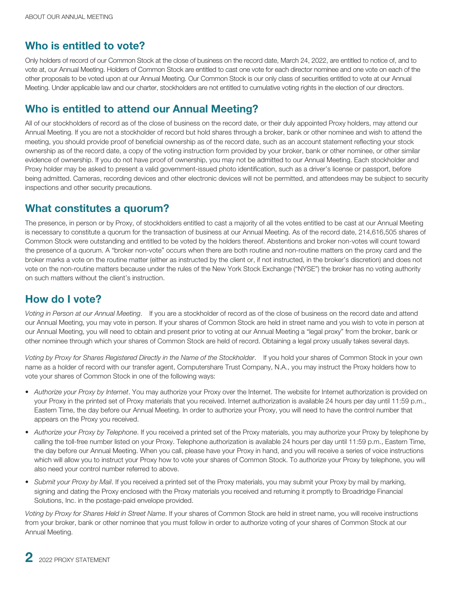## **Who is entitled to vote?**

Only holders of record of our Common Stock at the close of business on the record date, March 24, 2022, are entitled to notice of, and to vote at, our Annual Meeting. Holders of Common Stock are entitled to cast one vote for each director nominee and one vote on each of the other proposals to be voted upon at our Annual Meeting. Our Common Stock is our only class of securities entitled to vote at our Annual Meeting. Under applicable law and our charter, stockholders are not entitled to cumulative voting rights in the election of our directors.

## **Who is entitled to attend our Annual Meeting?**

All of our stockholders of record as of the close of business on the record date, or their duly appointed Proxy holders, may attend our Annual Meeting. If you are not a stockholder of record but hold shares through a broker, bank or other nominee and wish to attend the meeting, you should provide proof of beneficial ownership as of the record date, such as an account statement reflecting your stock ownership as of the record date, a copy of the voting instruction form provided by your broker, bank or other nominee, or other similar evidence of ownership. If you do not have proof of ownership, you may not be admitted to our Annual Meeting. Each stockholder and Proxy holder may be asked to present a valid government-issued photo identification, such as a driver's license or passport, before being admitted. Cameras, recording devices and other electronic devices will not be permitted, and attendees may be subject to security inspections and other security precautions.

## **What constitutes a quorum?**

The presence, in person or by Proxy, of stockholders entitled to cast a majority of all the votes entitled to be cast at our Annual Meeting is necessary to constitute a quorum for the transaction of business at our Annual Meeting. As of the record date, 214,616,505 shares of Common Stock were outstanding and entitled to be voted by the holders thereof. Abstentions and broker non-votes will count toward the presence of a quorum. A "broker non-vote" occurs when there are both routine and non-routine matters on the proxy card and the broker marks a vote on the routine matter (either as instructed by the client or, if not instructed, in the broker's discretion) and does not vote on the non-routine matters because under the rules of the New York Stock Exchange ("NYSE") the broker has no voting authority on such matters without the client's instruction.

## **How do I vote?**

*Voting in Person at our Annual Meeting*. If you are a stockholder of record as of the close of business on the record date and attend our Annual Meeting, you may vote in person. If your shares of Common Stock are held in street name and you wish to vote in person at our Annual Meeting, you will need to obtain and present prior to voting at our Annual Meeting a "legal proxy" from the broker, bank or other nominee through which your shares of Common Stock are held of record. Obtaining a legal proxy usually takes several days.

*Voting by Proxy for Shares Registered Directly in the Name of the Stockholder*. If you hold your shares of Common Stock in your own name as a holder of record with our transfer agent, Computershare Trust Company, N.A., you may instruct the Proxy holders how to vote your shares of Common Stock in one of the following ways:

- *Authorize your Proxy by Internet*. You may authorize your Proxy over the Internet. The website for Internet authorization is provided on your Proxy in the printed set of Proxy materials that you received. Internet authorization is available 24 hours per day until 11:59 p.m., Eastern Time, the day before our Annual Meeting. In order to authorize your Proxy, you will need to have the control number that appears on the Proxy you received.
- *Authorize your Proxy by Telephone*. If you received a printed set of the Proxy materials, you may authorize your Proxy by telephone by calling the toll-free number listed on your Proxy. Telephone authorization is available 24 hours per day until 11:59 p.m., Eastern Time, the day before our Annual Meeting. When you call, please have your Proxy in hand, and you will receive a series of voice instructions which will allow you to instruct your Proxy how to vote your shares of Common Stock. To authorize your Proxy by telephone, you will also need your control number referred to above.
- *Submit your Proxy by Mail*. If you received a printed set of the Proxy materials, you may submit your Proxy by mail by marking, signing and dating the Proxy enclosed with the Proxy materials you received and returning it promptly to Broadridge Financial Solutions, Inc. in the postage-paid envelope provided.

*Voting by Proxy for Shares Held in Street Name*. If your shares of Common Stock are held in street name, you will receive instructions from your broker, bank or other nominee that you must follow in order to authorize voting of your shares of Common Stock at our Annual Meeting.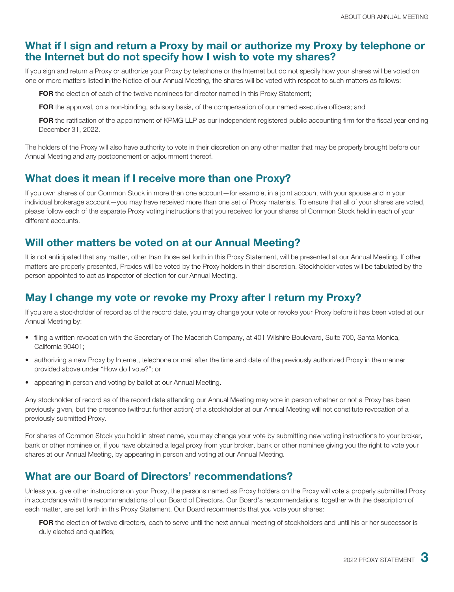## **What if I sign and return a Proxy by mail or authorize my Proxy by telephone or the Internet but do not specify how I wish to vote my shares?**

If you sign and return a Proxy or authorize your Proxy by telephone or the Internet but do not specify how your shares will be voted on one or more matters listed in the Notice of our Annual Meeting, the shares will be voted with respect to such matters as follows:

**FOR** the election of each of the twelve nominees for director named in this Proxy Statement;

**FOR** the approval, on a non-binding, advisory basis, of the compensation of our named executive officers; and

**FOR** the ratification of the appointment of KPMG LLP as our independent registered public accounting firm for the fiscal year ending December 31, 2022.

The holders of the Proxy will also have authority to vote in their discretion on any other matter that may be properly brought before our Annual Meeting and any postponement or adjournment thereof.

## **What does it mean if I receive more than one Proxy?**

If you own shares of our Common Stock in more than one account—for example, in a joint account with your spouse and in your individual brokerage account—you may have received more than one set of Proxy materials. To ensure that all of your shares are voted, please follow each of the separate Proxy voting instructions that you received for your shares of Common Stock held in each of your different accounts.

## **Will other matters be voted on at our Annual Meeting?**

It is not anticipated that any matter, other than those set forth in this Proxy Statement, will be presented at our Annual Meeting. If other matters are properly presented, Proxies will be voted by the Proxy holders in their discretion. Stockholder votes will be tabulated by the person appointed to act as inspector of election for our Annual Meeting.

## **May I change my vote or revoke my Proxy after I return my Proxy?**

If you are a stockholder of record as of the record date, you may change your vote or revoke your Proxy before it has been voted at our Annual Meeting by:

- filing a written revocation with the Secretary of The Macerich Company, at 401 Wilshire Boulevard, Suite 700, Santa Monica, California 90401;
- authorizing a new Proxy by Internet, telephone or mail after the time and date of the previously authorized Proxy in the manner provided above under "How do I vote?"; or
- appearing in person and voting by ballot at our Annual Meeting.

Any stockholder of record as of the record date attending our Annual Meeting may vote in person whether or not a Proxy has been previously given, but the presence (without further action) of a stockholder at our Annual Meeting will not constitute revocation of a previously submitted Proxy.

For shares of Common Stock you hold in street name, you may change your vote by submitting new voting instructions to your broker, bank or other nominee or, if you have obtained a legal proxy from your broker, bank or other nominee giving you the right to vote your shares at our Annual Meeting, by appearing in person and voting at our Annual Meeting.

## **What are our Board of Directors' recommendations?**

Unless you give other instructions on your Proxy, the persons named as Proxy holders on the Proxy will vote a properly submitted Proxy in accordance with the recommendations of our Board of Directors. Our Board's recommendations, together with the description of each matter, are set forth in this Proxy Statement. Our Board recommends that you vote your shares:

**FOR** the election of twelve directors, each to serve until the next annual meeting of stockholders and until his or her successor is duly elected and qualifies;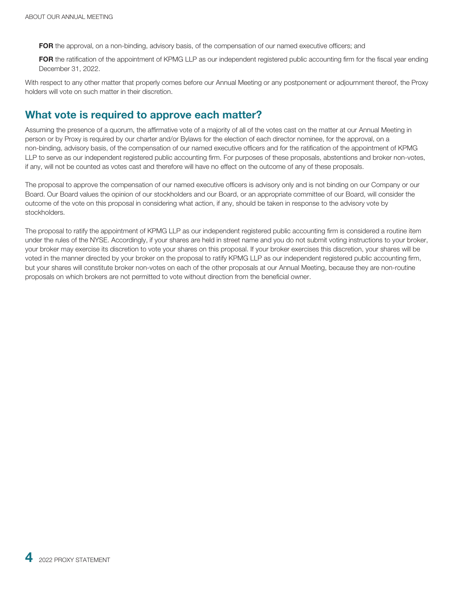**FOR** the approval, on a non-binding, advisory basis, of the compensation of our named executive officers; and

**FOR** the ratification of the appointment of KPMG LLP as our independent registered public accounting firm for the fiscal year ending December 31, 2022.

With respect to any other matter that properly comes before our Annual Meeting or any postponement or adjournment thereof, the Proxy holders will vote on such matter in their discretion.

## **What vote is required to approve each matter?**

Assuming the presence of a quorum, the affirmative vote of a majority of all of the votes cast on the matter at our Annual Meeting in person or by Proxy is required by our charter and/or Bylaws for the election of each director nominee, for the approval, on a non-binding, advisory basis, of the compensation of our named executive officers and for the ratification of the appointment of KPMG LLP to serve as our independent registered public accounting firm. For purposes of these proposals, abstentions and broker non-votes, if any, will not be counted as votes cast and therefore will have no effect on the outcome of any of these proposals.

The proposal to approve the compensation of our named executive officers is advisory only and is not binding on our Company or our Board. Our Board values the opinion of our stockholders and our Board, or an appropriate committee of our Board, will consider the outcome of the vote on this proposal in considering what action, if any, should be taken in response to the advisory vote by stockholders.

The proposal to ratify the appointment of KPMG LLP as our independent registered public accounting firm is considered a routine item under the rules of the NYSE. Accordingly, if your shares are held in street name and you do not submit voting instructions to your broker, your broker may exercise its discretion to vote your shares on this proposal. If your broker exercises this discretion, your shares will be voted in the manner directed by your broker on the proposal to ratify KPMG LLP as our independent registered public accounting firm, but your shares will constitute broker non-votes on each of the other proposals at our Annual Meeting, because they are non-routine proposals on which brokers are not permitted to vote without direction from the beneficial owner.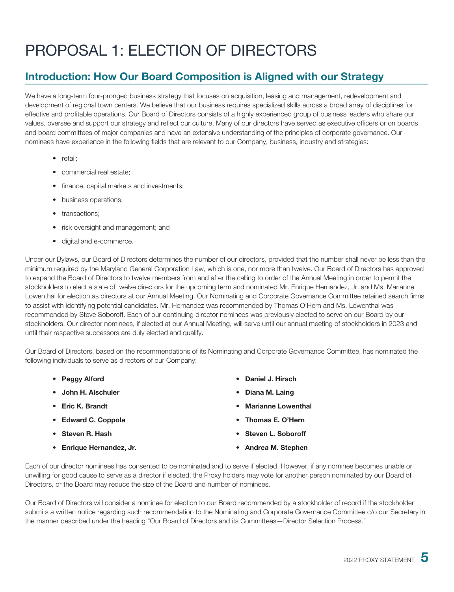# <span id="page-13-0"></span>PROPOSAL 1: ELECTION OF DIRECTORS

## **Introduction: How Our Board Composition is Aligned with our Strategy**

We have a long-term four-pronged business strategy that focuses on acquisition, leasing and management, redevelopment and development of regional town centers. We believe that our business requires specialized skills across a broad array of disciplines for effective and profitable operations. Our Board of Directors consists of a highly experienced group of business leaders who share our values, oversee and support our strategy and reflect our culture. Many of our directors have served as executive officers or on boards and board committees of major companies and have an extensive understanding of the principles of corporate governance. Our nominees have experience in the following fields that are relevant to our Company, business, industry and strategies:

- retail;
- commercial real estate;
- finance, capital markets and investments;
- business operations;
- transactions;
- risk oversight and management; and
- digital and e-commerce.

Under our Bylaws, our Board of Directors determines the number of our directors, provided that the number shall never be less than the minimum required by the Maryland General Corporation Law, which is one, nor more than twelve. Our Board of Directors has approved to expand the Board of Directors to twelve members from and after the calling to order of the Annual Meeting in order to permit the stockholders to elect a slate of twelve directors for the upcoming term and nominated Mr. Enrique Hernandez, Jr. and Ms. Marianne Lowenthal for election as directors at our Annual Meeting. Our Nominating and Corporate Governance Committee retained search firms to assist with identifying potential candidates. Mr. Hernandez was recommended by Thomas O'Hern and Ms. Lowenthal was recommended by Steve Soboroff. Each of our continuing director nominees was previously elected to serve on our Board by our stockholders. Our director nominees, if elected at our Annual Meeting, will serve until our annual meeting of stockholders in 2023 and until their respective successors are duly elected and qualify.

Our Board of Directors, based on the recommendations of its Nominating and Corporate Governance Committee, has nominated the following individuals to serve as directors of our Company:

- 
- **John H. Alschuler Diana M. Laing**
- 
- **Edward C. Coppola Thomas E. O'Hern**
- 
- Enrique Hernandez, Jr.  **<b>Andrea M. Stephen** Andrea M. Stephen
- **Peggy Alford Daniel J. Hirsch**
	-
- **Eric K. Brandt Marianne Lowenthal**
	-
- **Steven R. Hash Steven L. Soboroff**
	-

Each of our director nominees has consented to be nominated and to serve if elected. However, if any nominee becomes unable or unwilling for good cause to serve as a director if elected, the Proxy holders may vote for another person nominated by our Board of Directors, or the Board may reduce the size of the Board and number of nominees.

Our Board of Directors will consider a nominee for election to our Board recommended by a stockholder of record if the stockholder submits a written notice regarding such recommendation to the Nominating and Corporate Governance Committee c/o our Secretary in the manner described under the heading "Our Board of Directors and its Committees—Director Selection Process."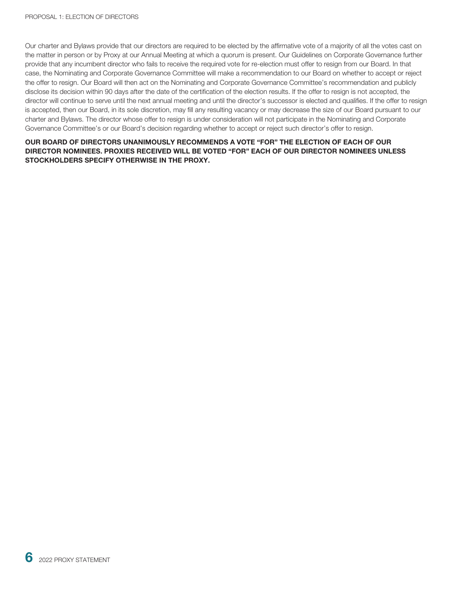Our charter and Bylaws provide that our directors are required to be elected by the affirmative vote of a majority of all the votes cast on the matter in person or by Proxy at our Annual Meeting at which a quorum is present. Our Guidelines on Corporate Governance further provide that any incumbent director who fails to receive the required vote for re-election must offer to resign from our Board. In that case, the Nominating and Corporate Governance Committee will make a recommendation to our Board on whether to accept or reject the offer to resign. Our Board will then act on the Nominating and Corporate Governance Committee's recommendation and publicly disclose its decision within 90 days after the date of the certification of the election results. If the offer to resign is not accepted, the director will continue to serve until the next annual meeting and until the director's successor is elected and qualifies. If the offer to resign is accepted, then our Board, in its sole discretion, may fill any resulting vacancy or may decrease the size of our Board pursuant to our charter and Bylaws. The director whose offer to resign is under consideration will not participate in the Nominating and Corporate Governance Committee's or our Board's decision regarding whether to accept or reject such director's offer to resign.

#### **OUR BOARD OF DIRECTORS UNANIMOUSLY RECOMMENDS A VOTE "FOR" THE ELECTION OF EACH OF OUR DIRECTOR NOMINEES. PROXIES RECEIVED WILL BE VOTED "FOR" EACH OF OUR DIRECTOR NOMINEES UNLESS STOCKHOLDERS SPECIFY OTHERWISE IN THE PROXY.**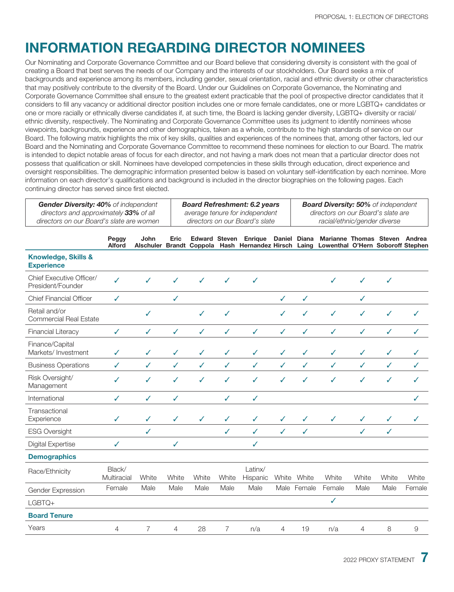## <span id="page-15-0"></span>**INFORMATION REGARDING DIRECTOR NOMINEES**

Our Nominating and Corporate Governance Committee and our Board believe that considering diversity is consistent with the goal of creating a Board that best serves the needs of our Company and the interests of our stockholders. Our Board seeks a mix of backgrounds and experience among its members, including gender, sexual orientation, racial and ethnic diversity or other characteristics that may positively contribute to the diversity of the Board. Under our Guidelines on Corporate Governance, the Nominating and Corporate Governance Committee shall ensure to the greatest extent practicable that the pool of prospective director candidates that it considers to fill any vacancy or additional director position includes one or more female candidates, one or more LGBTQ+ candidates or one or more racially or ethnically diverse candidates if, at such time, the Board is lacking gender diversity, LGBTQ+ diversity or racial/ ethnic diversity, respectively. The Nominating and Corporate Governance Committee uses its judgment to identify nominees whose viewpoints, backgrounds, experience and other demographics, taken as a whole, contribute to the high standards of service on our Board. The following matrix highlights the mix of key skills, qualities and experiences of the nominees that, among other factors, led our Board and the Nominating and Corporate Governance Committee to recommend these nominees for election to our Board. The matrix is intended to depict notable areas of focus for each director, and not having a mark does not mean that a particular director does not possess that qualification or skill. Nominees have developed competencies in these skills through education, direct experience and oversight responsibilities. The demographic information presented below is based on voluntary self-identification by each nominee. More information on each director's qualifications and background is included in the director biographies on the following pages. Each continuing director has served since first elected.

| <b>Gender Diversity: 40%</b> of independent | <b>Board Refreshment: 6.2 years</b> | <b>Board Diversity: 50%</b> of independent |
|---------------------------------------------|-------------------------------------|--------------------------------------------|
| directors and approximately 33% of all      | average tenure for independent      | directors on our Board's slate are         |
| directors on our Board's slate are women    | directors on our Board's slate      | racial/ethnic/gender diverse               |

|                                                     | Peggy<br><b>Alford</b> | John           | Eric         |              |                | <b>Edward Steven Enrique</b><br>Alschuler Brandt Coppola Hash Hernandez Hirsch Laing Lowenthal O'Hern Soboroff Stephen |                | Daniel Diana | Marianne Thomas Steven Andrea |              |              |               |
|-----------------------------------------------------|------------------------|----------------|--------------|--------------|----------------|------------------------------------------------------------------------------------------------------------------------|----------------|--------------|-------------------------------|--------------|--------------|---------------|
| <b>Knowledge, Skills &amp;</b><br><b>Experience</b> |                        |                |              |              |                |                                                                                                                        |                |              |                               |              |              |               |
| Chief Executive Officer/<br>President/Founder       | $\checkmark$           | ✓              | ✓            | ✓            | ✓              | ✓                                                                                                                      |                |              | ✓                             | ✓            | ✓            |               |
| <b>Chief Financial Officer</b>                      | $\checkmark$           |                | $\checkmark$ |              |                |                                                                                                                        | $\checkmark$   | ✓            |                               | $\checkmark$ |              |               |
| Retail and/or<br><b>Commercial Real Estate</b>      |                        | $\checkmark$   |              | ✓            | $\checkmark$   |                                                                                                                        | $\checkmark$   | $\checkmark$ | ✓                             | ✓            | ✓            | ✓             |
| <b>Financial Literacy</b>                           | $\checkmark$           | $\checkmark$   | $\checkmark$ | $\checkmark$ | $\checkmark$   | $\checkmark$                                                                                                           | $\checkmark$   | $\checkmark$ | $\checkmark$                  | $\checkmark$ | $\checkmark$ | $\checkmark$  |
| Finance/Capital<br>Markets/ Investment              | $\checkmark$           | $\checkmark$   | $\checkmark$ | $\checkmark$ | $\checkmark$   | $\checkmark$                                                                                                           | $\checkmark$   | $\checkmark$ | $\checkmark$                  | $\checkmark$ | ✓            | ✓             |
| <b>Business Operations</b>                          | ✓                      | $\checkmark$   | $\checkmark$ | $\checkmark$ | $\checkmark$   | $\checkmark$                                                                                                           | $\checkmark$   | $\checkmark$ | $\checkmark$                  | $\checkmark$ | ✓            | ✓             |
| Risk Oversight/<br>Management                       | ✓                      | J              | $\checkmark$ | ✓            | ✓              | $\checkmark$                                                                                                           | ✓              | ✓            | ✓                             | ✓            | J            | ✓             |
| International                                       | ✓                      | $\checkmark$   | ✓            |              | $\checkmark$   | $\checkmark$                                                                                                           |                |              |                               |              |              | ✓             |
| Transactional<br>Experience                         | J                      | $\checkmark$   | ✓            | ✓            | ✓              | ✓                                                                                                                      | $\checkmark$   | ✓            | ✓                             | ✓            | ✓            |               |
| <b>ESG Oversight</b>                                |                        | $\checkmark$   |              |              | $\checkmark$   | $\checkmark$                                                                                                           | ✓              | $\checkmark$ |                               | $\checkmark$ | ✓            |               |
| <b>Digital Expertise</b>                            | ✓                      |                | ✓            |              |                | $\checkmark$                                                                                                           |                |              |                               |              |              |               |
| <b>Demographics</b>                                 |                        |                |              |              |                |                                                                                                                        |                |              |                               |              |              |               |
| Race/Ethnicity                                      | Black/<br>Multiracial  | White          | White        | White        | White          | Latinx/<br>Hispanic                                                                                                    |                | White White  | White                         | White        | White        | White         |
| Gender Expression                                   | Female                 | Male           | Male         | Male         | Male           | Male                                                                                                                   |                | Male Female  | Female                        | Male         | Male         | Female        |
| LGBTQ+                                              |                        |                |              |              |                |                                                                                                                        |                |              | ✓                             |              |              |               |
| <b>Board Tenure</b>                                 |                        |                |              |              |                |                                                                                                                        |                |              |                               |              |              |               |
| Years                                               | $\overline{4}$         | $\overline{7}$ | 4            | 28           | $\overline{7}$ | n/a                                                                                                                    | $\overline{4}$ | 19           | n/a                           | 4            | 8            | $\mathcal{Q}$ |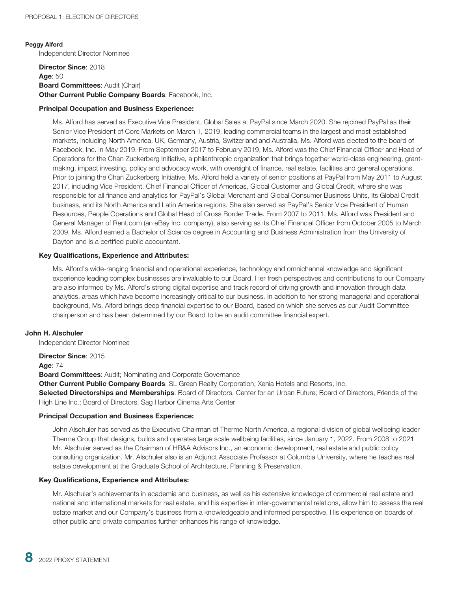#### **Peggy Alford**

Independent Director Nominee

#### **Director Since**: 2018 **Age**: 50 **Board Committees**: Audit (Chair) **Other Current Public Company Boards: Facebook, Inc.**

#### **Principal Occupation and Business Experience:**

Ms. Alford has served as Executive Vice President, Global Sales at PayPal since March 2020. She rejoined PayPal as their Senior Vice President of Core Markets on March 1, 2019, leading commercial teams in the largest and most established markets, including North America, UK, Germany, Austria, Switzerland and Australia. Ms. Alford was elected to the board of Facebook, Inc. in May 2019. From September 2017 to February 2019, Ms. Alford was the Chief Financial Officer and Head of Operations for the Chan Zuckerberg Initiative, a philanthropic organization that brings together world-class engineering, grantmaking, impact investing, policy and advocacy work, with oversight of finance, real estate, facilities and general operations. Prior to joining the Chan Zuckerberg Initiative, Ms. Alford held a variety of senior positions at PayPal from May 2011 to August 2017, including Vice President, Chief Financial Officer of Americas, Global Customer and Global Credit, where she was responsible for all finance and analytics for PayPal's Global Merchant and Global Consumer Business Units, its Global Credit business, and its North America and Latin America regions. She also served as PayPal's Senior Vice President of Human Resources, People Operations and Global Head of Cross Border Trade. From 2007 to 2011, Ms. Alford was President and General Manager of Rent.com (an eBay Inc. company), also serving as its Chief Financial Officer from October 2005 to March 2009. Ms. Alford earned a Bachelor of Science degree in Accounting and Business Administration from the University of Dayton and is a certified public accountant.

#### **Key Qualifications, Experience and Attributes:**

Ms. Alford's wide-ranging financial and operational experience, technology and omnichannel knowledge and significant experience leading complex businesses are invaluable to our Board. Her fresh perspectives and contributions to our Company are also informed by Ms. Alford's strong digital expertise and track record of driving growth and innovation through data analytics, areas which have become increasingly critical to our business. In addition to her strong managerial and operational background, Ms. Alford brings deep financial expertise to our Board, based on which she serves as our Audit Committee chairperson and has been determined by our Board to be an audit committee financial expert.

#### **John H. Alschuler**

Independent Director Nominee

**Director Since**: 2015

#### **Age**: 74

**Board Committees**: Audit; Nominating and Corporate Governance

**Other Current Public Company Boards**: SL Green Realty Corporation; Xenia Hotels and Resorts, Inc. **Selected Directorships and Memberships**: Board of Directors, Center for an Urban Future; Board of Directors, Friends of the High Line Inc.; Board of Directors, Sag Harbor Cinema Arts Center

#### **Principal Occupation and Business Experience:**

John Alschuler has served as the Executive Chairman of Therme North America, a regional division of global wellbeing leader Therme Group that designs, builds and operates large scale wellbeing facilities, since January 1, 2022. From 2008 to 2021 Mr. Alschuler served as the Chairman of HR&A Advisors Inc., an economic development, real estate and public policy consulting organization. Mr. Alschuler also is an Adjunct Associate Professor at Columbia University, where he teaches real estate development at the Graduate School of Architecture, Planning & Preservation.

#### **Key Qualifications, Experience and Attributes:**

Mr. Alschuler's achievements in academia and business, as well as his extensive knowledge of commercial real estate and national and international markets for real estate, and his expertise in inter-governmental relations, allow him to assess the real estate market and our Company's business from a knowledgeable and informed perspective. His experience on boards of other public and private companies further enhances his range of knowledge.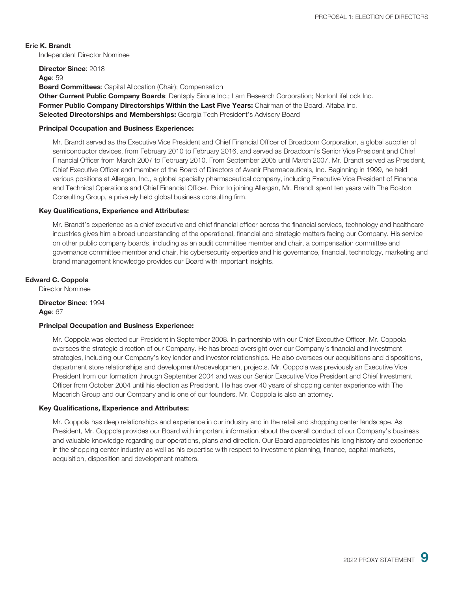#### **Eric K. Brandt**

Independent Director Nominee

**Director Since**: 2018

#### **Age**: 59

**Board Committees**: Capital Allocation (Chair); Compensation

**Other Current Public Company Boards**: Dentsply Sirona Inc.; Lam Research Corporation; NortonLifeLock Inc. **Former Public Company Directorships Within the Last Five Years:** Chairman of the Board, Altaba Inc. **Selected Directorships and Memberships:** Georgia Tech President's Advisory Board

#### **Principal Occupation and Business Experience:**

Mr. Brandt served as the Executive Vice President and Chief Financial Officer of Broadcom Corporation, a global supplier of semiconductor devices, from February 2010 to February 2016, and served as Broadcom's Senior Vice President and Chief Financial Officer from March 2007 to February 2010. From September 2005 until March 2007, Mr. Brandt served as President, Chief Executive Officer and member of the Board of Directors of Avanir Pharmaceuticals, Inc. Beginning in 1999, he held various positions at Allergan, Inc., a global specialty pharmaceutical company, including Executive Vice President of Finance and Technical Operations and Chief Financial Officer. Prior to joining Allergan, Mr. Brandt spent ten years with The Boston Consulting Group, a privately held global business consulting firm.

#### **Key Qualifications, Experience and Attributes:**

Mr. Brandt's experience as a chief executive and chief financial officer across the financial services, technology and healthcare industries gives him a broad understanding of the operational, financial and strategic matters facing our Company. His service on other public company boards, including as an audit committee member and chair, a compensation committee and governance committee member and chair, his cybersecurity expertise and his governance, financial, technology, marketing and brand management knowledge provides our Board with important insights.

#### **Edward C. Coppola**

Director Nominee

**Director Since**: 1994 **Age**: 67

#### **Principal Occupation and Business Experience:**

Mr. Coppola was elected our President in September 2008. In partnership with our Chief Executive Officer, Mr. Coppola oversees the strategic direction of our Company. He has broad oversight over our Company's financial and investment strategies, including our Company's key lender and investor relationships. He also oversees our acquisitions and dispositions, department store relationships and development/redevelopment projects. Mr. Coppola was previously an Executive Vice President from our formation through September 2004 and was our Senior Executive Vice President and Chief Investment Officer from October 2004 until his election as President. He has over 40 years of shopping center experience with The Macerich Group and our Company and is one of our founders. Mr. Coppola is also an attorney.

#### **Key Qualifications, Experience and Attributes:**

Mr. Coppola has deep relationships and experience in our industry and in the retail and shopping center landscape. As President, Mr. Coppola provides our Board with important information about the overall conduct of our Company's business and valuable knowledge regarding our operations, plans and direction. Our Board appreciates his long history and experience in the shopping center industry as well as his expertise with respect to investment planning, finance, capital markets, acquisition, disposition and development matters.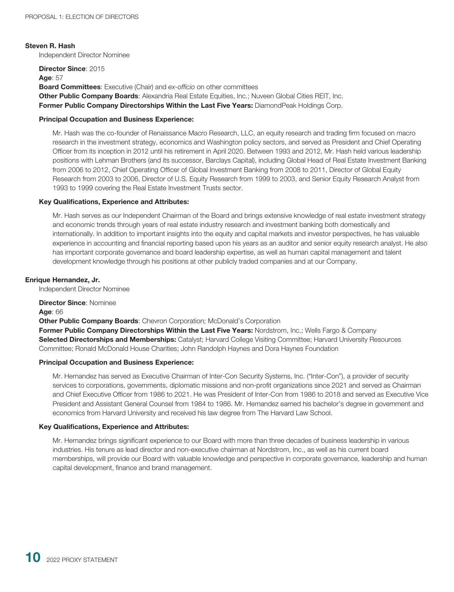#### **Steven R. Hash**

Independent Director Nominee

**Director Since**: 2015

**Age**: 57 **Board Committees**: Executive (Chair) and *ex-officio* on other committees **Other Public Company Boards**: Alexandria Real Estate Equities, Inc.; Nuveen Global Cities REIT, Inc.

**Former Public Company Directorships Within the Last Five Years: DiamondPeak Holdings Corp.** 

#### **Principal Occupation and Business Experience:**

Mr. Hash was the co-founder of Renaissance Macro Research, LLC, an equity research and trading firm focused on macro research in the investment strategy, economics and Washington policy sectors, and served as President and Chief Operating Officer from its inception in 2012 until his retirement in April 2020. Between 1993 and 2012, Mr. Hash held various leadership positions with Lehman Brothers (and its successor, Barclays Capital), including Global Head of Real Estate Investment Banking from 2006 to 2012, Chief Operating Officer of Global Investment Banking from 2008 to 2011, Director of Global Equity Research from 2003 to 2006, Director of U.S. Equity Research from 1999 to 2003, and Senior Equity Research Analyst from 1993 to 1999 covering the Real Estate Investment Trusts sector.

#### **Key Qualifications, Experience and Attributes:**

Mr. Hash serves as our Independent Chairman of the Board and brings extensive knowledge of real estate investment strategy and economic trends through years of real estate industry research and investment banking both domestically and internationally. In addition to important insights into the equity and capital markets and investor perspectives, he has valuable experience in accounting and financial reporting based upon his years as an auditor and senior equity research analyst. He also has important corporate governance and board leadership expertise, as well as human capital management and talent development knowledge through his positions at other publicly traded companies and at our Company.

#### **Enrique Hernandez, Jr.**

Independent Director Nominee

**Director Since**: Nominee **Age**: 66 **Other Public Company Boards: Chevron Corporation; McDonald's Corporation Former Public Company Directorships Within the Last Five Years:** Nordstrom, Inc.; Wells Fargo & Company **Selected Directorships and Memberships:** Catalyst; Harvard College Visiting Committee; Harvard University Resources Committee; Ronald McDonald House Charities; John Randolph Haynes and Dora Haynes Foundation

#### **Principal Occupation and Business Experience:**

Mr. Hernandez has served as Executive Chairman of Inter-Con Security Systems, Inc. ("Inter-Con"), a provider of security services to corporations, governments, diplomatic missions and non-profit organizations since 2021 and served as Chairman and Chief Executive Officer from 1986 to 2021. He was President of Inter-Con from 1986 to 2018 and served as Executive Vice President and Assistant General Counsel from 1984 to 1986. Mr. Hernandez earned his bachelor's degree in government and economics from Harvard University and received his law degree from The Harvard Law School.

#### **Key Qualifications, Experience and Attributes:**

Mr. Hernandez brings significant experience to our Board with more than three decades of business leadership in various industries. His tenure as lead director and non-executive chairman at Nordstrom, Inc., as well as his current board memberships, will provide our Board with valuable knowledge and perspective in corporate governance, leadership and human capital development, finance and brand management.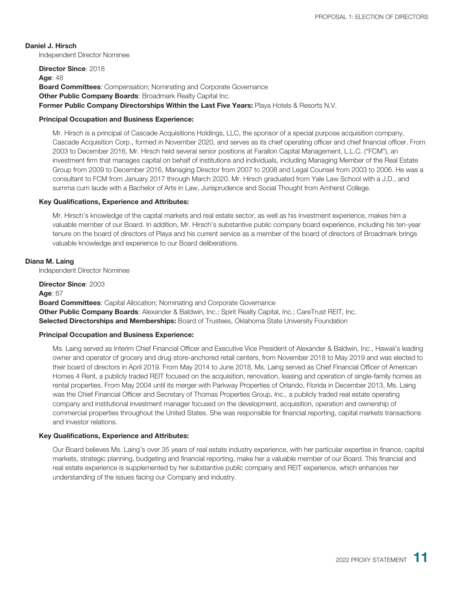**Daniel J. Hirsch** Independent Director Nominee

**Director Since**: 2018 **Age**: 48 **Board Committees**: Compensation; Nominating and Corporate Governance **Other Public Company Boards: Broadmark Realty Capital Inc. Former Public Company Directorships Within the Last Five Years:** Playa Hotels & Resorts N.V.

#### **Principal Occupation and Business Experience:**

Mr. Hirsch is a principal of Cascade Acquisitions Holdings, LLC, the sponsor of a special purpose acquisition company, Cascade Acquisition Corp., formed in November 2020, and serves as its chief operating officer and chief financial officer. From 2003 to December 2016, Mr. Hirsch held several senior positions at Farallon Capital Management, L.L.C. ("FCM"), an investment firm that manages capital on behalf of institutions and individuals, including Managing Member of the Real Estate Group from 2009 to December 2016, Managing Director from 2007 to 2008 and Legal Counsel from 2003 to 2006. He was a consultant to FCM from January 2017 through March 2020. Mr. Hirsch graduated from Yale Law School with a J.D., and summa cum laude with a Bachelor of Arts in Law, Jurisprudence and Social Thought from Amherst College.

#### **Key Qualifications, Experience and Attributes:**

Mr. Hirsch's knowledge of the capital markets and real estate sector, as well as his investment experience, makes him a valuable member of our Board. In addition, Mr. Hirsch's substantive public company board experience, including his ten-year tenure on the board of directors of Playa and his current service as a member of the board of directors of Broadmark brings valuable knowledge and experience to our Board deliberations.

#### **Diana M. Laing**

Independent Director Nominee

**Director Since**: 2003 **Age**: 67 **Board Committees**: Capital Allocation; Nominating and Corporate Governance **Other Public Company Boards:** Alexander & Baldwin, Inc.; Spirit Realty Capital, Inc.; CareTrust REIT, Inc. **Selected Directorships and Memberships:** Board of Trustees, Oklahoma State University Foundation

#### **Principal Occupation and Business Experience:**

Ms. Laing served as Interim Chief Financial Officer and Executive Vice President of Alexander & Baldwin, Inc., Hawaii's leading owner and operator of grocery and drug store-anchored retail centers, from November 2018 to May 2019 and was elected to their board of directors in April 2019. From May 2014 to June 2018, Ms. Laing served as Chief Financial Officer of American Homes 4 Rent, a publicly traded REIT focused on the acquisition, renovation, leasing and operation of single-family homes as rental properties. From May 2004 until its merger with Parkway Properties of Orlando, Florida in December 2013, Ms. Laing was the Chief Financial Officer and Secretary of Thomas Properties Group, Inc., a publicly traded real estate operating company and institutional investment manager focused on the development, acquisition, operation and ownership of commercial properties throughout the United States. She was responsible for financial reporting, capital markets transactions and investor relations.

#### **Key Qualifications, Experience and Attributes:**

Our Board believes Ms. Laing's over 35 years of real estate industry experience, with her particular expertise in finance, capital markets, strategic planning, budgeting and financial reporting, make her a valuable member of our Board. This financial and real estate experience is supplemented by her substantive public company and REIT experience, which enhances her understanding of the issues facing our Company and industry.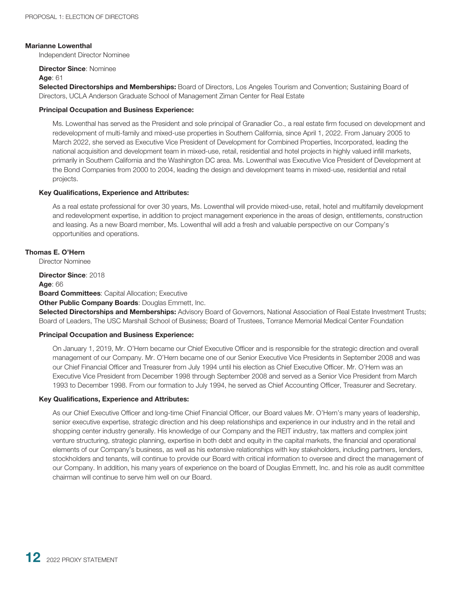#### **Marianne Lowenthal**

Independent Director Nominee

#### **Director Since**: Nominee

#### **Age**: 61

**Selected Directorships and Memberships:** Board of Directors, Los Angeles Tourism and Convention; Sustaining Board of Directors, UCLA Anderson Graduate School of Management Ziman Center for Real Estate

#### **Principal Occupation and Business Experience:**

Ms. Lowenthal has served as the President and sole principal of Granadier Co., a real estate firm focused on development and redevelopment of multi-family and mixed-use properties in Southern California, since April 1, 2022. From January 2005 to March 2022, she served as Executive Vice President of Development for Combined Properties, Incorporated, leading the national acquisition and development team in mixed-use, retail, residential and hotel projects in highly valued infill markets, primarily in Southern California and the Washington DC area. Ms. Lowenthal was Executive Vice President of Development at the Bond Companies from 2000 to 2004, leading the design and development teams in mixed-use, residential and retail projects.

#### **Key Qualifications, Experience and Attributes:**

As a real estate professional for over 30 years, Ms. Lowenthal will provide mixed-use, retail, hotel and multifamily development and redevelopment expertise, in addition to project management experience in the areas of design, entitlements, construction and leasing. As a new Board member, Ms. Lowenthal will add a fresh and valuable perspective on our Company's opportunities and operations.

#### **Thomas E. O'Hern**

Director Nominee

**Director Since**: 2018 **Age**: 66 **Board Committees**: Capital Allocation; Executive **Other Public Company Boards**: Douglas Emmett, Inc.

**Selected Directorships and Memberships:** Advisory Board of Governors, National Association of Real Estate Investment Trusts; Board of Leaders, The USC Marshall School of Business; Board of Trustees, Torrance Memorial Medical Center Foundation

#### **Principal Occupation and Business Experience:**

On January 1, 2019, Mr. O'Hern became our Chief Executive Officer and is responsible for the strategic direction and overall management of our Company. Mr. O'Hern became one of our Senior Executive Vice Presidents in September 2008 and was our Chief Financial Officer and Treasurer from July 1994 until his election as Chief Executive Officer. Mr. O'Hern was an Executive Vice President from December 1998 through September 2008 and served as a Senior Vice President from March 1993 to December 1998. From our formation to July 1994, he served as Chief Accounting Officer, Treasurer and Secretary.

#### **Key Qualifications, Experience and Attributes:**

As our Chief Executive Officer and long-time Chief Financial Officer, our Board values Mr. O'Hern's many years of leadership, senior executive expertise, strategic direction and his deep relationships and experience in our industry and in the retail and shopping center industry generally. His knowledge of our Company and the REIT industry, tax matters and complex joint venture structuring, strategic planning, expertise in both debt and equity in the capital markets, the financial and operational elements of our Company's business, as well as his extensive relationships with key stakeholders, including partners, lenders, stockholders and tenants, will continue to provide our Board with critical information to oversee and direct the management of our Company. In addition, his many years of experience on the board of Douglas Emmett, Inc. and his role as audit committee chairman will continue to serve him well on our Board.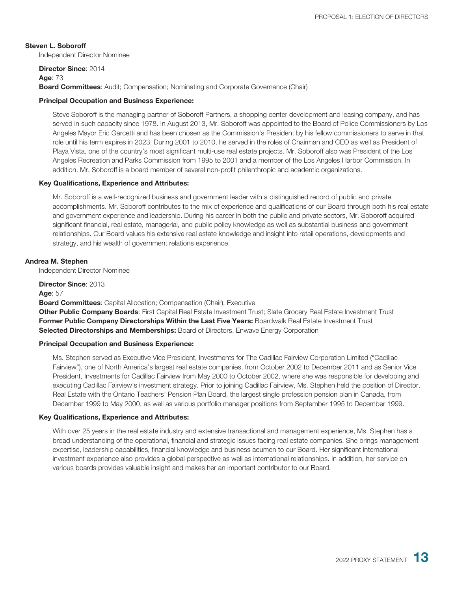**Steven L. Soboroff** Independent Director Nominee

**Director Since**: 2014

#### **Age**: 73

**Board Committees**: Audit; Compensation; Nominating and Corporate Governance (Chair)

#### **Principal Occupation and Business Experience:**

Steve Soboroff is the managing partner of Soboroff Partners, a shopping center development and leasing company, and has served in such capacity since 1978. In August 2013, Mr. Soboroff was appointed to the Board of Police Commissioners by Los Angeles Mayor Eric Garcetti and has been chosen as the Commission's President by his fellow commissioners to serve in that role until his term expires in 2023. During 2001 to 2010, he served in the roles of Chairman and CEO as well as President of Playa Vista, one of the country's most significant multi-use real estate projects. Mr. Soboroff also was President of the Los Angeles Recreation and Parks Commission from 1995 to 2001 and a member of the Los Angeles Harbor Commission. In addition, Mr. Soboroff is a board member of several non-profit philanthropic and academic organizations.

#### **Key Qualifications, Experience and Attributes:**

Mr. Soboroff is a well-recognized business and government leader with a distinguished record of public and private accomplishments. Mr. Soboroff contributes to the mix of experience and qualifications of our Board through both his real estate and government experience and leadership. During his career in both the public and private sectors, Mr. Soboroff acquired significant financial, real estate, managerial, and public policy knowledge as well as substantial business and government relationships. Our Board values his extensive real estate knowledge and insight into retail operations, developments and strategy, and his wealth of government relations experience.

#### **Andrea M. Stephen**

Independent Director Nominee

**Director Since**: 2013 **Age**: 57

**Board Committees**: Capital Allocation; Compensation (Chair); Executive

**Other Public Company Boards**: First Capital Real Estate Investment Trust; Slate Grocery Real Estate Investment Trust **Former Public Company Directorships Within the Last Five Years:** Boardwalk Real Estate Investment Trust **Selected Directorships and Memberships:** Board of Directors, Enwave Energy Corporation

#### **Principal Occupation and Business Experience:**

Ms. Stephen served as Executive Vice President, Investments for The Cadillac Fairview Corporation Limited ("Cadillac Fairview"), one of North America's largest real estate companies, from October 2002 to December 2011 and as Senior Vice President, Investments for Cadillac Fairview from May 2000 to October 2002, where she was responsible for developing and executing Cadillac Fairview's investment strategy. Prior to joining Cadillac Fairview, Ms. Stephen held the position of Director, Real Estate with the Ontario Teachers' Pension Plan Board, the largest single profession pension plan in Canada, from December 1999 to May 2000, as well as various portfolio manager positions from September 1995 to December 1999.

#### **Key Qualifications, Experience and Attributes:**

With over 25 years in the real estate industry and extensive transactional and management experience, Ms. Stephen has a broad understanding of the operational, financial and strategic issues facing real estate companies. She brings management expertise, leadership capabilities, financial knowledge and business acumen to our Board. Her significant international investment experience also provides a global perspective as well as international relationships. In addition, her service on various boards provides valuable insight and makes her an important contributor to our Board.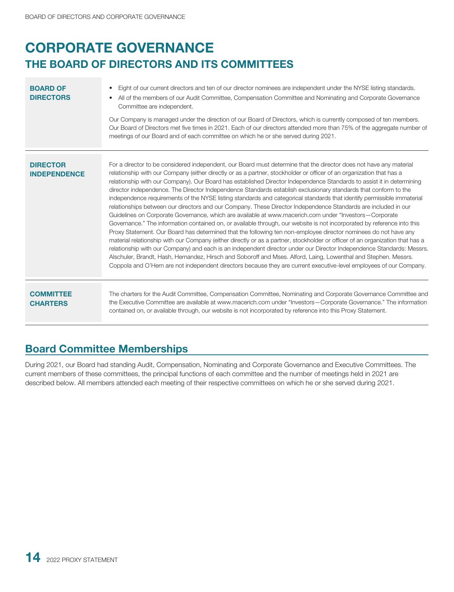## <span id="page-22-0"></span>**CORPORATE GOVERNANCE THE BOARD OF DIRECTORS AND ITS COMMITTEES**

| <b>BOARD OF</b><br><b>DIRECTORS</b>    | Eight of our current directors and ten of our director nominees are independent under the NYSE listing standards.<br>$\bullet$<br>All of the members of our Audit Committee, Compensation Committee and Nominating and Corporate Governance<br>Committee are independent.<br>Our Company is managed under the direction of our Board of Directors, which is currently composed of ten members.<br>Our Board of Directors met five times in 2021. Each of our directors attended more than 75% of the aggregate number of<br>meetings of our Board and of each committee on which he or she served during 2021.                                                                                                                                                                                                                                                                                                                                                                                                                                                                                                                                                                                                                                                                                                                                                                                                                                                                                                                                                                                  |
|----------------------------------------|-------------------------------------------------------------------------------------------------------------------------------------------------------------------------------------------------------------------------------------------------------------------------------------------------------------------------------------------------------------------------------------------------------------------------------------------------------------------------------------------------------------------------------------------------------------------------------------------------------------------------------------------------------------------------------------------------------------------------------------------------------------------------------------------------------------------------------------------------------------------------------------------------------------------------------------------------------------------------------------------------------------------------------------------------------------------------------------------------------------------------------------------------------------------------------------------------------------------------------------------------------------------------------------------------------------------------------------------------------------------------------------------------------------------------------------------------------------------------------------------------------------------------------------------------------------------------------------------------|
| <b>DIRECTOR</b><br><b>INDEPENDENCE</b> | For a director to be considered independent, our Board must determine that the director does not have any material<br>relationship with our Company (either directly or as a partner, stockholder or officer of an organization that has a<br>relationship with our Company). Our Board has established Director Independence Standards to assist it in determining<br>director independence. The Director Independence Standards establish exclusionary standards that conform to the<br>independence requirements of the NYSE listing standards and categorical standards that identify permissible immaterial<br>relationships between our directors and our Company. These Director Independence Standards are included in our<br>Guidelines on Corporate Governance, which are available at www.macerich.com under "Investors-Corporate"<br>Governance." The information contained on, or available through, our website is not incorporated by reference into this<br>Proxy Statement. Our Board has determined that the following ten non-employee director nominees do not have any<br>material relationship with our Company (either directly or as a partner, stockholder or officer of an organization that has a<br>relationship with our Company) and each is an independent director under our Director Independence Standards: Messrs.<br>Alschuler, Brandt, Hash, Hernandez, Hirsch and Soboroff and Mses. Alford, Laing, Lowenthal and Stephen. Messrs.<br>Coppola and O'Hern are not independent directors because they are current executive-level employees of our Company. |
| <b>COMMITTEE</b><br><b>CHARTERS</b>    | The charters for the Audit Committee, Compensation Committee, Nominating and Corporate Governance Committee and<br>the Executive Committee are available at www.macerich.com under "Investors-Corporate Governance." The information<br>contained on, or available through, our website is not incorporated by reference into this Proxy Statement.                                                                                                                                                                                                                                                                                                                                                                                                                                                                                                                                                                                                                                                                                                                                                                                                                                                                                                                                                                                                                                                                                                                                                                                                                                             |

## **Board Committee Memberships**

During 2021, our Board had standing Audit, Compensation, Nominating and Corporate Governance and Executive Committees. The current members of these committees, the principal functions of each committee and the number of meetings held in 2021 are described below. All members attended each meeting of their respective committees on which he or she served during 2021.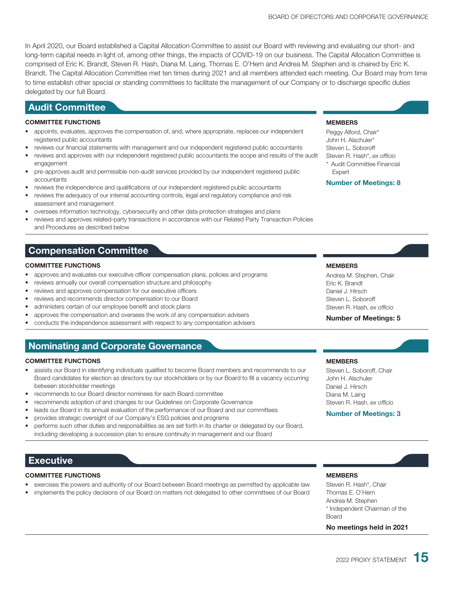In April 2020, our Board established a Capital Allocation Committee to assist our Board with reviewing and evaluating our short- and long-term capital needs in light of, among other things, the impacts of COVID-19 on our business. The Capital Allocation Committee is comprised of Eric K. Brandt, Steven R. Hash, Diana M. Laing, Thomas E. O'Hern and Andrea M. Stephen and is chaired by Eric K. Brandt. The Capital Allocation Committee met ten times during 2021 and all members attended each meeting. Our Board may from time to time establish other special or standing committees to facilitate the management of our Company or to discharge specific duties delegated by our full Board.

### **Audit Committee**

#### **COMMITTEE FUNCTIONS**

- appoints, evaluates, approves the compensation of, and, where appropriate, replaces our independent registered public accountants
- reviews our financial statements with management and our independent registered public accountants
- reviews and approves with our independent registered public accountants the scope and results of the audit engagement
- pre-approves audit and permissible non-audit services provided by our independent registered public accountants
- reviews the independence and qualifications of our independent registered public accountants
- reviews the adequacy of our internal accounting controls, legal and regulatory compliance and risk assessment and management
- oversees information technology, cybersecurity and other data protection strategies and plans
- reviews and approves related-party transactions in accordance with our Related Party Transaction Policies and Procedures as described below

## **Compensation Committee**

#### **COMMITTEE FUNCTIONS**

- approves and evaluates our executive officer compensation plans, policies and programs
- reviews annually our overall compensation structure and philosophy
- reviews and approves compensation for our executive officers
- reviews and recommends director compensation to our Board
- administers certain of our employee benefit and stock plans
- approves the compensation and oversees the work of any compensation advisers
- conducts the independence assessment with respect to any compensation advisers

## **Nominating and Corporate Governance**

#### **COMMITTEE FUNCTIONS**

- assists our Board in identifying individuals qualified to become Board members and recommends to our Board candidates for election as directors by our stockholders or by our Board to fill a vacancy occurring between stockholder meetings
- recommends to our Board director nominees for each Board committee
- recommends adoption of and changes to our Guidelines on Corporate Governance
- leads our Board in its annual evaluation of the performance of our Board and our committees
- provides strategic oversight of our Company's ESG policies and programs
- performs such other duties and responsibilities as are set forth in its charter or delegated by our Board, including developing a succession plan to ensure continuity in management and our Board

### **Executive**

#### **COMMITTEE FUNCTIONS**

- exercises the powers and authority of our Board between Board meetings as permitted by applicable law
- implements the policy decisions of our Board on matters not delegated to other committees of our Board

#### **MEMBERS**

Peggy Alford, Chair\* John H. Alschuler\* Steven L. Soboroff Steven R. Hash\*, *ex officio* \* Audit Committee Financial

**Expert Number of Meetings: 8**

#### **MEMBERS**

Andrea M. Stephen, Chair Eric K. Brandt Daniel J. Hirsch Steven L. Soboroff Steven R. Hash, *ex officio*

#### **Number of Meetings: 5**

#### **MEMBERS**

Steven L. Soboroff, Chair John H. Alschuler Daniel J. Hirsch Diana M. Laing Steven R. Hash, *ex officio*

#### **Number of Meetings: 3**

#### **MEMBERS**

Steven R. Hash\*, Chair Thomas E. O'Hern Andrea M. Stephen \* Independent Chairman of the **Board** 

**No meetings held in 2021**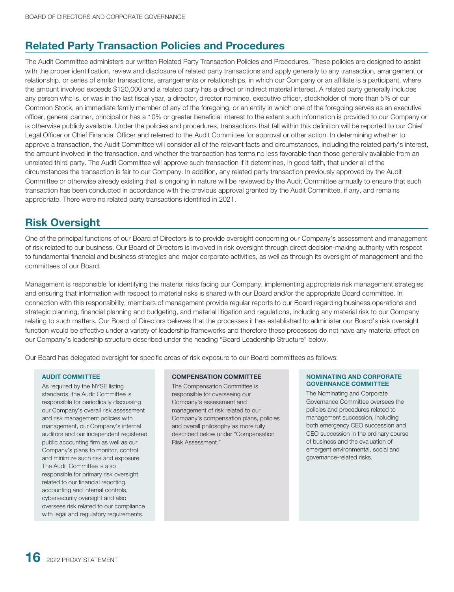## **Related Party Transaction Policies and Procedures**

The Audit Committee administers our written Related Party Transaction Policies and Procedures. These policies are designed to assist with the proper identification, review and disclosure of related party transactions and apply generally to any transaction, arrangement or relationship, or series of similar transactions, arrangements or relationships, in which our Company or an affiliate is a participant, where the amount involved exceeds \$120,000 and a related party has a direct or indirect material interest. A related party generally includes any person who is, or was in the last fiscal year, a director, director nominee, executive officer, stockholder of more than 5% of our Common Stock, an immediate family member of any of the foregoing, or an entity in which one of the foregoing serves as an executive officer, general partner, principal or has a 10% or greater beneficial interest to the extent such information is provided to our Company or is otherwise publicly available. Under the policies and procedures, transactions that fall within this definition will be reported to our Chief Legal Officer or Chief Financial Officer and referred to the Audit Committee for approval or other action. In determining whether to approve a transaction, the Audit Committee will consider all of the relevant facts and circumstances, including the related party's interest, the amount involved in the transaction, and whether the transaction has terms no less favorable than those generally available from an unrelated third party. The Audit Committee will approve such transaction if it determines, in good faith, that under all of the circumstances the transaction is fair to our Company. In addition, any related party transaction previously approved by the Audit Committee or otherwise already existing that is ongoing in nature will be reviewed by the Audit Committee annually to ensure that such transaction has been conducted in accordance with the previous approval granted by the Audit Committee, if any, and remains appropriate. There were no related party transactions identified in 2021.

## **Risk Oversight**

One of the principal functions of our Board of Directors is to provide oversight concerning our Company's assessment and management of risk related to our business. Our Board of Directors is involved in risk oversight through direct decision-making authority with respect to fundamental financial and business strategies and major corporate activities, as well as through its oversight of management and the committees of our Board.

Management is responsible for identifying the material risks facing our Company, implementing appropriate risk management strategies and ensuring that information with respect to material risks is shared with our Board and/or the appropriate Board committee. In connection with this responsibility, members of management provide regular reports to our Board regarding business operations and strategic planning, financial planning and budgeting, and material litigation and regulations, including any material risk to our Company relating to such matters. Our Board of Directors believes that the processes it has established to administer our Board's risk oversight function would be effective under a variety of leadership frameworks and therefore these processes do not have any material effect on our Company's leadership structure described under the heading "Board Leadership Structure" below.

Our Board has delegated oversight for specific areas of risk exposure to our Board committees as follows:

#### **AUDIT COMMITTEE**

As required by the NYSE listing standards, the Audit Committee is responsible for periodically discussing our Company's overall risk assessment and risk management policies with management, our Company's internal auditors and our independent registered public accounting firm as well as our Company's plans to monitor, control and minimize such risk and exposure. The Audit Committee is also responsible for primary risk oversight related to our financial reporting, accounting and internal controls, cybersecurity oversight and also oversees risk related to our compliance with legal and regulatory requirements.

#### **COMPENSATION COMMITTEE**

The Compensation Committee is responsible for overseeing our Company's assessment and management of risk related to our Company's compensation plans, policies and overall philosophy as more fully described below under "Compensation Risk Assessment."

#### **NOMINATING AND CORPORATE GOVERNANCE COMMITTEE**

The Nominating and Corporate Governance Committee oversees the policies and procedures related to management succession, including both emergency CEO succession and CEO succession in the ordinary course of business and the evaluation of emergent environmental, social and governance-related risks.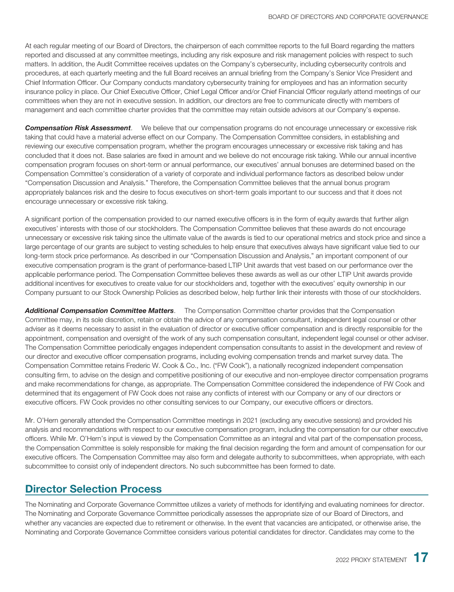At each regular meeting of our Board of Directors, the chairperson of each committee reports to the full Board regarding the matters reported and discussed at any committee meetings, including any risk exposure and risk management policies with respect to such matters. In addition, the Audit Committee receives updates on the Company's cybersecurity, including cybersecurity controls and procedures, at each quarterly meeting and the full Board receives an annual briefing from the Company's Senior Vice President and Chief Information Officer. Our Company conducts mandatory cybersecurity training for employees and has an information security insurance policy in place. Our Chief Executive Officer, Chief Legal Officer and/or Chief Financial Officer regularly attend meetings of our committees when they are not in executive session. In addition, our directors are free to communicate directly with members of management and each committee charter provides that the committee may retain outside advisors at our Company's expense.

*Compensation Risk Assessment*. We believe that our compensation programs do not encourage unnecessary or excessive risk taking that could have a material adverse effect on our Company. The Compensation Committee considers, in establishing and reviewing our executive compensation program, whether the program encourages unnecessary or excessive risk taking and has concluded that it does not. Base salaries are fixed in amount and we believe do not encourage risk taking. While our annual incentive compensation program focuses on short-term or annual performance, our executives' annual bonuses are determined based on the Compensation Committee's consideration of a variety of corporate and individual performance factors as described below under "Compensation Discussion and Analysis." Therefore, the Compensation Committee believes that the annual bonus program appropriately balances risk and the desire to focus executives on short-term goals important to our success and that it does not encourage unnecessary or excessive risk taking.

A significant portion of the compensation provided to our named executive officers is in the form of equity awards that further align executives' interests with those of our stockholders. The Compensation Committee believes that these awards do not encourage unnecessary or excessive risk taking since the ultimate value of the awards is tied to our operational metrics and stock price and since a large percentage of our grants are subject to vesting schedules to help ensure that executives always have significant value tied to our long-term stock price performance. As described in our "Compensation Discussion and Analysis," an important component of our executive compensation program is the grant of performance-based LTIP Unit awards that vest based on our performance over the applicable performance period. The Compensation Committee believes these awards as well as our other LTIP Unit awards provide additional incentives for executives to create value for our stockholders and, together with the executives' equity ownership in our Company pursuant to our Stock Ownership Policies as described below, help further link their interests with those of our stockholders.

*Additional Compensation Committee Matters*. The Compensation Committee charter provides that the Compensation Committee may, in its sole discretion, retain or obtain the advice of any compensation consultant, independent legal counsel or other adviser as it deems necessary to assist in the evaluation of director or executive officer compensation and is directly responsible for the appointment, compensation and oversight of the work of any such compensation consultant, independent legal counsel or other adviser. The Compensation Committee periodically engages independent compensation consultants to assist in the development and review of our director and executive officer compensation programs, including evolving compensation trends and market survey data. The Compensation Committee retains Frederic W. Cook & Co., Inc. ("FW Cook"), a nationally recognized independent compensation consulting firm, to advise on the design and competitive positioning of our executive and non-employee director compensation programs and make recommendations for change, as appropriate. The Compensation Committee considered the independence of FW Cook and determined that its engagement of FW Cook does not raise any conflicts of interest with our Company or any of our directors or executive officers. FW Cook provides no other consulting services to our Company, our executive officers or directors.

Mr. O'Hern generally attended the Compensation Committee meetings in 2021 (excluding any executive sessions) and provided his analysis and recommendations with respect to our executive compensation program, including the compensation for our other executive officers. While Mr. O'Hern's input is viewed by the Compensation Committee as an integral and vital part of the compensation process, the Compensation Committee is solely responsible for making the final decision regarding the form and amount of compensation for our executive officers. The Compensation Committee may also form and delegate authority to subcommittees, when appropriate, with each subcommittee to consist only of independent directors. No such subcommittee has been formed to date.

## **Director Selection Process**

The Nominating and Corporate Governance Committee utilizes a variety of methods for identifying and evaluating nominees for director. The Nominating and Corporate Governance Committee periodically assesses the appropriate size of our Board of Directors, and whether any vacancies are expected due to retirement or otherwise. In the event that vacancies are anticipated, or otherwise arise, the Nominating and Corporate Governance Committee considers various potential candidates for director. Candidates may come to the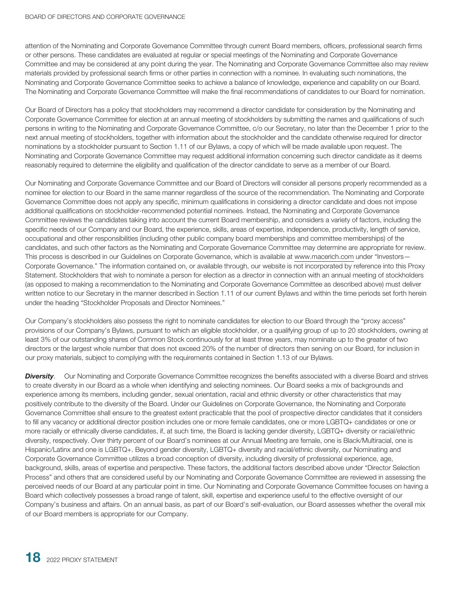attention of the Nominating and Corporate Governance Committee through current Board members, officers, professional search firms or other persons. These candidates are evaluated at regular or special meetings of the Nominating and Corporate Governance Committee and may be considered at any point during the year. The Nominating and Corporate Governance Committee also may review materials provided by professional search firms or other parties in connection with a nominee. In evaluating such nominations, the Nominating and Corporate Governance Committee seeks to achieve a balance of knowledge, experience and capability on our Board. The Nominating and Corporate Governance Committee will make the final recommendations of candidates to our Board for nomination.

Our Board of Directors has a policy that stockholders may recommend a director candidate for consideration by the Nominating and Corporate Governance Committee for election at an annual meeting of stockholders by submitting the names and qualifications of such persons in writing to the Nominating and Corporate Governance Committee, c/o our Secretary, no later than the December 1 prior to the next annual meeting of stockholders, together with information about the stockholder and the candidate otherwise required for director nominations by a stockholder pursuant to Section 1.11 of our Bylaws, a copy of which will be made available upon request. The Nominating and Corporate Governance Committee may request additional information concerning such director candidate as it deems reasonably required to determine the eligibility and qualification of the director candidate to serve as a member of our Board.

Our Nominating and Corporate Governance Committee and our Board of Directors will consider all persons properly recommended as a nominee for election to our Board in the same manner regardless of the source of the recommendation. The Nominating and Corporate Governance Committee does not apply any specific, minimum qualifications in considering a director candidate and does not impose additional qualifications on stockholder-recommended potential nominees. Instead, the Nominating and Corporate Governance Committee reviews the candidates taking into account the current Board membership, and considers a variety of factors, including the specific needs of our Company and our Board, the experience, skills, areas of expertise, independence, productivity, length of service, occupational and other responsibilities (including other public company board memberships and committee memberships) of the candidates, and such other factors as the Nominating and Corporate Governance Committee may determine are appropriate for review. This process is described in our Guidelines on Corporate Governance, which is available at www.macerich.com under "Investors— Corporate Governance." The information contained on, or available through, our website is not incorporated by reference into this Proxy Statement. Stockholders that wish to nominate a person for election as a director in connection with an annual meeting of stockholders (as opposed to making a recommendation to the Nominating and Corporate Governance Committee as described above) must deliver written notice to our Secretary in the manner described in Section 1.11 of our current Bylaws and within the time periods set forth herein under the heading "Stockholder Proposals and Director Nominees."

Our Company's stockholders also possess the right to nominate candidates for election to our Board through the "proxy access" provisions of our Company's Bylaws, pursuant to which an eligible stockholder, or a qualifying group of up to 20 stockholders, owning at least 3% of our outstanding shares of Common Stock continuously for at least three years, may nominate up to the greater of two directors or the largest whole number that does not exceed 20% of the number of directors then serving on our Board, for inclusion in our proxy materials, subject to complying with the requirements contained in Section 1.13 of our Bylaws.

**Diversity**. Our Nominating and Corporate Governance Committee recognizes the benefits associated with a diverse Board and strives to create diversity in our Board as a whole when identifying and selecting nominees. Our Board seeks a mix of backgrounds and experience among its members, including gender, sexual orientation, racial and ethnic diversity or other characteristics that may positively contribute to the diversity of the Board. Under our Guidelines on Corporate Governance, the Nominating and Corporate Governance Committee shall ensure to the greatest extent practicable that the pool of prospective director candidates that it considers to fill any vacancy or additional director position includes one or more female candidates, one or more LGBTQ+ candidates or one or more racially or ethnically diverse candidates, if, at such time, the Board is lacking gender diversity, LGBTQ+ diversity or racial/ethnic diversity, respectively. Over thirty percent of our Board's nominees at our Annual Meeting are female, one is Black/Multiracial, one is Hispanic/Latinx and one is LGBTQ+. Beyond gender diversity, LGBTQ+ diversity and racial/ethnic diversity, our Nominating and Corporate Governance Committee utilizes a broad conception of diversity, including diversity of professional experience, age, background, skills, areas of expertise and perspective. These factors, the additional factors described above under "Director Selection Process" and others that are considered useful by our Nominating and Corporate Governance Committee are reviewed in assessing the perceived needs of our Board at any particular point in time. Our Nominating and Corporate Governance Committee focuses on having a Board which collectively possesses a broad range of talent, skill, expertise and experience useful to the effective oversight of our Company's business and affairs. On an annual basis, as part of our Board's self-evaluation, our Board assesses whether the overall mix of our Board members is appropriate for our Company.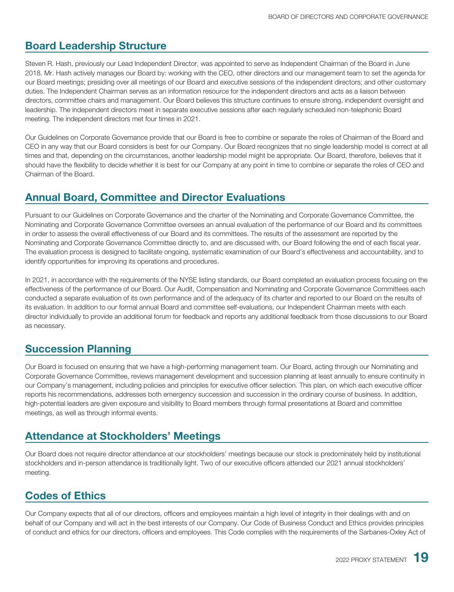## **Board Leadership Structure**

Steven R. Hash, previously our Lead Independent Director, was appointed to serve as Independent Chairman of the Board in June 2018. Mr. Hash actively manages our Board by: working with the CEO, other directors and our management team to set the agenda for our Board meetings; presiding over all meetings of our Board and executive sessions of the independent directors; and other customary duties. The Independent Chairman serves as an information resource for the independent directors and acts as a liaison between directors, committee chairs and management. Our Board believes this structure continues to ensure strong, independent oversight and leadership. The independent directors meet in separate executive sessions after each regularly scheduled non-telephonic Board meeting. The independent directors met four times in 2021.

Our Guidelines on Corporate Governance provide that our Board is free to combine or separate the roles of Chairman of the Board and CEO in any way that our Board considers is best for our Company. Our Board recognizes that no single leadership model is correct at all times and that, depending on the circumstances, another leadership model might be appropriate. Our Board, therefore, believes that it should have the flexibility to decide whether it is best for our Company at any point in time to combine or separate the roles of CEO and Chairman of the Board.

## **Annual Board, Committee and Director Evaluations**

Pursuant to our Guidelines on Corporate Governance and the charter of the Nominating and Corporate Governance Committee, the Nominating and Corporate Governance Committee oversees an annual evaluation of the performance of our Board and its committees in order to assess the overall effectiveness of our Board and its committees. The results of the assessment are reported by the Nominating and Corporate Governance Committee directly to, and are discussed with, our Board following the end of each fiscal year. The evaluation process is designed to facilitate ongoing, systematic examination of our Board's effectiveness and accountability, and to identify opportunities for improving its operations and procedures.

In 2021, in accordance with the requirements of the NYSE listing standards, our Board completed an evaluation process focusing on the effectiveness of the performance of our Board. Our Audit, Compensation and Nominating and Corporate Governance Committees each conducted a separate evaluation of its own performance and of the adequacy of its charter and reported to our Board on the results of its evaluation. In addition to our formal annual Board and committee self-evaluations, our Independent Chairman meets with each director individually to provide an additional forum for feedback and reports any additional feedback from those discussions to our Board as necessary.

## **Succession Planning**

Our Board is focused on ensuring that we have a high-performing management team. Our Board, acting through our Nominating and Corporate Governance Committee, reviews management development and succession planning at least annually to ensure continuity in our Company's management, including policies and principles for executive officer selection. This plan, on which each executive officer reports his recommendations, addresses both emergency succession and succession in the ordinary course of business. In addition, high-potential leaders are given exposure and visibility to Board members through formal presentations at Board and committee meetings, as well as through informal events.

## **Attendance at Stockholders' Meetings**

Our Board does not require director attendance at our stockholders' meetings because our stock is predominately held by institutional stockholders and in-person attendance is traditionally light. Two of our executive officers attended our 2021 annual stockholders' meeting.

## **Codes of Ethics**

Our Company expects that all of our directors, officers and employees maintain a high level of integrity in their dealings with and on behalf of our Company and will act in the best interests of our Company. Our Code of Business Conduct and Ethics provides principles of conduct and ethics for our directors, officers and employees. This Code complies with the requirements of the Sarbanes-Oxley Act of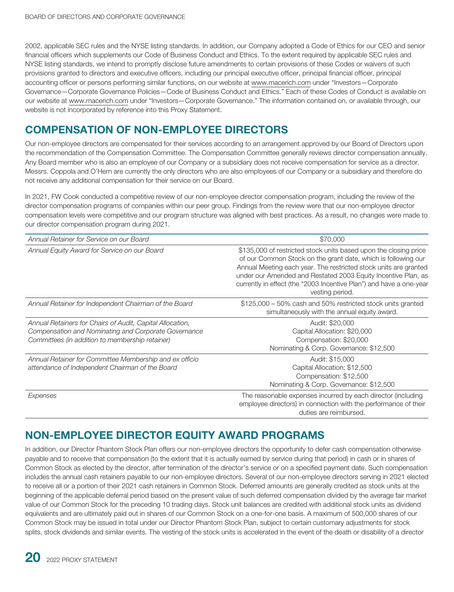2002, applicable SEC rules and the NYSE listing standards. In addition, our Company adopted a Code of Ethics for our CEO and senior financial officers which supplements our Code of Business Conduct and Ethics. To the extent required by applicable SEC rules and NYSE listing standards, we intend to promptly disclose future amendments to certain provisions of these Codes or waivers of such provisions granted to directors and executive officers, including our principal executive officer, principal financial officer, principal accounting officer or persons performing similar functions, on our website at www.macerich.com under "Investors—Corporate Governance—Corporate Governance Policies—Code of Business Conduct and Ethics." Each of these Codes of Conduct is available on our website at www.macerich.com under "Investors—Corporate Governance." The information contained on, or available through, our website is not incorporated by reference into this Proxy Statement.

## <span id="page-28-0"></span>**COMPENSATION OF NON-EMPLOYEE DIRECTORS**

Our non-employee directors are compensated for their services according to an arrangement approved by our Board of Directors upon the recommendation of the Compensation Committee. The Compensation Committee generally reviews director compensation annually. Any Board member who is also an employee of our Company or a subsidiary does not receive compensation for service as a director. Messrs. Coppola and O'Hern are currently the only directors who are also employees of our Company or a subsidiary and therefore do not receive any additional compensation for their service on our Board.

In 2021, FW Cook conducted a competitive review of our non-employee director compensation program, including the review of the director compensation programs of companies within our peer group. Findings from the review were that our non-employee director compensation levels were competitive and our program structure was aligned with best practices. As a result, no changes were made to our director compensation program during 2021.

| Annual Retainer for Service on our Board                                                                                                                             | \$70,000                                                                                                                                                                                                                                                                                                                                                         |
|----------------------------------------------------------------------------------------------------------------------------------------------------------------------|------------------------------------------------------------------------------------------------------------------------------------------------------------------------------------------------------------------------------------------------------------------------------------------------------------------------------------------------------------------|
| Annual Equity Award for Service on our Board                                                                                                                         | \$135,000 of restricted stock units based upon the closing price<br>of our Common Stock on the grant date, which is following our<br>Annual Meeting each year. The restricted stock units are granted<br>under our Amended and Restated 2003 Equity Incentive Plan, as<br>currently in effect (the "2003 Incentive Plan") and have a one-year<br>vesting period. |
| Annual Retainer for Independent Chairman of the Board                                                                                                                | \$125,000 – 50% cash and 50% restricted stock units granted<br>simultaneously with the annual equity award.                                                                                                                                                                                                                                                      |
| Annual Retainers for Chairs of Audit, Capital Allocation,<br>Compensation and Nominating and Corporate Governance<br>Committees (in addition to membership retainer) | Audit: \$20,000<br>Capital Allocation: \$20,000<br>Compensation: \$20,000<br>Nominating & Corp. Governance: \$12,500                                                                                                                                                                                                                                             |
| Annual Retainer for Committee Membership and ex officio<br>attendance of Independent Chairman of the Board                                                           | Audit: \$15,000<br>Capital Allocation: \$12,500<br>Compensation: \$12,500<br>Nominating & Corp. Governance: \$12,500                                                                                                                                                                                                                                             |
| Expenses                                                                                                                                                             | The reasonable expenses incurred by each director (including<br>employee directors) in connection with the performance of their<br>duties are reimbursed.                                                                                                                                                                                                        |

## **NON-EMPLOYEE DIRECTOR EQUITY AWARD PROGRAMS**

In addition, our Director Phantom Stock Plan offers our non-employee directors the opportunity to defer cash compensation otherwise payable and to receive that compensation (to the extent that it is actually earned by service during that period) in cash or in shares of Common Stock as elected by the director, after termination of the director's service or on a specified payment date. Such compensation includes the annual cash retainers payable to our non-employee directors. Several of our non-employee directors serving in 2021 elected to receive all or a portion of their 2021 cash retainers in Common Stock. Deferred amounts are generally credited as stock units at the beginning of the applicable deferral period based on the present value of such deferred compensation divided by the average fair market value of our Common Stock for the preceding 10 trading days. Stock unit balances are credited with additional stock units as dividend equivalents and are ultimately paid out in shares of our Common Stock on a one-for-one basis. A maximum of 500,000 shares of our Common Stock may be issued in total under our Director Phantom Stock Plan, subject to certain customary adjustments for stock splits, stock dividends and similar events. The vesting of the stock units is accelerated in the event of the death or disability of a director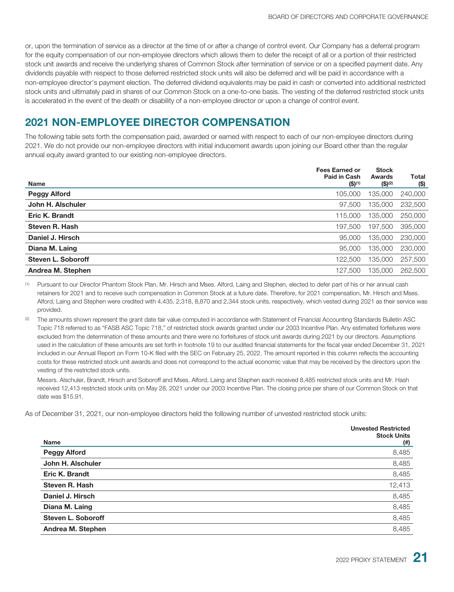or, upon the termination of service as a director at the time of or after a change of control event. Our Company has a deferral program for the equity compensation of our non-employee directors which allows them to defer the receipt of all or a portion of their restricted stock unit awards and receive the underlying shares of Common Stock after termination of service or on a specified payment date. Any dividends payable with respect to those deferred restricted stock units will also be deferred and will be paid in accordance with a non-employee director's payment election. The deferred dividend equivalents may be paid in cash or converted into additional restricted stock units and ultimately paid in shares of our Common Stock on a one-to-one basis. The vesting of the deferred restricted stock units is accelerated in the event of the death or disability of a non-employee director or upon a change of control event.

## **2021 NON-EMPLOYEE DIRECTOR COMPENSATION**

The following table sets forth the compensation paid, awarded or earned with respect to each of our non-employee directors during 2021. We do not provide our non-employee directors with initial inducement awards upon joining our Board other than the regular annual equity award granted to our existing non-employee directors.

| <b>Name</b>               | <b>Fees Earned or</b><br>Paid in Cash<br>$($ \$) <sup>(1)</sup> | <b>Stock</b><br><b>Awards</b><br>$($ \$) <sup>(2)</sup> | Total<br>(\$) |
|---------------------------|-----------------------------------------------------------------|---------------------------------------------------------|---------------|
| <b>Peggy Alford</b>       | 105,000                                                         | 135,000                                                 | 240,000       |
| John H. Alschuler         | 97.500                                                          | 135,000                                                 | 232,500       |
| Eric K. Brandt            | 115,000                                                         | 135,000                                                 | 250,000       |
| Steven R. Hash            | 197,500                                                         | 197,500                                                 | 395,000       |
| Daniel J. Hirsch          | 95,000                                                          | 135,000                                                 | 230,000       |
| Diana M. Laing            | 95,000                                                          | 135,000                                                 | 230,000       |
| <b>Steven L. Soboroff</b> | 122,500                                                         | 135,000                                                 | 257,500       |
| Andrea M. Stephen         | 127,500                                                         | 135,000                                                 | 262,500       |

(1) Pursuant to our Director Phantom Stock Plan, Mr. Hirsch and Mses. Alford, Laing and Stephen, elected to defer part of his or her annual cash retainers for 2021 and to receive such compensation in Common Stock at a future date. Therefore, for 2021 compensation, Mr. Hirsch and Mses. Alford, Laing and Stephen were credited with 4,435, 2,318, 8,870 and 2,344 stock units, respectively, which vested during 2021 as their service was provided.

<sup>(2)</sup> The amounts shown represent the grant date fair value computed in accordance with Statement of Financial Accounting Standards Bulletin ASC Topic 718 referred to as "FASB ASC Topic 718," of restricted stock awards granted under our 2003 Incentive Plan. Any estimated forfeitures were excluded from the determination of these amounts and there were no forfeitures of stock unit awards during 2021 by our directors. Assumptions used in the calculation of these amounts are set forth in footnote 19 to our audited financial statements for the fiscal year ended December 31, 2021 included in our Annual Report on Form 10-K filed with the SEC on February 25, 2022. The amount reported in this column reflects the accounting costs for these restricted stock unit awards and does not correspond to the actual economic value that may be received by the directors upon the vesting of the restricted stock units.

Messrs. Alschuler, Brandt, Hirsch and Soboroff and Mses. Alford, Laing and Stephen each received 8,485 restricted stock units and Mr. Hash received 12,413 restricted stock units on May 28, 2021 under our 2003 Incentive Plan. The closing price per share of our Common Stock on that date was \$15.91.

As of December 31, 2021, our non-employee directors held the following number of unvested restricted stock units:

|                           | <b>Unvested Restricted</b><br><b>Stock Units</b> |
|---------------------------|--------------------------------------------------|
| <b>Name</b>               | $^{(ii)}$                                        |
| <b>Peggy Alford</b>       | 8,485                                            |
| John H. Alschuler         | 8,485                                            |
| Eric K. Brandt            | 8,485                                            |
| Steven R. Hash            | 12,413                                           |
| Daniel J. Hirsch          | 8,485                                            |
| Diana M. Laing            | 8,485                                            |
| <b>Steven L. Soboroff</b> | 8,485                                            |
| Andrea M. Stephen         | 8,485                                            |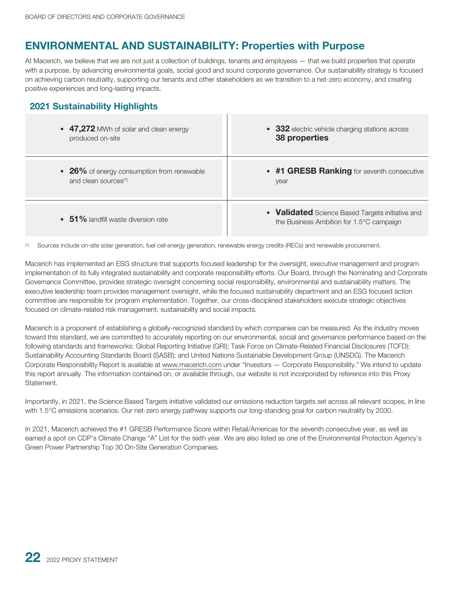## **ENVIRONMENTAL AND SUSTAINABILITY: Properties with Purpose**

At Macerich, we believe that we are not just a collection of buildings, tenants and employees — that we build properties that operate with a purpose, by advancing environmental goals, social good and sound corporate governance. Our sustainability strategy is focused on achieving carbon neutrality, supporting our tenants and other stakeholders as we transition to a net-zero economy, and creating positive experiences and long-lasting impacts.

## **2021 Sustainability Highlights**

| • 47,272 MWh of solar and clean energy     | • 332 electric vehicle charging stations across                                              |
|--------------------------------------------|----------------------------------------------------------------------------------------------|
| produced on-site                           | 38 properties                                                                                |
| • 26% of energy consumption from renewable | • #1 GRESB Ranking for seventh consecutive                                                   |
| and clean sources <sup>(1)</sup>           | year                                                                                         |
| $\cdot$ 51% landfill waste diversion rate  | • Validated Science Based Targets initiative and<br>the Business Ambition for 1.5°C campaign |

(1) Sources include on-site solar generation, fuel cell energy generation, renewable energy credits (RECs) and renewable procurement.

Macerich has implemented an ESG structure that supports focused leadership for the oversight, executive management and program implementation of its fully integrated sustainability and corporate responsibility efforts. Our Board, through the Nominating and Corporate Governance Committee, provides strategic oversight concerning social responsibility, environmental and sustainability matters. The executive leadership team provides management oversight, while the focused sustainability department and an ESG focused action committee are responsible for program implementation. Together, our cross-disciplined stakeholders execute strategic objectives focused on climate-related risk management, sustainability and social impacts.

Macerich is a proponent of establishing a globally-recognized standard by which companies can be measured. As the industry moves toward this standard, we are committed to accurately reporting on our environmental, social and governance performance based on the following standards and frameworks: Global Reporting Initiative (GRI); Task Force on Climate-Related Financial Disclosures (TCFD); Sustainability Accounting Standards Board (SASB); and United Nations Sustainable Development Group (UNSDG). The Macerich Corporate Responsibility Report is available at www.macerich.com under "Investors — Corporate Responsibility." We intend to update this report annually. The information contained on, or available through, our website is not incorporated by reference into this Proxy Statement.

Importantly, in 2021, the Science Based Targets initiative validated our emissions reduction targets set across all relevant scopes, in line with 1.5°C emissions scenarios. Our net-zero energy pathway supports our long-standing goal for carbon neutrality by 2030.

In 2021, Macerich achieved the #1 GRESB Performance Score within Retail/Americas for the seventh consecutive year, as well as earned a spot on CDP's Climate Change "A" List for the sixth year. We are also listed as one of the Environmental Protection Agency's Green Power Partnership Top 30 On-Site Generation Companies.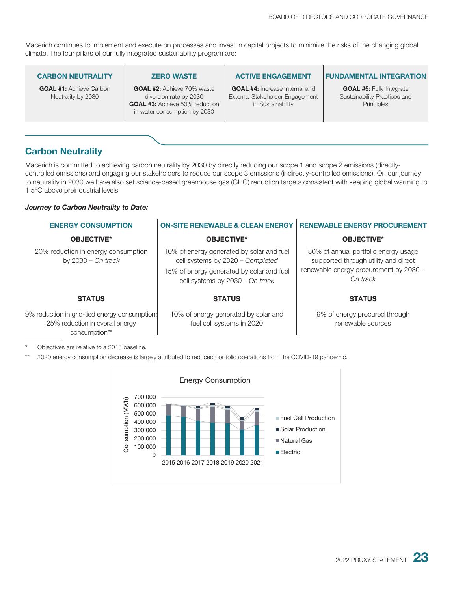Macerich continues to implement and execute on processes and invest in capital projects to minimize the risks of the changing global climate. The four pillars of our fully integrated sustainability program are:

#### **CARBON NEUTRALITY**

**GOAL #1:** Achieve Carbon Neutrality by 2030

#### **ZERO WASTE**

**GOAL #2:** Achieve 70% waste diversion rate by 2030 **GOAL #3:** Achieve 50% reduction in water consumption by 2030

#### **ACTIVE ENGAGEMENT**

**GOAL #4:** Increase Internal and External Stakeholder Engagement in Sustainability

#### **FUNDAMENTAL INTEGRATION**

**GOAL #5:** Fully Integrate Sustainability Practices and **Principles** 

### **Carbon Neutrality**

Macerich is committed to achieving carbon neutrality by 2030 by directly reducing our scope 1 and scope 2 emissions (directlycontrolled emissions) and engaging our stakeholders to reduce our scope 3 emissions (indirectly-controlled emissions). On our journey to neutrality in 2030 we have also set science-based greenhouse gas (GHG) reduction targets consistent with keeping global warming to 1.5°C above preindustrial levels.

#### *Journey to Carbon Neutrality to Date:*

| <b>ON-SITE RENEWABLE &amp; CLEAN ENERGY</b>                                                                        | <b>RENEWABLE ENERGY PROCUREMENT</b>                                          |
|--------------------------------------------------------------------------------------------------------------------|------------------------------------------------------------------------------|
| <b>OBJECTIVE*</b>                                                                                                  | <b>OBJECTIVE*</b>                                                            |
| 10% of energy generated by solar and fuel<br>cell systems by 2020 - Completed                                      | 50% of annual portfolio energy usage<br>supported through utility and direct |
| 15% of energy generated by solar and fuel<br>cell systems by 2030 - On track                                       | renewable energy procurement by 2030 -<br>On track                           |
| <b>STATUS</b>                                                                                                      | <b>STATUS</b>                                                                |
| 9% reduction in grid-tied energy consumption;<br>10% of energy generated by solar and<br>fuel cell systems in 2020 | 9% of energy procured through<br>renewable sources                           |
|                                                                                                                    |                                                                              |

Objectives are relative to a 2015 baseline.

\*\* 2020 energy consumption decrease is largely attributed to reduced portfolio operations from the COVID-19 pandemic.

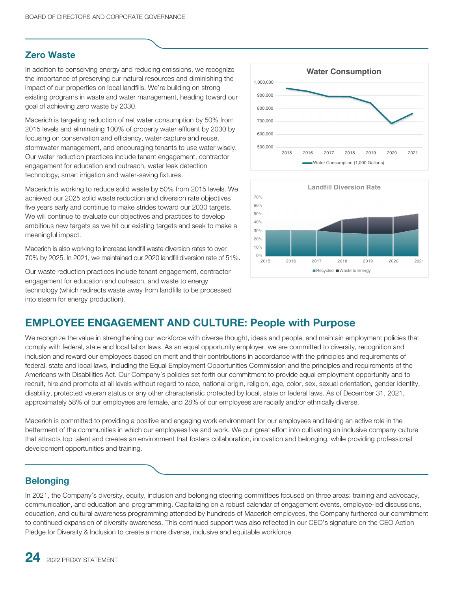### **Zero Waste**

In addition to conserving energy and reducing emissions, we recognize the importance of preserving our natural resources and diminishing the impact of our properties on local landfills. We're building on strong existing programs in waste and water management, heading toward our goal of achieving zero waste by 2030.

Macerich is targeting reduction of net water consumption by 50% from 2015 levels and eliminating 100% of property water effluent by 2030 by focusing on conservation and efficiency, water capture and reuse, stormwater management, and encouraging tenants to use water wisely. Our water reduction practices include tenant engagement, contractor engagement for education and outreach, water leak detection technology, smart irrigation and water-saving fixtures.

Macerich is working to reduce solid waste by 50% from 2015 levels. We achieved our 2025 solid waste reduction and diversion rate objectives five years early and continue to make strides toward our 2030 targets. We will continue to evaluate our objectives and practices to develop ambitious new targets as we hit our existing targets and seek to make a meaningful impact.

Macerich is also working to increase landfill waste diversion rates to over 70% by 2025. In 2021, we maintained our 2020 landfill diversion rate of 51%.

Our waste reduction practices include tenant engagement, contractor engagement for education and outreach, and waste to energy technology (which redirects waste away from landfills to be processed into steam for energy production).





## **EMPLOYEE ENGAGEMENT AND CULTURE: People with Purpose**

We recognize the value in strengthening our workforce with diverse thought, ideas and people, and maintain employment policies that comply with federal, state and local labor laws. As an equal opportunity employer, we are committed to diversity, recognition and inclusion and reward our employees based on merit and their contributions in accordance with the principles and requirements of federal, state and local laws, including the Equal Employment Opportunities Commission and the principles and requirements of the Americans with Disabilities Act. Our Company's policies set forth our commitment to provide equal employment opportunity and to recruit, hire and promote at all levels without regard to race, national origin, religion, age, color, sex, sexual orientation, gender identity, disability, protected veteran status or any other characteristic protected by local, state or federal laws. As of December 31, 2021, approximately 58% of our employees are female, and 28% of our employees are racially and/or ethnically diverse.

Macerich is committed to providing a positive and engaging work environment for our employees and taking an active role in the betterment of the communities in which our employees live and work. We put great effort into cultivating an inclusive company culture that attracts top talent and creates an environment that fosters collaboration, innovation and belonging, while providing professional development opportunities and training.

## **Belonging**

In 2021, the Company's diversity, equity, inclusion and belonging steering committees focused on three areas: training and advocacy, communication, and education and programming. Capitalizing on a robust calendar of engagement events, employee-led discussions, education, and cultural awareness programming attended by hundreds of Macerich employees, the Company furthered our commitment to continued expansion of diversity awareness. This continued support was also reflected in our CEO's signature on the CEO Action Pledge for Diversity & Inclusion to create a more diverse, inclusive and equitable workforce.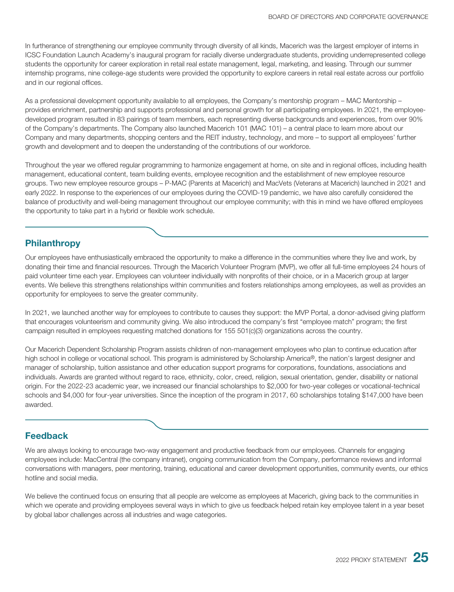In furtherance of strengthening our employee community through diversity of all kinds, Macerich was the largest employer of interns in ICSC Foundation Launch Academy's inaugural program for racially diverse undergraduate students, providing underrepresented college students the opportunity for career exploration in retail real estate management, legal, marketing, and leasing. Through our summer internship programs, nine college-age students were provided the opportunity to explore careers in retail real estate across our portfolio and in our regional offices.

As a professional development opportunity available to all employees, the Company's mentorship program – MAC Mentorship – provides enrichment, partnership and supports professional and personal growth for all participating employees. In 2021, the employeedeveloped program resulted in 83 pairings of team members, each representing diverse backgrounds and experiences, from over 90% of the Company's departments. The Company also launched Macerich 101 (MAC 101) – a central place to learn more about our Company and many departments, shopping centers and the REIT industry, technology, and more – to support all employees' further growth and development and to deepen the understanding of the contributions of our workforce.

Throughout the year we offered regular programming to harmonize engagement at home, on site and in regional offices, including health management, educational content, team building events, employee recognition and the establishment of new employee resource groups. Two new employee resource groups – P-MAC (Parents at Macerich) and MacVets (Veterans at Macerich) launched in 2021 and early 2022. In response to the experiences of our employees during the COVID-19 pandemic, we have also carefully considered the balance of productivity and well-being management throughout our employee community; with this in mind we have offered employees the opportunity to take part in a hybrid or flexible work schedule.

### **Philanthropy**

Our employees have enthusiastically embraced the opportunity to make a difference in the communities where they live and work, by donating their time and financial resources. Through the Macerich Volunteer Program (MVP), we offer all full-time employees 24 hours of paid volunteer time each year. Employees can volunteer individually with nonprofits of their choice, or in a Macerich group at larger events. We believe this strengthens relationships within communities and fosters relationships among employees, as well as provides an opportunity for employees to serve the greater community.

In 2021, we launched another way for employees to contribute to causes they support: the MVP Portal, a donor-advised giving platform that encourages volunteerism and community giving. We also introduced the company's first "employee match" program; the first campaign resulted in employees requesting matched donations for 155 501(c)(3) organizations across the country.

Our Macerich Dependent Scholarship Program assists children of non-management employees who plan to continue education after high school in college or vocational school. This program is administered by Scholarship America®, the nation's largest designer and manager of scholarship, tuition assistance and other education support programs for corporations, foundations, associations and individuals. Awards are granted without regard to race, ethnicity, color, creed, religion, sexual orientation, gender, disability or national origin. For the 2022-23 academic year, we increased our financial scholarships to \$2,000 for two-year colleges or vocational-technical schools and \$4,000 for four-year universities. Since the inception of the program in 2017, 60 scholarships totaling \$147,000 have been awarded.

### **Feedback**

We are always looking to encourage two-way engagement and productive feedback from our employees. Channels for engaging employees include: MacCentral (the company intranet), ongoing communication from the Company, performance reviews and informal conversations with managers, peer mentoring, training, educational and career development opportunities, community events, our ethics hotline and social media.

We believe the continued focus on ensuring that all people are welcome as employees at Macerich, giving back to the communities in which we operate and providing employees several ways in which to give us feedback helped retain key employee talent in a year beset by global labor challenges across all industries and wage categories.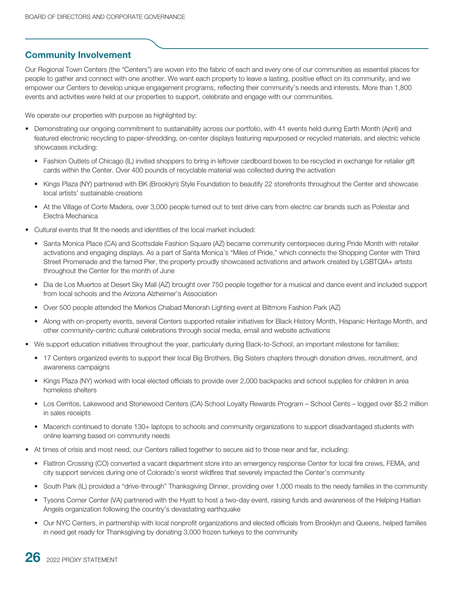## **Community Involvement**

Our Regional Town Centers (the "Centers") are woven into the fabric of each and every one of our communities as essential places for people to gather and connect with one another. We want each property to leave a lasting, positive effect on its community, and we empower our Centers to develop unique engagement programs, reflecting their community's needs and interests. More than 1,800 events and activities were held at our properties to support, celebrate and engage with our communities.

We operate our properties with purpose as highlighted by:

- Demonstrating our ongoing commitment to sustainability across our portfolio, with 41 events held during Earth Month (April) and featured electronic recycling to paper-shredding, on-center displays featuring repurposed or recycled materials, and electric vehicle showcases including:
	- Fashion Outlets of Chicago (IL) invited shoppers to bring in leftover cardboard boxes to be recycled in exchange for retailer gift cards within the Center. Over 400 pounds of recyclable material was collected during the activation
	- Kings Plaza (NY) partnered with BK (Brooklyn) Style Foundation to beautify 22 storefronts throughout the Center and showcase local artists' sustainable creations
	- At the Village of Corte Madera, over 3,000 people turned out to test drive cars from electric car brands such as Polestar and Electra Mechanica
- Cultural events that fit the needs and identities of the local market included:
	- Santa Monica Place (CA) and Scottsdale Fashion Square (AZ) became community centerpieces during Pride Month with retailer activations and engaging displays. As a part of Santa Monica's "Miles of Pride," which connects the Shopping Center with Third Street Promenade and the famed Pier, the property proudly showcased activations and artwork created by LGBTQIA+ artists throughout the Center for the month of June
	- Dia de Los Muertos at Desert Sky Mall (AZ) brought over 750 people together for a musical and dance event and included support from local schools and the Arizona Alzheimer's Association
	- Over 500 people attended the Merkos Chabad Menorah Lighting event at Biltmore Fashion Park (AZ)
	- Along with on-property events, several Centers supported retailer initiatives for Black History Month, Hispanic Heritage Month, and other community-centric cultural celebrations through social media, email and website activations
- We support education initiatives throughout the year, particularly during Back-to-School, an important milestone for families:
	- 17 Centers organized events to support their local Big Brothers, Big Sisters chapters through donation drives, recruitment, and awareness campaigns
	- Kings Plaza (NY) worked with local elected officials to provide over 2,000 backpacks and school supplies for children in area homeless shelters
	- Los Cerritos, Lakewood and Stonewood Centers (CA) School Loyalty Rewards Program School Cents logged over \$5.2 million in sales receipts
	- Macerich continued to donate 130+ laptops to schools and community organizations to support disadvantaged students with online learning based on community needs
- At times of crisis and most need, our Centers rallied together to secure aid to those near and far, including:
	- FlatIron Crossing (CO) converted a vacant department store into an emergency response Center for local fire crews, FEMA, and city support services during one of Colorado's worst wildfires that severely impacted the Center's community
	- South Park (IL) provided a "drive-through" Thanksgiving Dinner, providing over 1,000 meals to the needy families in the community
	- Tysons Corner Center (VA) partnered with the Hyatt to host a two-day event, raising funds and awareness of the Helping Haitian Angels organization following the country's devastating earthquake
	- Our NYC Centers, in partnership with local nonprofit organizations and elected officials from Brooklyn and Queens, helped families in need get ready for Thanksgiving by donating 3,000 frozen turkeys to the community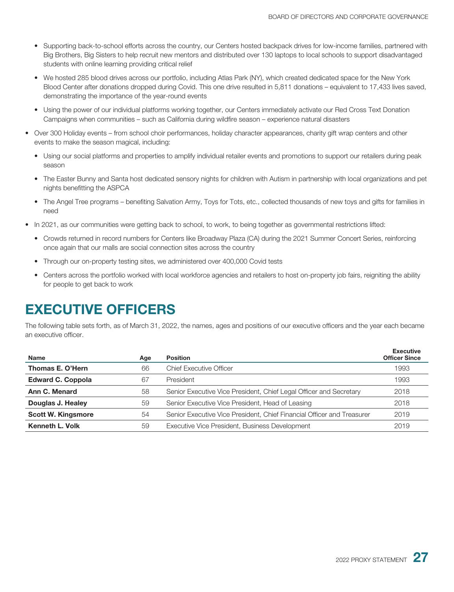- Supporting back-to-school efforts across the country, our Centers hosted backpack drives for low-income families, partnered with Big Brothers, Big Sisters to help recruit new mentors and distributed over 130 laptops to local schools to support disadvantaged students with online learning providing critical relief
- We hosted 285 blood drives across our portfolio, including Atlas Park (NY), which created dedicated space for the New York Blood Center after donations dropped during Covid. This one drive resulted in 5,811 donations – equivalent to 17,433 lives saved, demonstrating the importance of the year-round events
- Using the power of our individual platforms working together, our Centers immediately activate our Red Cross Text Donation Campaigns when communities – such as California during wildfire season – experience natural disasters
- Over 300 Holiday events from school choir performances, holiday character appearances, charity gift wrap centers and other events to make the season magical, including:
	- Using our social platforms and properties to amplify individual retailer events and promotions to support our retailers during peak season
	- The Easter Bunny and Santa host dedicated sensory nights for children with Autism in partnership with local organizations and pet nights benefitting the ASPCA
	- The Angel Tree programs benefiting Salvation Army, Toys for Tots, etc., collected thousands of new toys and gifts for families in need
- In 2021, as our communities were getting back to school, to work, to being together as governmental restrictions lifted:
	- Crowds returned in record numbers for Centers like Broadway Plaza (CA) during the 2021 Summer Concert Series, reinforcing once again that our malls are social connection sites across the country
	- Through our on-property testing sites, we administered over 400,000 Covid tests
	- Centers across the portfolio worked with local workforce agencies and retailers to host on-property job fairs, reigniting the ability for people to get back to work

## <span id="page-35-0"></span>**EXECUTIVE OFFICERS**

The following table sets forth, as of March 31, 2022, the names, ages and positions of our executive officers and the year each became an executive officer.

| Name                      | Age | <b>Position</b>                                                        | <b>Executive</b><br><b>Officer Since</b> |
|---------------------------|-----|------------------------------------------------------------------------|------------------------------------------|
| Thomas E. O'Hern          | 66  | <b>Chief Executive Officer</b>                                         | 1993                                     |
| <b>Edward C. Coppola</b>  | 67  | President                                                              | 1993                                     |
| Ann C. Menard             | 58  | Senior Executive Vice President, Chief Legal Officer and Secretary     | 2018                                     |
| Douglas J. Healey         | 59  | Senior Executive Vice President, Head of Leasing                       | 2018                                     |
| <b>Scott W. Kingsmore</b> | 54  | Senior Executive Vice President, Chief Financial Officer and Treasurer | 2019                                     |
| Kenneth L. Volk           | 59  | Executive Vice President, Business Development                         | 2019                                     |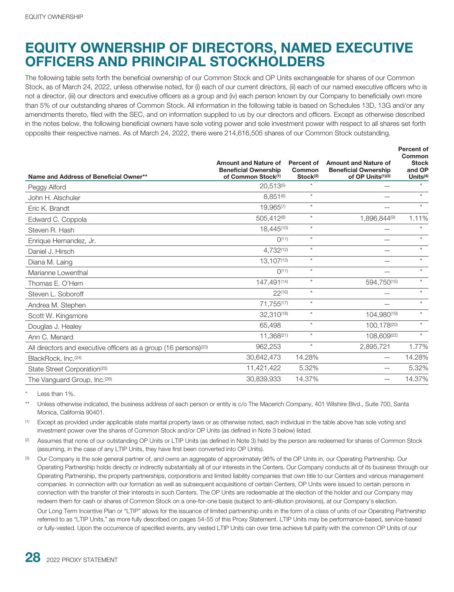# **EQUITY OWNERSHIP OF DIRECTORS, NAMED EXECUTIVE OFFICERS AND PRINCIPAL STOCKHOLDERS**

The following table sets forth the beneficial ownership of our Common Stock and OP Units exchangeable for shares of our Common Stock, as of March 24, 2022, unless otherwise noted, for (i) each of our current directors, (ii) each of our named executive officers who is not a director, (iii) our directors and executive officers as a group and (iv) each person known by our Company to beneficially own more than 5% of our outstanding shares of Common Stock. All information in the following table is based on Schedules 13D, 13G and/or any amendments thereto, filed with the SEC, and on information supplied to us by our directors and officers. Except as otherwise described in the notes below, the following beneficial owners have sole voting power and sole investment power with respect to all shares set forth opposite their respective names. As of March 24, 2022, there were 214,616,505 shares of our Common Stock outstanding.

| Name and Address of Beneficial Owner**                                       | <b>Amount and Nature of</b><br><b>Beneficial Ownership</b><br>of Common Stock <sup>(1)</sup> | Percent of<br>Common<br>Stock <sup>(2)</sup> | <b>Amount and Nature of</b><br><b>Beneficial Ownership</b><br>of OP Units(1)(3) | <b>Percent of</b><br>Common<br><b>Stock</b><br>and OP<br>Units $(4)$ |
|------------------------------------------------------------------------------|----------------------------------------------------------------------------------------------|----------------------------------------------|---------------------------------------------------------------------------------|----------------------------------------------------------------------|
| Peggy Alford                                                                 | 20,513(5)                                                                                    | $\star$                                      |                                                                                 | $\star$                                                              |
| John H. Alschuler                                                            | $8.851^{(6)}$                                                                                | $\star$                                      |                                                                                 | $*$                                                                  |
| Eric K. Brandt                                                               | 19,965(7)                                                                                    | $\star$                                      |                                                                                 | $\star$                                                              |
| Edward C. Coppola                                                            | 505,412(8)                                                                                   | $\star$                                      | 1,896,844(9)                                                                    | 1.11%                                                                |
| Steven R. Hash                                                               | 18.445(10)                                                                                   | $\star$                                      |                                                                                 | $\star$                                                              |
| Enrique Hernandez, Jr.                                                       | O(11)                                                                                        | $\star$                                      |                                                                                 | $\star$                                                              |
| Daniel J. Hirsch                                                             | 4.732(12)                                                                                    | $\star$                                      |                                                                                 | $\star$                                                              |
| Diana M. Laing                                                               | 13.107(13)                                                                                   | $\star$                                      |                                                                                 | $\star$                                                              |
| Marianne Lowenthal                                                           | O(11)                                                                                        | $\star$                                      |                                                                                 | $\star$                                                              |
| Thomas E. O'Hern                                                             | 147,491(14)                                                                                  | $\star$                                      | 594,750(15)                                                                     | $\star$                                                              |
| Steven L. Soboroff                                                           | $22^{(16)}$                                                                                  | $\star$                                      |                                                                                 | $\star$                                                              |
| Andrea M. Stephen                                                            | 71,755(17)                                                                                   | $\star$                                      |                                                                                 | $\star$                                                              |
| Scott W. Kingsmore                                                           | 32,310(18)                                                                                   | $\star$                                      | 104.980(19)                                                                     | $\star$                                                              |
| Douglas J. Healey                                                            | 65.498                                                                                       | $\star$                                      | 100.178(20)                                                                     | $\star$                                                              |
| Ann C. Menard                                                                | 11,368(21)                                                                                   | $\star$                                      | 108,609(22)                                                                     | $\star$                                                              |
| All directors and executive officers as a group (16 persons) <sup>(23)</sup> | 962,253                                                                                      | $\star$                                      | 2,895,721                                                                       | 1.77%                                                                |
| BlackRock, Inc.(24)                                                          | 30,642,473                                                                                   | 14.28%                                       |                                                                                 | 14.28%                                                               |
| State Street Corporation <sup>(25)</sup>                                     | 11,421,422                                                                                   | 5.32%                                        |                                                                                 | 5.32%                                                                |
| The Vanguard Group, Inc.(26)                                                 | 30,839,933                                                                                   | 14.37%                                       |                                                                                 | 14.37%                                                               |

Less than 1%.

Unless otherwise indicated, the business address of each person or entity is c/o The Macerich Company, 401 Wilshire Blvd., Suite 700, Santa Monica, California 90401.

(1) Except as provided under applicable state marital property laws or as otherwise noted, each individual in the table above has sole voting and investment power over the shares of Common Stock and/or OP Units (as defined in Note 3 below) listed.

Assumes that none of our outstanding OP Units or LTIP Units (as defined in Note 3) held by the person are redeemed for shares of Common Stock (assuming, in the case of any LTIP Units, they have first been converted into OP Units).

<sup>(3)</sup> Our Company is the sole general partner of, and owns an aggregate of approximately 96% of the OP Units in, our Operating Partnership. Our Operating Partnership holds directly or indirectly substantially all of our interests in the Centers. Our Company conducts all of its business through our Operating Partnership, the property partnerships, corporations and limited liability companies that own title to our Centers and various management companies. In connection with our formation as well as subsequent acquisitions of certain Centers, OP Units were issued to certain persons in connection with the transfer of their interests in such Centers. The OP Units are redeemable at the election of the holder and our Company may redeem them for cash or shares of Common Stock on a one-for-one basis (subject to anti-dilution provisions), at our Company's election.

Our Long Term Incentive Plan or "LTIP" allows for the issuance of limited partnership units in the form of a class of units of our Operating Partnership referred to as "LTIP Units," as more fully described on pages 54-55 of this Proxy Statement. LTIP Units may be performance-based, service-based or fully-vested. Upon the occurrence of specified events, any vested LTIP Units can over time achieve full parity with the common OP Units of our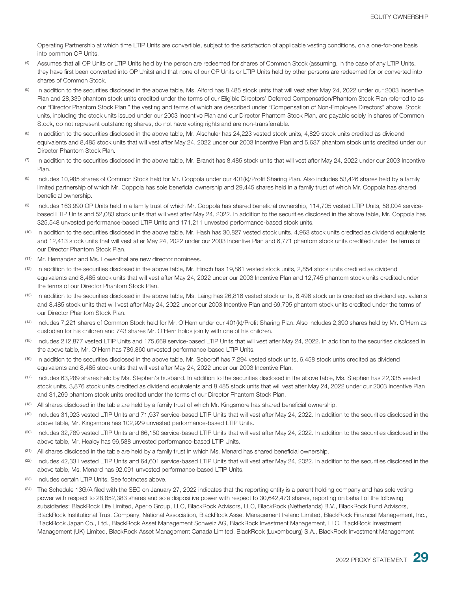Operating Partnership at which time LTIP Units are convertible, subject to the satisfaction of applicable vesting conditions, on a one-for-one basis into common OP Units.

- Assumes that all OP Units or LTIP Units held by the person are redeemed for shares of Common Stock (assuming, in the case of any LTIP Units, they have first been converted into OP Units) and that none of our OP Units or LTIP Units held by other persons are redeemed for or converted into shares of Common Stock.
- <sup>(5)</sup> In addition to the securities disclosed in the above table, Ms. Alford has 8,485 stock units that will vest after May 24, 2022 under our 2003 Incentive Plan and 28,339 phantom stock units credited under the terms of our Eligible Directors' Deferred Compensation/Phantom Stock Plan referred to as our "Director Phantom Stock Plan," the vesting and terms of which are described under "Compensation of Non-Employee Directors" above. Stock units, including the stock units issued under our 2003 Incentive Plan and our Director Phantom Stock Plan, are payable solely in shares of Common Stock, do not represent outstanding shares, do not have voting rights and are non-transferrable.
- $(6)$  In addition to the securities disclosed in the above table, Mr. Alschuler has 24,223 vested stock units, 4,829 stock units credited as dividend equivalents and 8,485 stock units that will vest after May 24, 2022 under our 2003 Incentive Plan and 5,637 phantom stock units credited under our Director Phantom Stock Plan.
- (7) In addition to the securities disclosed in the above table, Mr. Brandt has 8,485 stock units that will vest after May 24, 2022 under our 2003 Incentive Plan.
- (8) Includes 10,985 shares of Common Stock held for Mr. Coppola under our 401(k)/Profit Sharing Plan. Also includes 53,426 shares held by a family limited partnership of which Mr. Coppola has sole beneficial ownership and 29,445 shares held in a family trust of which Mr. Coppola has shared beneficial ownership.
- (9) Includes 163,990 OP Units held in a family trust of which Mr. Coppola has shared beneficial ownership, 114,705 vested LTIP Units, 58,004 servicebased LTIP Units and 52,083 stock units that will vest after May 24, 2022. In addition to the securities disclosed in the above table, Mr. Coppola has 325,548 unvested performance-based LTIP Units and 171,211 unvested performance-based stock units.
- (10) In addition to the securities disclosed in the above table, Mr. Hash has 30,827 vested stock units, 4,963 stock units credited as dividend equivalents and 12,413 stock units that will vest after May 24, 2022 under our 2003 Incentive Plan and 6,771 phantom stock units credited under the terms of our Director Phantom Stock Plan.
- (11) Mr. Hernandez and Ms. Lowenthal are new director nominees.
- (12) In addition to the securities disclosed in the above table, Mr. Hirsch has 19,861 vested stock units, 2,854 stock units credited as dividend equivalents and 8,485 stock units that will vest after May 24, 2022 under our 2003 Incentive Plan and 12,745 phantom stock units credited under the terms of our Director Phantom Stock Plan.
- (13) In addition to the securities disclosed in the above table, Ms. Laing has 26,816 vested stock units, 6,496 stock units credited as dividend equivalents and 8,485 stock units that will vest after May 24, 2022 under our 2003 Incentive Plan and 69,795 phantom stock units credited under the terms of our Director Phantom Stock Plan.
- (14) Includes 7,221 shares of Common Stock held for Mr. O'Hern under our 401(k)/Profit Sharing Plan. Also includes 2,390 shares held by Mr. O'Hern as custodian for his children and 743 shares Mr. O'Hern holds jointly with one of his children.
- (15) Includes 212,877 vested LTIP Units and 175,669 service-based LTIP Units that will vest after May 24, 2022. In addition to the securities disclosed in the above table, Mr. O'Hern has 789,860 unvested performance-based LTIP Units.
- (16) In addition to the securities disclosed in the above table, Mr. Soboroff has 7,294 vested stock units, 6,458 stock units credited as dividend equivalents and 8,485 stock units that will vest after May 24, 2022 under our 2003 Incentive Plan.
- (17) Includes 63,289 shares held by Ms. Stephen's husband. In addition to the securities disclosed in the above table, Ms. Stephen has 22,335 vested stock units, 3,876 stock units credited as dividend equivalents and 8,485 stock units that will vest after May 24, 2022 under our 2003 Incentive Plan and 31,269 phantom stock units credited under the terms of our Director Phantom Stock Plan.
- (18) All shares disclosed in the table are held by a family trust of which Mr. Kingsmore has shared beneficial ownership.
- Includes 31,923 vested LTIP Units and 71,937 service-based LTIP Units that will vest after May 24, 2022. In addition to the securities disclosed in the above table, Mr. Kingsmore has 102,929 unvested performance-based LTIP Units.
- (20) Includes 32,789 vested LTIP Units and 66,150 service-based LTIP Units that will vest after May 24, 2022. In addition to the securities disclosed in the above table, Mr. Healey has 96,588 unvested performance-based LTIP Units.
- $(21)$  All shares disclosed in the table are held by a family trust in which Ms. Menard has shared beneficial ownership.
- (22) Includes 42,331 vested LTIP Units and 64,601 service-based LTIP Units that will vest after May 24, 2022. In addition to the securities disclosed in the above table, Ms. Menard has 92,091 unvested performance-based LTIP Units.
- (23) Includes certain LTIP Units. See footnotes above.
- $(24)$  The Schedule 13G/A filed with the SEC on January 27, 2022 indicates that the reporting entity is a parent holding company and has sole voting power with respect to 28,852,383 shares and sole dispositive power with respect to 30,642,473 shares, reporting on behalf of the following subsidiaries: BlackRock Life Limited, Aperio Group, LLC, BlackRock Advisors, LLC, BlackRock (Netherlands) B.V., BlackRock Fund Advisors, BlackRock Institutional Trust Company, National Association, BlackRock Asset Management Ireland Limited, BlackRock Financial Management, Inc., BlackRock Japan Co., Ltd., BlackRock Asset Management Schweiz AG, BlackRock Investment Management, LLC, BlackRock Investment Management (UK) Limited, BlackRock Asset Management Canada Limited, BlackRock (Luxembourg) S.A., BlackRock Investment Management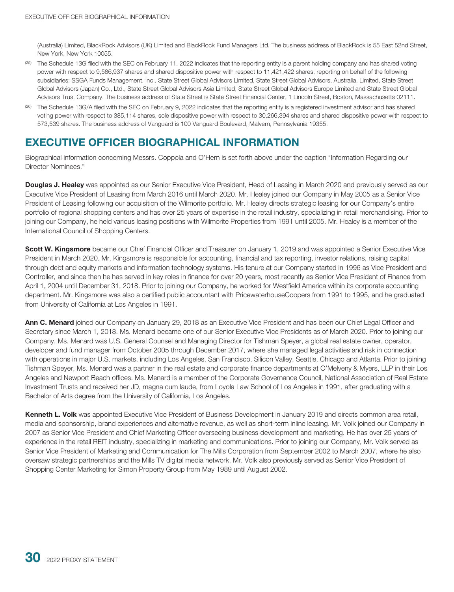(Australia) Limited, BlackRock Advisors (UK) Limited and BlackRock Fund Managers Ltd. The business address of BlackRock is 55 East 52nd Street, New York, New York 10055.

- (25) The Schedule 13G filed with the SEC on February 11, 2022 indicates that the reporting entity is a parent holding company and has shared voting power with respect to 9,586,937 shares and shared dispositive power with respect to 11,421,422 shares, reporting on behalf of the following subsidiaries: SSGA Funds Management, Inc., State Street Global Advisors Limited, State Street Global Advisors, Australia, Limited, State Street Global Advisors (Japan) Co., Ltd., State Street Global Advisors Asia Limited, State Street Global Advisors Europe Limited and State Street Global Advisors Trust Company. The business address of State Street is State Street Financial Center, 1 Lincoln Street, Boston, Massachusetts 02111.
- (26) The Schedule 13G/A filed with the SEC on February 9, 2022 indicates that the reporting entity is a registered investment advisor and has shared voting power with respect to 385,114 shares, sole dispositive power with respect to 30,266,394 shares and shared dispositive power with respect to 573,539 shares. The business address of Vanguard is 100 Vanguard Boulevard, Malvern, Pennsylvania 19355.

## **EXECUTIVE OFFICER BIOGRAPHICAL INFORMATION**

Biographical information concerning Messrs. Coppola and O'Hern is set forth above under the caption "Information Regarding our Director Nominees."

**Douglas J. Healey** was appointed as our Senior Executive Vice President, Head of Leasing in March 2020 and previously served as our Executive Vice President of Leasing from March 2016 until March 2020. Mr. Healey joined our Company in May 2005 as a Senior Vice President of Leasing following our acquisition of the Wilmorite portfolio. Mr. Healey directs strategic leasing for our Company's entire portfolio of regional shopping centers and has over 25 years of expertise in the retail industry, specializing in retail merchandising. Prior to joining our Company, he held various leasing positions with Wilmorite Properties from 1991 until 2005. Mr. Healey is a member of the International Council of Shopping Centers.

**Scott W. Kingsmore** became our Chief Financial Officer and Treasurer on January 1, 2019 and was appointed a Senior Executive Vice President in March 2020. Mr. Kingsmore is responsible for accounting, financial and tax reporting, investor relations, raising capital through debt and equity markets and information technology systems. His tenure at our Company started in 1996 as Vice President and Controller, and since then he has served in key roles in finance for over 20 years, most recently as Senior Vice President of Finance from April 1, 2004 until December 31, 2018. Prior to joining our Company, he worked for Westfield America within its corporate accounting department. Mr. Kingsmore was also a certified public accountant with PricewaterhouseCoopers from 1991 to 1995, and he graduated from University of California at Los Angeles in 1991.

**Ann C. Menard** joined our Company on January 29, 2018 as an Executive Vice President and has been our Chief Legal Officer and Secretary since March 1, 2018. Ms. Menard became one of our Senior Executive Vice Presidents as of March 2020. Prior to joining our Company, Ms. Menard was U.S. General Counsel and Managing Director for Tishman Speyer, a global real estate owner, operator, developer and fund manager from October 2005 through December 2017, where she managed legal activities and risk in connection with operations in major U.S. markets, including Los Angeles, San Francisco, Silicon Valley, Seattle, Chicago and Atlanta. Prior to joining Tishman Speyer, Ms. Menard was a partner in the real estate and corporate finance departments at O'Melveny & Myers, LLP in their Los Angeles and Newport Beach offices. Ms. Menard is a member of the Corporate Governance Council, National Association of Real Estate Investment Trusts and received her JD, magna cum laude, from Loyola Law School of Los Angeles in 1991, after graduating with a Bachelor of Arts degree from the University of California, Los Angeles.

**Kenneth L. Volk** was appointed Executive Vice President of Business Development in January 2019 and directs common area retail, media and sponsorship, brand experiences and alternative revenue, as well as short-term inline leasing. Mr. Volk joined our Company in 2007 as Senior Vice President and Chief Marketing Officer overseeing business development and marketing. He has over 25 years of experience in the retail REIT industry, specializing in marketing and communications. Prior to joining our Company, Mr. Volk served as Senior Vice President of Marketing and Communication for The Mills Corporation from September 2002 to March 2007, where he also oversaw strategic partnerships and the Mills TV digital media network. Mr. Volk also previously served as Senior Vice President of Shopping Center Marketing for Simon Property Group from May 1989 until August 2002.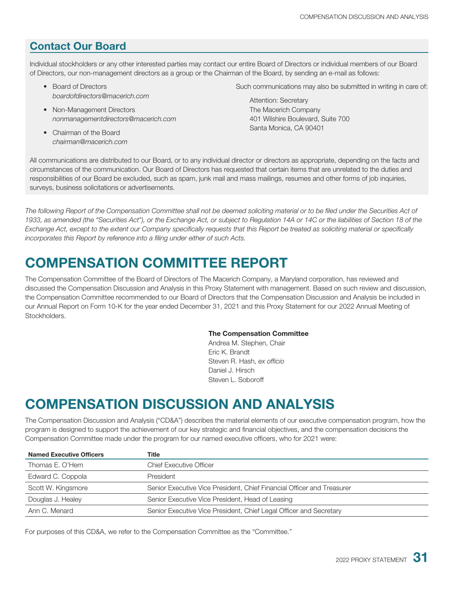### **Contact Our Board**

Individual stockholders or any other interested parties may contact our entire Board of Directors or individual members of our Board of Directors, our non-management directors as a group or the Chairman of the Board, by sending an e-mail as follows:

- Board of Directors *boardofdirectors@macerich.com*
- Non-Management Directors *nonmanagementdirectors@macerich.com*
- Chairman of the Board *chairman@macerich.com*

Such communications may also be submitted in writing in care of:

Attention: Secretary The Macerich Company 401 Wilshire Boulevard, Suite 700 Santa Monica, CA 90401

All communications are distributed to our Board, or to any individual director or directors as appropriate, depending on the facts and circumstances of the communication. Our Board of Directors has requested that certain items that are unrelated to the duties and responsibilities of our Board be excluded, such as spam, junk mail and mass mailings, resumes and other forms of job inquiries, surveys, business solicitations or advertisements.

*The following Report of the Compensation Committee shall not be deemed soliciting material or to be filed under the Securities Act of 1933, as amended (the "Securities Act"), or the Exchange Act, or subject to Regulation 14A or 14C or the liabilities of Section 18 of the Exchange Act, except to the extent our Company specifically requests that this Report be treated as soliciting material or specifically incorporates this Report by reference into a filing under either of such Acts.*

# **COMPENSATION COMMITTEE REPORT**

The Compensation Committee of the Board of Directors of The Macerich Company, a Maryland corporation, has reviewed and discussed the Compensation Discussion and Analysis in this Proxy Statement with management. Based on such review and discussion, the Compensation Committee recommended to our Board of Directors that the Compensation Discussion and Analysis be included in our Annual Report on Form 10-K for the year ended December 31, 2021 and this Proxy Statement for our 2022 Annual Meeting of Stockholders.

#### **The Compensation Committee**

Andrea M. Stephen, Chair Eric K. Brandt Steven R. Hash, *ex officio* Daniel J. Hirsch Steven L. Soboroff

# **COMPENSATION DISCUSSION AND ANALYSIS**

The Compensation Discussion and Analysis ("CD&A") describes the material elements of our executive compensation program, how the program is designed to support the achievement of our key strategic and financial objectives, and the compensation decisions the Compensation Committee made under the program for our named executive officers, who for 2021 were:

| <b>Named Executive Officers</b> | Title                                                                  |
|---------------------------------|------------------------------------------------------------------------|
| Thomas E. O'Hern                | <b>Chief Executive Officer</b>                                         |
| Edward C. Coppola               | President                                                              |
| Scott W. Kingsmore              | Senior Executive Vice President, Chief Financial Officer and Treasurer |
| Douglas J. Healey               | Senior Executive Vice President, Head of Leasing                       |
| Ann C. Menard                   | Senior Executive Vice President, Chief Legal Officer and Secretary     |

For purposes of this CD&A, we refer to the Compensation Committee as the "Committee."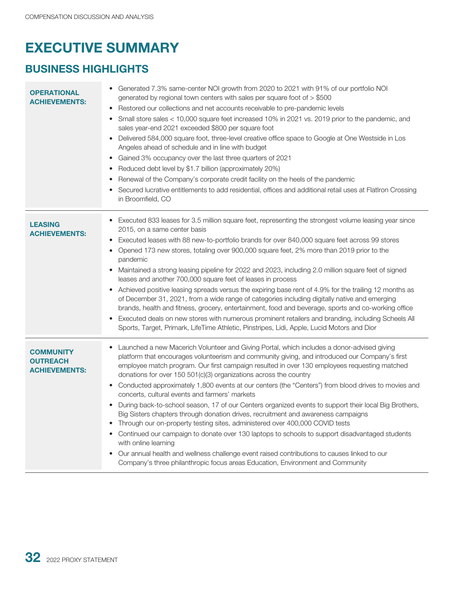# **EXECUTIVE SUMMARY**

## **BUSINESS HIGHLIGHTS**

| <b>OPERATIONAL</b><br><b>ACHIEVEMENTS:</b>                  | Generated 7.3% same-center NOI growth from 2020 to 2021 with 91% of our portfolio NOI<br>generated by regional town centers with sales per square foot of $>$ \$500<br>Restored our collections and net accounts receivable to pre-pandemic levels<br>Small store sales < 10,000 square feet increased 10% in 2021 vs. 2019 prior to the pandemic, and<br>sales year-end 2021 exceeded \$800 per square foot<br>Delivered 584,000 square foot, three-level creative office space to Google at One Westside in Los<br>Angeles ahead of schedule and in line with budget<br>• Gained 3% occupancy over the last three quarters of 2021<br>Reduced debt level by \$1.7 billion (approximately 20%)<br>٠<br>Renewal of the Company's corporate credit facility on the heels of the pandemic<br>٠<br>Secured lucrative entitlements to add residential, offices and additional retail uses at FlatIron Crossing<br>in Broomfield, CO                                                                                                                                                                                                                            |
|-------------------------------------------------------------|------------------------------------------------------------------------------------------------------------------------------------------------------------------------------------------------------------------------------------------------------------------------------------------------------------------------------------------------------------------------------------------------------------------------------------------------------------------------------------------------------------------------------------------------------------------------------------------------------------------------------------------------------------------------------------------------------------------------------------------------------------------------------------------------------------------------------------------------------------------------------------------------------------------------------------------------------------------------------------------------------------------------------------------------------------------------------------------------------------------------------------------------------------|
| <b>LEASING</b><br><b>ACHIEVEMENTS:</b>                      | Executed 833 leases for 3.5 million square feet, representing the strongest volume leasing year since<br>2015, on a same center basis<br>Executed leases with 88 new-to-portfolio brands for over 840,000 square feet across 99 stores<br>$\bullet$<br>Opened 173 new stores, totaling over 900,000 square feet, 2% more than 2019 prior to the<br>pandemic<br>Maintained a strong leasing pipeline for 2022 and 2023, including 2.0 million square feet of signed<br>$\bullet$<br>leases and another 700,000 square feet of leases in process<br>Achieved positive leasing spreads versus the expiring base rent of 4.9% for the trailing 12 months as<br>of December 31, 2021, from a wide range of categories including digitally native and emerging<br>brands, health and fitness, grocery, entertainment, food and beverage, sports and co-working office<br>Executed deals on new stores with numerous prominent retailers and branding, including Scheels All<br>$\bullet$<br>Sports, Target, Primark, LifeTime Athletic, Pinstripes, Lidi, Apple, Lucid Motors and Dior                                                                           |
| <b>COMMUNITY</b><br><b>OUTREACH</b><br><b>ACHIEVEMENTS:</b> | Launched a new Macerich Volunteer and Giving Portal, which includes a donor-advised giving<br>platform that encourages volunteerism and community giving, and introduced our Company's first<br>employee match program. Our first campaign resulted in over 130 employees requesting matched<br>donations for over 150 501(c)(3) organizations across the country<br>Conducted approximately 1,800 events at our centers (the "Centers") from blood drives to movies and<br>$\bullet$<br>concerts, cultural events and farmers' markets<br>During back-to-school season, 17 of our Centers organized events to support their local Big Brothers,<br>$\bullet$<br>Big Sisters chapters through donation drives, recruitment and awareness campaigns<br>Through our on-property testing sites, administered over 400,000 COVID tests<br>Continued our campaign to donate over 130 laptops to schools to support disadvantaged students<br>with online learning<br>Our annual health and wellness challenge event raised contributions to causes linked to our<br>$\bullet$<br>Company's three philanthropic focus areas Education, Environment and Community |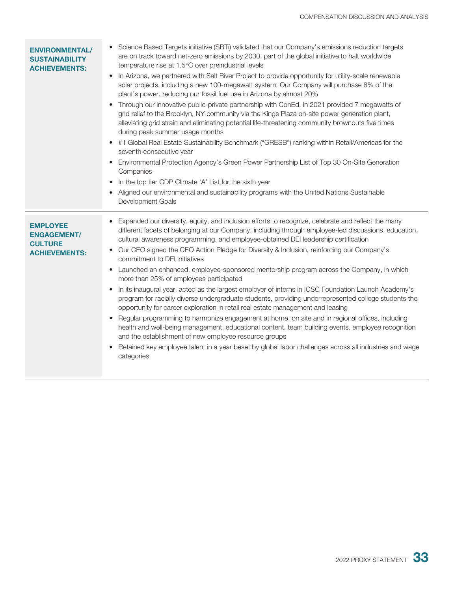| <b>ENVIRONMENTAL/</b><br><b>SUSTAINABILITY</b><br><b>ACHIEVEMENTS:</b>          | • Science Based Targets initiative (SBTi) validated that our Company's emissions reduction targets<br>are on track toward net-zero emissions by 2030, part of the global initiative to halt worldwide<br>temperature rise at 1.5°C over preindustrial levels<br>In Arizona, we partnered with Salt River Project to provide opportunity for utility-scale renewable<br>$\bullet$<br>solar projects, including a new 100-megawatt system. Our Company will purchase 8% of the<br>plant's power, reducing our fossil fuel use in Arizona by almost 20%<br>• Through our innovative public-private partnership with ConEd, in 2021 provided 7 megawatts of<br>grid relief to the Brooklyn, NY community via the Kings Plaza on-site power generation plant,<br>alleviating grid strain and eliminating potential life-threatening community brownouts five times<br>during peak summer usage months<br>#1 Global Real Estate Sustainability Benchmark ("GRESB") ranking within Retail/Americas for the<br>seventh consecutive year<br>Environmental Protection Agency's Green Power Partnership List of Top 30 On-Site Generation<br>٠<br>Companies<br>In the top tier CDP Climate 'A' List for the sixth year<br>Aligned our environmental and sustainability programs with the United Nations Sustainable<br>Development Goals |
|---------------------------------------------------------------------------------|-------------------------------------------------------------------------------------------------------------------------------------------------------------------------------------------------------------------------------------------------------------------------------------------------------------------------------------------------------------------------------------------------------------------------------------------------------------------------------------------------------------------------------------------------------------------------------------------------------------------------------------------------------------------------------------------------------------------------------------------------------------------------------------------------------------------------------------------------------------------------------------------------------------------------------------------------------------------------------------------------------------------------------------------------------------------------------------------------------------------------------------------------------------------------------------------------------------------------------------------------------------------------------------------------------------------------------|
| <b>EMPLOYEE</b><br><b>ENGAGEMENT/</b><br><b>CULTURE</b><br><b>ACHIEVEMENTS:</b> | Expanded our diversity, equity, and inclusion efforts to recognize, celebrate and reflect the many<br>different facets of belonging at our Company, including through employee-led discussions, education,<br>cultural awareness programming, and employee-obtained DEI leadership certification<br>• Our CEO signed the CEO Action Pledge for Diversity & Inclusion, reinforcing our Company's<br>commitment to DEI initiatives<br>• Launched an enhanced, employee-sponsored mentorship program across the Company, in which<br>more than 25% of employees participated<br>In its inaugural year, acted as the largest employer of interns in ICSC Foundation Launch Academy's<br>program for racially diverse undergraduate students, providing underrepresented college students the<br>opportunity for career exploration in retail real estate management and leasing<br>Regular programming to harmonize engagement at home, on site and in regional offices, including<br>$\bullet$<br>health and well-being management, educational content, team building events, employee recognition<br>and the establishment of new employee resource groups<br>Retained key employee talent in a year beset by global labor challenges across all industries and wage<br>categories                                             |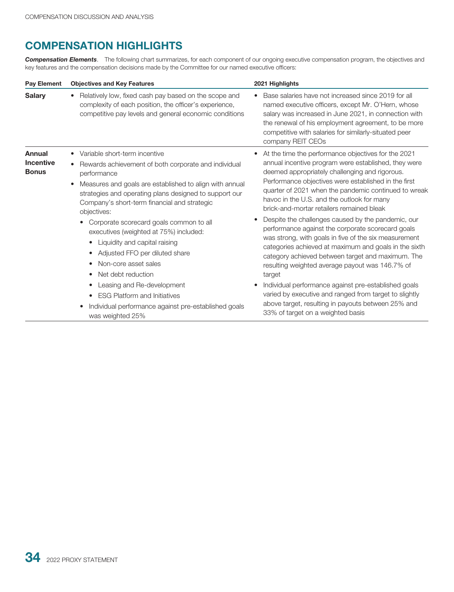## **COMPENSATION HIGHLIGHTS**

*Compensation Elements*. The following chart summarizes, for each component of our ongoing executive compensation program, the objectives and key features and the compensation decisions made by the Committee for our named executive officers:

| <b>Pay Element</b>               | <b>Objectives and Key Features</b>                                                                                                                                                            | 2021 Highlights                                                                                                                                                                                                                                                                                         |  |  |  |
|----------------------------------|-----------------------------------------------------------------------------------------------------------------------------------------------------------------------------------------------|---------------------------------------------------------------------------------------------------------------------------------------------------------------------------------------------------------------------------------------------------------------------------------------------------------|--|--|--|
| <b>Salary</b>                    | Relatively low, fixed cash pay based on the scope and<br>complexity of each position, the officer's experience,<br>competitive pay levels and general economic conditions                     | Base salaries have not increased since 2019 for all<br>named executive officers, except Mr. O'Hern, whose<br>salary was increased in June 2021, in connection with<br>the renewal of his employment agreement, to be more<br>competitive with salaries for similarly-situated peer<br>company REIT CEOs |  |  |  |
| <b>Annual</b>                    | Variable short-term incentive<br>$\bullet$                                                                                                                                                    | At the time the performance objectives for the 2021<br>٠                                                                                                                                                                                                                                                |  |  |  |
| <b>Incentive</b><br><b>Bonus</b> | Rewards achievement of both corporate and individual<br>$\bullet$<br>performance                                                                                                              | annual incentive program were established, they were<br>deemed appropriately challenging and rigorous.                                                                                                                                                                                                  |  |  |  |
|                                  | Measures and goals are established to align with annual<br>$\bullet$<br>strategies and operating plans designed to support our<br>Company's short-term financial and strategic<br>objectives: | Performance objectives were established in the first<br>quarter of 2021 when the pandemic continued to wreak<br>havoc in the U.S. and the outlook for many<br>brick-and-mortar retailers remained bleak                                                                                                 |  |  |  |
|                                  | Corporate scorecard goals common to all<br>executives (weighted at 75%) included:                                                                                                             | Despite the challenges caused by the pandemic, our<br>performance against the corporate scorecard goals                                                                                                                                                                                                 |  |  |  |
|                                  | Liquidity and capital raising<br>$\bullet$                                                                                                                                                    | was strong, with goals in five of the six measurement<br>categories achieved at maximum and goals in the sixth                                                                                                                                                                                          |  |  |  |
|                                  | Adjusted FFO per diluted share<br>٠                                                                                                                                                           | category achieved between target and maximum. The                                                                                                                                                                                                                                                       |  |  |  |
|                                  | Non-core asset sales<br>$\bullet$                                                                                                                                                             | resulting weighted average payout was 146.7% of                                                                                                                                                                                                                                                         |  |  |  |
|                                  | Net debt reduction<br>$\bullet$                                                                                                                                                               | target                                                                                                                                                                                                                                                                                                  |  |  |  |
|                                  | Leasing and Re-development<br>$\bullet$                                                                                                                                                       | Individual performance against pre-established goals                                                                                                                                                                                                                                                    |  |  |  |
|                                  | <b>ESG Platform and Initiatives</b><br>$\bullet$                                                                                                                                              | varied by executive and ranged from target to slightly                                                                                                                                                                                                                                                  |  |  |  |
|                                  | Individual performance against pre-established goals<br>was weighted 25%                                                                                                                      | above target, resulting in payouts between 25% and<br>33% of target on a weighted basis                                                                                                                                                                                                                 |  |  |  |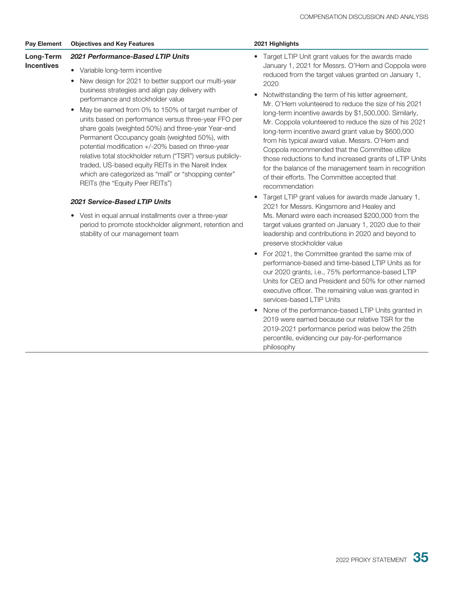| <b>Pay Element</b>             | <b>Objectives and Key Features</b>                                                                                                                                                                                                                                                                                                                                                                                                                                                                                                                                                                                                                                                                                 | 2021 Highlights                                                                                                                                                                                                                                                                                                                                                                                                                                                                                                                                                                                                                                                                                                                                              |
|--------------------------------|--------------------------------------------------------------------------------------------------------------------------------------------------------------------------------------------------------------------------------------------------------------------------------------------------------------------------------------------------------------------------------------------------------------------------------------------------------------------------------------------------------------------------------------------------------------------------------------------------------------------------------------------------------------------------------------------------------------------|--------------------------------------------------------------------------------------------------------------------------------------------------------------------------------------------------------------------------------------------------------------------------------------------------------------------------------------------------------------------------------------------------------------------------------------------------------------------------------------------------------------------------------------------------------------------------------------------------------------------------------------------------------------------------------------------------------------------------------------------------------------|
| Long-Term<br><b>Incentives</b> | <b>2021 Performance-Based LTIP Units</b><br>Variable long-term incentive<br>New design for 2021 to better support our multi-year<br>business strategies and align pay delivery with<br>performance and stockholder value<br>• May be earned from 0% to 150% of target number of<br>units based on performance versus three-year FFO per<br>share goals (weighted 50%) and three-year Year-end<br>Permanent Occupancy goals (weighted 50%), with<br>potential modification +/-20% based on three-year<br>relative total stockholder return ("TSR") versus publicly-<br>traded, US-based equity REITs in the Nareit Index<br>which are categorized as "mall" or "shopping center"<br>REITs (the "Equity Peer REITs") | Target LTIP Unit grant values for the awards made<br>January 1, 2021 for Messrs. O'Hern and Coppola were<br>reduced from the target values granted on January 1,<br>2020<br>Notwithstanding the term of his letter agreement,<br>Mr. O'Hern volunteered to reduce the size of his 2021<br>long-term incentive awards by \$1,500,000. Similarly,<br>Mr. Coppola volunteered to reduce the size of his 2021<br>long-term incentive award grant value by \$600,000<br>from his typical award value. Messrs. O'Hern and<br>Coppola recommended that the Committee utilize<br>those reductions to fund increased grants of LTIP Units<br>for the balance of the management team in recognition<br>of their efforts. The Committee accepted that<br>recommendation |

#### *2021 Service-Based LTIP Units*

- Vest in equal annual installments over a three-year period to promote stockholder alignment, retention and stability of our management team
- Target LTIP grant values for awards made January 1, 2021 for Messrs. Kingsmore and Healey and Ms. Menard were each increased \$200,000 from the target values granted on January 1, 2020 due to their leadership and contributions in 2020 and beyond to preserve stockholder value
- For 2021, the Committee granted the same mix of performance-based and time-based LTIP Units as for our 2020 grants, i.e., 75% performance-based LTIP Units for CEO and President and 50% for other named executive officer. The remaining value was granted in services-based LTIP Units
- None of the performance-based LTIP Units granted in 2019 were earned because our relative TSR for the 2019-2021 performance period was below the 25th percentile, evidencing our pay-for-performance philosophy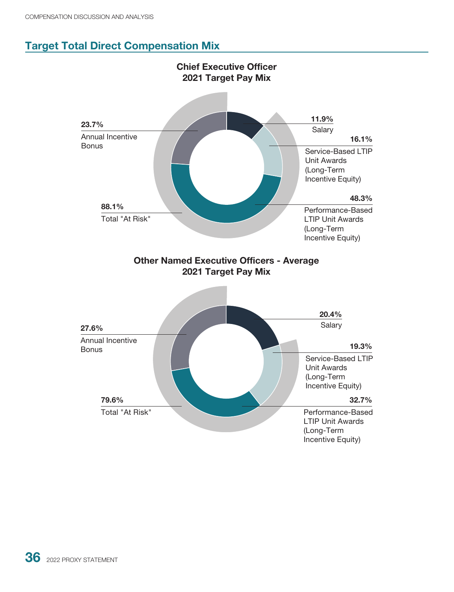## **Target Total Direct Compensation Mix**

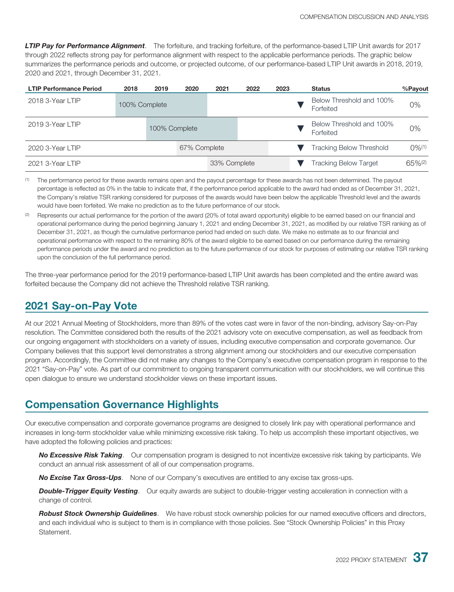*LTIP Pay for Performance Alignment*. The forfeiture, and tracking forfeiture, of the performance-based LTIP Unit awards for 2017 through 2022 reflects strong pay for performance alignment with respect to the applicable performance periods. The graphic below summarizes the performance periods and outcome, or projected outcome, of our performance-based LTIP Unit awards in 2018, 2019, 2020 and 2021, through December 31, 2021.

| <b>LTIP Performance Period</b> | 2018          | 2019          | 2020         | 2021 | 2022                     | 2023 | <b>Status</b>                |                                       | %Payout              |
|--------------------------------|---------------|---------------|--------------|------|--------------------------|------|------------------------------|---------------------------------------|----------------------|
| 2018 3-Year LTIP               | 100% Complete |               | Forfeited    |      | Below Threshold and 100% | 0%   |                              |                                       |                      |
| 2019 3-Year LTIP               |               | 100% Complete |              |      |                          |      |                              | Below Threshold and 100%<br>Forfeited | 0%                   |
| 2020 3-Year LTIP               |               |               | 67% Complete |      |                          |      |                              | <b>Tracking Below Threshold</b>       | $0\%$ <sup>(1)</sup> |
| 2021 3-Year LTIP               |               |               | 33% Complete |      |                          |      | <b>Tracking Below Target</b> | $65\%^{(2)}$                          |                      |

(1) The performance period for these awards remains open and the payout percentage for these awards has not been determined. The payout percentage is reflected as 0% in the table to indicate that, if the performance period applicable to the award had ended as of December 31, 2021, the Company's relative TSR ranking considered for purposes of the awards would have been below the applicable Threshold level and the awards would have been forfeited. We make no prediction as to the future performance of our stock.

Represents our actual performance for the portion of the award (20% of total award opportunity) eligible to be earned based on our financial and operational performance during the period beginning January 1, 2021 and ending December 31, 2021, as modified by our relative TSR ranking as of December 31, 2021, as though the cumulative performance period had ended on such date. We make no estimate as to our financial and operational performance with respect to the remaining 80% of the award eligible to be earned based on our performance during the remaining performance periods under the award and no prediction as to the future performance of our stock for purposes of estimating our relative TSR ranking upon the conclusion of the full performance period.

The three-year performance period for the 2019 performance-based LTIP Unit awards has been completed and the entire award was forfeited because the Company did not achieve the Threshold relative TSR ranking.

#### **2021 Say-on-Pay Vote**

At our 2021 Annual Meeting of Stockholders, more than 89% of the votes cast were in favor of the non-binding, advisory Say-on-Pay resolution. The Committee considered both the results of the 2021 advisory vote on executive compensation, as well as feedback from our ongoing engagement with stockholders on a variety of issues, including executive compensation and corporate governance. Our Company believes that this support level demonstrates a strong alignment among our stockholders and our executive compensation program. Accordingly, the Committee did not make any changes to the Company's executive compensation program in response to the 2021 "Say-on-Pay" vote. As part of our commitment to ongoing transparent communication with our stockholders, we will continue this open dialogue to ensure we understand stockholder views on these important issues.

### **Compensation Governance Highlights**

Our executive compensation and corporate governance programs are designed to closely link pay with operational performance and increases in long-term stockholder value while minimizing excessive risk taking. To help us accomplish these important objectives, we have adopted the following policies and practices:

*No Excessive Risk Taking*. Our compensation program is designed to not incentivize excessive risk taking by participants. We conduct an annual risk assessment of all of our compensation programs.

*No Excise Tax Gross-Ups*. None of our Company's executives are entitled to any excise tax gross-ups.

*Double-Trigger Equity Vesting*. Our equity awards are subject to double-trigger vesting acceleration in connection with a change of control.

*Robust Stock Ownership Guidelines*. We have robust stock ownership policies for our named executive officers and directors, and each individual who is subject to them is in compliance with those policies. See "Stock Ownership Policies" in this Proxy **Statement**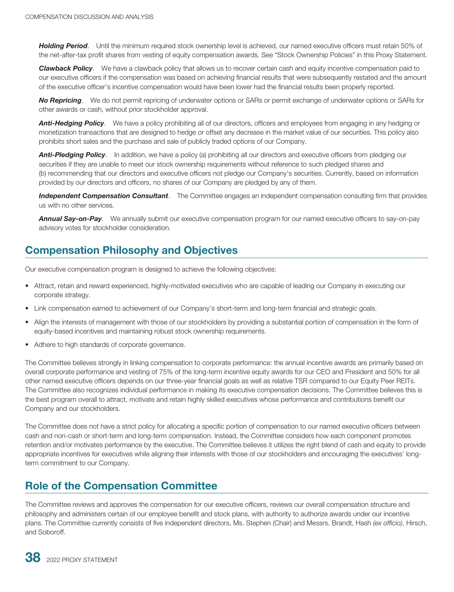*Holding Period*. Until the minimum required stock ownership level is achieved, our named executive officers must retain 50% of the net-after-tax profit shares from vesting of equity compensation awards. See "Stock Ownership Policies" in this Proxy Statement.

*Clawback Policy*. We have a clawback policy that allows us to recover certain cash and equity incentive compensation paid to our executive officers if the compensation was based on achieving financial results that were subsequently restated and the amount of the executive officer's incentive compensation would have been lower had the financial results been properly reported.

*No Repricing*. We do not permit repricing of underwater options or SARs or permit exchange of underwater options or SARs for other awards or cash, without prior stockholder approval.

*Anti-Hedging Policy*. We have a policy prohibiting all of our directors, officers and employees from engaging in any hedging or monetization transactions that are designed to hedge or offset any decrease in the market value of our securities. This policy also prohibits short sales and the purchase and sale of publicly traded options of our Company.

**Anti-Pledging Policy**. In addition, we have a policy (a) prohibiting all our directors and executive officers from pledging our securities if they are unable to meet our stock ownership requirements without reference to such pledged shares and (b) recommending that our directors and executive officers not pledge our Company's securities. Currently, based on information provided by our directors and officers, no shares of our Company are pledged by any of them.

*Independent Compensation Consultant*. The Committee engages an independent compensation consulting firm that provides us with no other services.

*Annual Say-on-Pay*. We annually submit our executive compensation program for our named executive officers to say-on-pay advisory votes for stockholder consideration.

## **Compensation Philosophy and Objectives**

Our executive compensation program is designed to achieve the following objectives:

- Attract, retain and reward experienced, highly-motivated executives who are capable of leading our Company in executing our corporate strategy.
- Link compensation earned to achievement of our Company's short-term and long-term financial and strategic goals.
- Align the interests of management with those of our stockholders by providing a substantial portion of compensation in the form of equity-based incentives and maintaining robust stock ownership requirements.
- Adhere to high standards of corporate governance.

The Committee believes strongly in linking compensation to corporate performance: the annual incentive awards are primarily based on overall corporate performance and vesting of 75% of the long-term incentive equity awards for our CEO and President and 50% for all other named executive officers depends on our three-year financial goals as well as relative TSR compared to our Equity Peer REITs. The Committee also recognizes individual performance in making its executive compensation decisions. The Committee believes this is the best program overall to attract, motivate and retain highly skilled executives whose performance and contributions benefit our Company and our stockholders.

The Committee does not have a strict policy for allocating a specific portion of compensation to our named executive officers between cash and non-cash or short-term and long-term compensation. Instead, the Committee considers how each component promotes retention and/or motivates performance by the executive. The Committee believes it utilizes the right blend of cash and equity to provide appropriate incentives for executives while aligning their interests with those of our stockholders and encouraging the executives' longterm commitment to our Company.

#### **Role of the Compensation Committee**

The Committee reviews and approves the compensation for our executive officers, reviews our overall compensation structure and philosophy and administers certain of our employee benefit and stock plans, with authority to authorize awards under our incentive plans. The Committee currently consists of five independent directors, Ms. Stephen (Chair) and Messrs. Brandt, Hash *(ex officio)*, Hirsch, and Soboroff.

**38** 2022 PROXY STATEMENT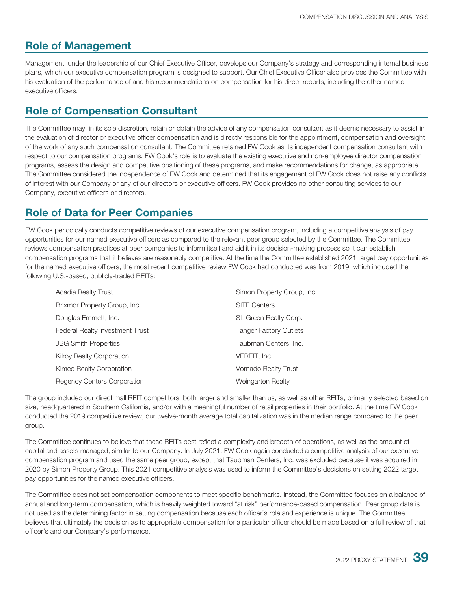### **Role of Management**

Management, under the leadership of our Chief Executive Officer, develops our Company's strategy and corresponding internal business plans, which our executive compensation program is designed to support. Our Chief Executive Officer also provides the Committee with his evaluation of the performance of and his recommendations on compensation for his direct reports, including the other named executive officers.

### **Role of Compensation Consultant**

The Committee may, in its sole discretion, retain or obtain the advice of any compensation consultant as it deems necessary to assist in the evaluation of director or executive officer compensation and is directly responsible for the appointment, compensation and oversight of the work of any such compensation consultant. The Committee retained FW Cook as its independent compensation consultant with respect to our compensation programs. FW Cook's role is to evaluate the existing executive and non-employee director compensation programs, assess the design and competitive positioning of these programs, and make recommendations for change, as appropriate. The Committee considered the independence of FW Cook and determined that its engagement of FW Cook does not raise any conflicts of interest with our Company or any of our directors or executive officers. FW Cook provides no other consulting services to our Company, executive officers or directors.

## **Role of Data for Peer Companies**

FW Cook periodically conducts competitive reviews of our executive compensation program, including a competitive analysis of pay opportunities for our named executive officers as compared to the relevant peer group selected by the Committee. The Committee reviews compensation practices at peer companies to inform itself and aid it in its decision-making process so it can establish compensation programs that it believes are reasonably competitive. At the time the Committee established 2021 target pay opportunities for the named executive officers, the most recent competitive review FW Cook had conducted was from 2019, which included the following U.S.-based, publicly-traded REITs:

| <b>Acadia Realty Trust</b>         | Simon Property Group, Inc.    |
|------------------------------------|-------------------------------|
| Brixmor Property Group, Inc.       | <b>SITE Centers</b>           |
| Douglas Emmett, Inc.               | SL Green Realty Corp.         |
| Federal Realty Investment Trust    | <b>Tanger Factory Outlets</b> |
| <b>JBG Smith Properties</b>        | Taubman Centers, Inc.         |
| <b>Kilroy Realty Corporation</b>   | VEREIT, Inc.                  |
| Kimco Realty Corporation           | Vornado Realty Trust          |
| <b>Regency Centers Corporation</b> | Weingarten Realty             |

The group included our direct mall REIT competitors, both larger and smaller than us, as well as other REITs, primarily selected based on size, headquartered in Southern California, and/or with a meaningful number of retail properties in their portfolio. At the time FW Cook conducted the 2019 competitive review, our twelve-month average total capitalization was in the median range compared to the peer group.

The Committee continues to believe that these REITs best reflect a complexity and breadth of operations, as well as the amount of capital and assets managed, similar to our Company. In July 2021, FW Cook again conducted a competitive analysis of our executive compensation program and used the same peer group, except that Taubman Centers, Inc. was excluded because it was acquired in 2020 by Simon Property Group. This 2021 competitive analysis was used to inform the Committee's decisions on setting 2022 target pay opportunities for the named executive officers.

The Committee does not set compensation components to meet specific benchmarks. Instead, the Committee focuses on a balance of annual and long-term compensation, which is heavily weighted toward "at risk" performance-based compensation. Peer group data is not used as the determining factor in setting compensation because each officer's role and experience is unique. The Committee believes that ultimately the decision as to appropriate compensation for a particular officer should be made based on a full review of that officer's and our Company's performance.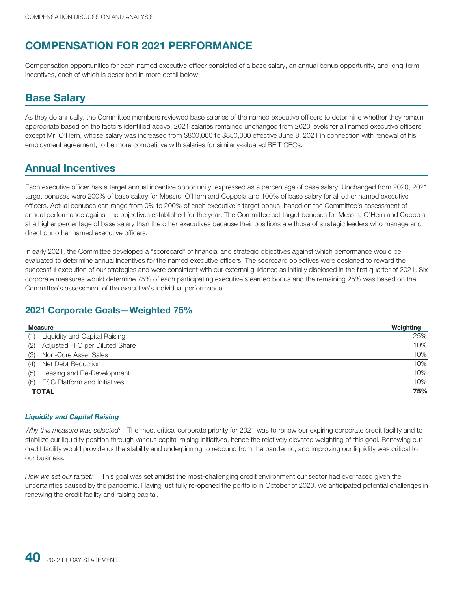# **COMPENSATION FOR 2021 PERFORMANCE**

Compensation opportunities for each named executive officer consisted of a base salary, an annual bonus opportunity, and long-term incentives, each of which is described in more detail below.

### **Base Salary**

As they do annually, the Committee members reviewed base salaries of the named executive officers to determine whether they remain appropriate based on the factors identified above. 2021 salaries remained unchanged from 2020 levels for all named executive officers, except Mr. O'Hern, whose salary was increased from \$800,000 to \$850,000 effective June 8, 2021 in connection with renewal of his employment agreement, to be more competitive with salaries for similarly-situated REIT CEOs.

### **Annual Incentives**

Each executive officer has a target annual incentive opportunity, expressed as a percentage of base salary. Unchanged from 2020, 2021 target bonuses were 200% of base salary for Messrs. O'Hern and Coppola and 100% of base salary for all other named executive officers. Actual bonuses can range from 0% to 200% of each executive's target bonus, based on the Committee's assessment of annual performance against the objectives established for the year. The Committee set target bonuses for Messrs. O'Hern and Coppola at a higher percentage of base salary than the other executives because their positions are those of strategic leaders who manage and direct our other named executive officers.

In early 2021, the Committee developed a "scorecard" of financial and strategic objectives against which performance would be evaluated to determine annual incentives for the named executive officers. The scorecard objectives were designed to reward the successful execution of our strategies and were consistent with our external guidance as initially disclosed in the first quarter of 2021. Six corporate measures would determine 75% of each participating executive's earned bonus and the remaining 25% was based on the Committee's assessment of the executive's individual performance.

#### **2021 Corporate Goals—Weighted 75%**

| <b>Measure</b>                             | Weighting |
|--------------------------------------------|-----------|
| Liquidity and Capital Raising<br>(1)       | 25%       |
| Adjusted FFO per Diluted Share<br>(2)      | 10%       |
| Non-Core Asset Sales<br>(3)                | 10%       |
| Net Debt Reduction<br>(4)                  | 10%       |
| Leasing and Re-Development<br>(5)          | 10%       |
| <b>ESG Platform and Initiatives</b><br>(6) | 10%       |
| <b>TOTAL</b>                               | 75%       |

#### *Liquidity and Capital Raising*

*Why this measure was selected:* The most critical corporate priority for 2021 was to renew our expiring corporate credit facility and to stabilize our liquidity position through various capital raising initiatives, hence the relatively elevated weighting of this goal. Renewing our credit facility would provide us the stability and underpinning to rebound from the pandemic, and improving our liquidity was critical to our business.

*How we set our target:* This goal was set amidst the most-challenging credit environment our sector had ever faced given the uncertainties caused by the pandemic. Having just fully re-opened the portfolio in October of 2020, we anticipated potential challenges in renewing the credit facility and raising capital.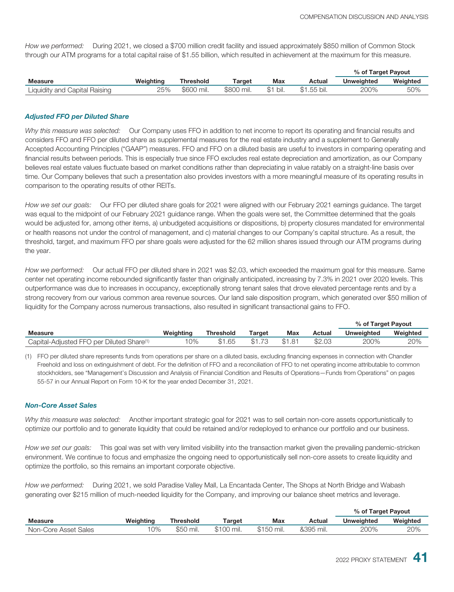*How we performed:* During 2021, we closed a \$700 million credit facility and issued approximately \$850 million of Common Stock through our ATM programs for a total capital raise of \$1.55 billion, which resulted in achievement at the maximum for this measure.

|                               |           |            |            |             |             | % of Target Payout |          |
|-------------------------------|-----------|------------|------------|-------------|-------------|--------------------|----------|
| <b>Measure</b>                | Weiahtina | Threshold  | Target     | <b>Max</b>  | Actual      | <b>Unweighted</b>  | Weighted |
| Liquidity and Capital Raising | 25%       | \$600 mil. | \$800 mil. | bil.<br>\$1 | \$1.55 bil. | 200%               | 50%      |

#### *Adjusted FFO per Diluted Share*

*Why this measure was selected:* Our Company uses FFO in addition to net income to report its operating and financial results and considers FFO and FFO per diluted share as supplemental measures for the real estate industry and a supplement to Generally Accepted Accounting Principles ("GAAP") measures. FFO and FFO on a diluted basis are useful to investors in comparing operating and financial results between periods. This is especially true since FFO excludes real estate depreciation and amortization, as our Company believes real estate values fluctuate based on market conditions rather than depreciating in value ratably on a straight-line basis over time. Our Company believes that such a presentation also provides investors with a more meaningful measure of its operating results in comparison to the operating results of other REITs.

*How we set our goals:* Our FFO per diluted share goals for 2021 were aligned with our February 2021 earnings guidance. The target was equal to the midpoint of our February 2021 guidance range. When the goals were set, the Committee determined that the goals would be adjusted for, among other items, a) unbudgeted acquisitions or dispositions, b) property closures mandated for environmental or health reasons not under the control of management, and c) material changes to our Company's capital structure. As a result, the threshold, target, and maximum FFO per share goals were adjusted for the 62 million shares issued through our ATM programs during the year.

*How we performed:* Our actual FFO per diluted share in 2021 was \$2.03, which exceeded the maximum goal for this measure. Same center net operating income rebounded significantly faster than originally anticipated, increasing by 7.3% in 2021 over 2020 levels. This outperformance was due to increases in occupancy, exceptionally strong tenant sales that drove elevated percentage rents and by a strong recovery from our various common area revenue sources. Our land sale disposition program, which generated over \$50 million of liquidity for the Company across numerous transactions, also resulted in significant transactional gains to FFO.

|                                                       |           |                  |        |        |        | % of Target Payout |          |
|-------------------------------------------------------|-----------|------------------|--------|--------|--------|--------------------|----------|
| <b>Measure</b>                                        | Weighting | <b>Threshold</b> | Target | Max    | Actual | <b>Unweighted</b>  | Weighted |
| Capital-Adiusted FFO per Diluted Share <sup>(1)</sup> | $10\%$    | \$1.65           | \$1.73 | \$1.81 | \$2.03 | 200%               | 20%      |

(1) FFO per diluted share represents funds from operations per share on a diluted basis, excluding financing expenses in connection with Chandler Freehold and loss on extinguishment of debt. For the definition of FFO and a reconciliation of FFO to net operating income attributable to common stockholders, see "Management's Discussion and Analysis of Financial Condition and Results of Operations—Funds from Operations" on pages 55-57 in our Annual Report on Form 10-K for the year ended December 31, 2021.

#### *Non-Core Asset Sales*

*Why this measure was selected:* Another important strategic goal for 2021 was to sell certain non-core assets opportunistically to optimize our portfolio and to generate liquidity that could be retained and/or redeployed to enhance our portfolio and our business.

*How we set our goals:* This goal was set with very limited visibility into the transaction market given the prevailing pandemic-stricken environment. We continue to focus and emphasize the ongoing need to opportunistically sell non-core assets to create liquidity and optimize the portfolio, so this remains an important corporate objective.

*How we performed:* During 2021, we sold Paradise Valley Mall, La Encantada Center, The Shops at North Bridge and Wabash generating over \$215 million of much-needed liquidity for the Company, and improving our balance sheet metrics and leverage.

|                      |           |                  |            |            |           | % of Target Payout |          |  |
|----------------------|-----------|------------------|------------|------------|-----------|--------------------|----------|--|
| <b>Measure</b>       | Weighting | <b>Threshold</b> | Target     | Max        | Actual    | Unweighted         | Weighted |  |
| Non-Core Asset Sales | 10%       | \$50 mil.        | \$100 mil. | \$150 mil. | &395 mil. | 200%               | 20%      |  |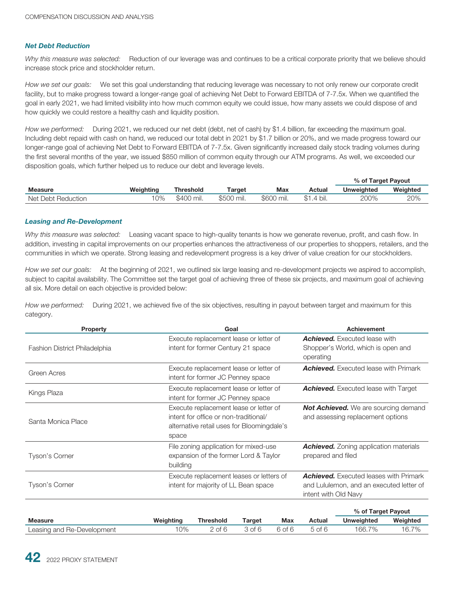#### *Net Debt Reduction*

*Why this measure was selected:* Reduction of our leverage was and continues to be a critical corporate priority that we believe should increase stock price and stockholder return.

*How we set our goals:* We set this goal understanding that reducing leverage was necessary to not only renew our corporate credit facility, but to make progress toward a longer-range goal of achieving Net Debt to Forward EBITDA of 7-7.5x. When we quantified the goal in early 2021, we had limited visibility into how much common equity we could issue, how many assets we could dispose of and how quickly we could restore a healthy cash and liquidity position.

*How we performed:* During 2021, we reduced our net debt (debt, net of cash) by \$1.4 billion, far exceeding the maximum goal. Including debt repaid with cash on hand, we reduced our total debt in 2021 by \$1.7 billion or 20%, and we made progress toward our longer-range goal of achieving Net Debt to Forward EBITDA of 7-7.5x. Given significantly increased daily stock trading volumes during the first several months of the year, we issued \$850 million of common equity through our ATM programs. As well, we exceeded our disposition goals, which further helped us to reduce our debt and leverage levels.

|                    |           |            |            |            |             | % of Target Payout |          |
|--------------------|-----------|------------|------------|------------|-------------|--------------------|----------|
| <b>Measure</b>     | Weighting | Threshold  | Гarget     | Max        | Actual      | <b>Unweighted</b>  | Weighted |
| Net Debt Reduction | 0%        | \$400 mil. | \$500 mil. | \$600 mil. | \$1<br>bil. | 200%               | 20%      |

#### *Leasing and Re-Development*

*Why this measure was selected:* Leasing vacant space to high-quality tenants is how we generate revenue, profit, and cash flow. In addition, investing in capital improvements on our properties enhances the attractiveness of our properties to shoppers, retailers, and the communities in which we operate. Strong leasing and redevelopment progress is a key driver of value creation for our stockholders.

*How we set our goals:* At the beginning of 2021, we outlined six large leasing and re-development projects we aspired to accomplish, subject to capital availability. The Committee set the target goal of achieving three of these six projects, and maximum goal of achieving all six. More detail on each objective is provided below:

*How we performed:* During 2021, we achieved five of the six objectives, resulting in payout between target and maximum for this category.

| <b>Property</b>               |           | Goal                                                                                                                          |        |                                                                                  |                                                                                         | <b>Achievement</b>                                                                        |          |  |
|-------------------------------|-----------|-------------------------------------------------------------------------------------------------------------------------------|--------|----------------------------------------------------------------------------------|-----------------------------------------------------------------------------------------|-------------------------------------------------------------------------------------------|----------|--|
| Fashion District Philadelphia |           | Execute replacement lease or letter of<br>intent for former Century 21 space                                                  |        |                                                                                  | <b>Achieved.</b> Executed lease with<br>Shopper's World, which is open and<br>operating |                                                                                           |          |  |
| Green Acres                   |           | Execute replacement lease or letter of<br><b>Achieved.</b> Executed lease with Primark<br>intent for former JC Penney space   |        |                                                                                  |                                                                                         |                                                                                           |          |  |
| Kings Plaza                   |           | Execute replacement lease or letter of<br><b>Achieved.</b> Executed lease with Target<br>intent for former JC Penney space    |        |                                                                                  |                                                                                         |                                                                                           |          |  |
| Santa Monica Place            | space     | Execute replacement lease or letter of<br>intent for office or non-traditional/<br>alternative retail uses for Bloomingdale's |        | <b>Not Achieved.</b> We are sourcing demand<br>and assessing replacement options |                                                                                         |                                                                                           |          |  |
| Tyson's Corner                | building  | File zoning application for mixed-use<br>expansion of the former Lord & Taylor                                                |        |                                                                                  | prepared and filed                                                                      | <b>Achieved.</b> Zoning application materials                                             |          |  |
| Tyson's Corner                |           | Execute replacement leases or letters of<br>intent for majority of LL Bean space                                              |        |                                                                                  | intent with Old Navy                                                                    | <b>Achieved.</b> Executed leases with Primark<br>and Lululemon, and an executed letter of |          |  |
|                               |           |                                                                                                                               |        |                                                                                  |                                                                                         | % of Target Payout                                                                        |          |  |
| <b>Measure</b>                | Weighting | <b>Threshold</b>                                                                                                              | Target | <b>Max</b>                                                                       | Actual                                                                                  | <b>Unweighted</b>                                                                         | Weighted |  |
| Leasing and Re-Development    | 10%       | $2$ of $6$                                                                                                                    | 3 of 6 | 6 of 6                                                                           | $5$ of $6$                                                                              | 166.7%                                                                                    | 16.7%    |  |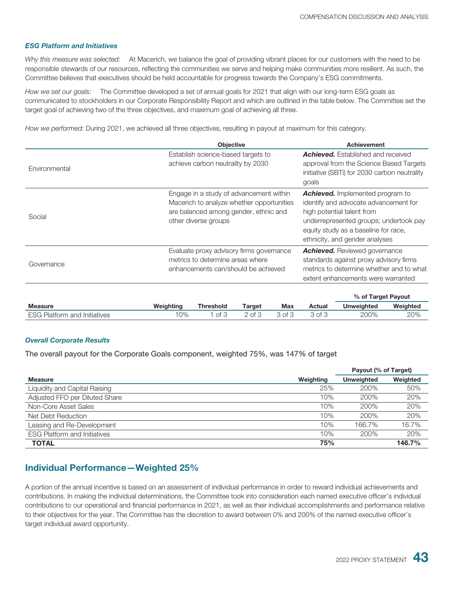#### *ESG Platform and Initiatives*

*Why this measure was selected:* At Macerich, we balance the goal of providing vibrant places for our customers with the need to be responsible stewards of our resources, reflecting the communities we serve and helping make communities more resilient. As such, the Committee believes that executives should be held accountable for progress towards the Company's ESG commitments.

*How we set our goals:* The Committee developed a set of annual goals for 2021 that align with our long-term ESG goals as communicated to stockholders in our Corporate Responsibility Report and which are outlined in the table below. The Committee set the target goal of achieving two of the three objectives, and maximum goal of achieving all three.

*How we performed:* During 2021, we achieved all three objectives, resulting in payout at maximum for this category.

|               | <b>Objective</b>                                                                                                                                      | <b>Achievement</b>                                                                                                                                                                                                                 |
|---------------|-------------------------------------------------------------------------------------------------------------------------------------------------------|------------------------------------------------------------------------------------------------------------------------------------------------------------------------------------------------------------------------------------|
| Environmental | Establish science-based targets to<br>achieve carbon neutrality by 2030                                                                               | <b>Achieved.</b> Established and received<br>approval from the Science Based Targets<br>initiative (SBTi) for 2030 carbon neutrality<br>goals                                                                                      |
| Social        | Engage in a study of advancement within<br>Macerich to analyze whether opportunities<br>are balanced among gender, ethnic and<br>other diverse groups | <b>Achieved.</b> Implemented program to<br>identify and advocate advancement for<br>high potential talent from<br>underrepresented groups; undertook pay<br>equity study as a baseline for race,<br>ethnicity, and gender analyses |
| Governance    | Evaluate proxy advisory firms governance<br>metrics to determine areas where<br>enhancements can/should be achieved                                   | <b>Achieved.</b> Reviewed governance<br>standards against proxy advisory firms<br>metrics to determine whether and to what<br>extent enhancements were warranted                                                                   |
|               |                                                                                                                                                       | % of Target Payout                                                                                                                                                                                                                 |

|                                     |           |           |                 |        |        | % or rarget Payout |          |
|-------------------------------------|-----------|-----------|-----------------|--------|--------|--------------------|----------|
| <b>Measure</b>                      | Weighting | Threshold | Target          | Max    | Actual | <b>Unweighted</b>  | Weighteg |
| <b>ESG Platform and Initiatives</b> | $0\%$     | ot 3      | $\_$ of $\cdot$ | 3 of 3 | 3 of 3 | 200%               | 20%      |

#### *Overall Corporate Results*

The overall payout for the Corporate Goals component, weighted 75%, was 147% of target

|                                     |           | Payout (% of Target) |          |
|-------------------------------------|-----------|----------------------|----------|
| <b>Measure</b>                      | Weighting | <b>Unweighted</b>    | Weighted |
| Liquidity and Capital Raising       | 25%       | 200%                 | 50%      |
| Adjusted FFO per Diluted Share      | 10%       | 200%                 | 20%      |
| Non-Core Asset Sales                | 10%       | 200%                 | 20%      |
| Net Debt Reduction                  | 10%       | 200%                 | 20%      |
| Leasing and Re-Development          | 10%       | 166.7%               | 16.7%    |
| <b>ESG Platform and Initiatives</b> | 10%       | 200%                 | 20%      |
| <b>TOTAL</b>                        | 75%       |                      | 146.7%   |

#### **Individual Performance—Weighted 25%**

A portion of the annual incentive is based on an assessment of individual performance in order to reward individual achievements and contributions. In making the individual determinations, the Committee took into consideration each named executive officer's individual contributions to our operational and financial performance in 2021, as well as their individual accomplishments and performance relative to their objectives for the year. The Committee has the discretion to award between 0% and 200% of the named executive officer's target individual award opportunity.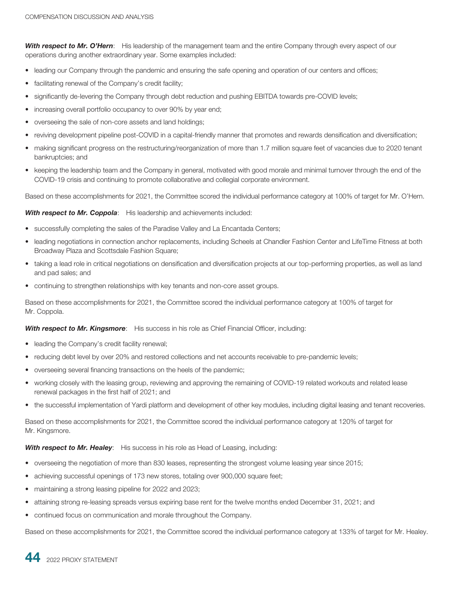*With respect to Mr. O'Hern*: His leadership of the management team and the entire Company through every aspect of our operations during another extraordinary year. Some examples included:

- leading our Company through the pandemic and ensuring the safe opening and operation of our centers and offices;
- facilitating renewal of the Company's credit facility;
- significantly de-levering the Company through debt reduction and pushing EBITDA towards pre-COVID levels;
- increasing overall portfolio occupancy to over 90% by year end;
- overseeing the sale of non-core assets and land holdings;
- reviving development pipeline post-COVID in a capital-friendly manner that promotes and rewards densification and diversification;
- making significant progress on the restructuring/reorganization of more than 1.7 million square feet of vacancies due to 2020 tenant bankruptcies; and
- keeping the leadership team and the Company in general, motivated with good morale and minimal turnover through the end of the COVID-19 crisis and continuing to promote collaborative and collegial corporate environment.

Based on these accomplishments for 2021, the Committee scored the individual performance category at 100% of target for Mr. O'Hern.

With respect to Mr. Coppola: His leadership and achievements included:

- successfully completing the sales of the Paradise Valley and La Encantada Centers;
- leading negotiations in connection anchor replacements, including Scheels at Chandler Fashion Center and LifeTime Fitness at both Broadway Plaza and Scottsdale Fashion Square;
- taking a lead role in critical negotiations on densification and diversification projects at our top-performing properties, as well as land and pad sales; and
- continuing to strengthen relationships with key tenants and non-core asset groups.

Based on these accomplishments for 2021, the Committee scored the individual performance category at 100% of target for Mr. Coppola.

**With respect to Mr. Kingsmore:** His success in his role as Chief Financial Officer, including:

- leading the Company's credit facility renewal;
- reducing debt level by over 20% and restored collections and net accounts receivable to pre-pandemic levels;
- overseeing several financing transactions on the heels of the pandemic;
- working closely with the leasing group, reviewing and approving the remaining of COVID-19 related workouts and related lease renewal packages in the first half of 2021; and
- the successful implementation of Yardi platform and development of other key modules, including digital leasing and tenant recoveries.

Based on these accomplishments for 2021, the Committee scored the individual performance category at 120% of target for Mr. Kingsmore.

#### **With respect to Mr. Healey**: His success in his role as Head of Leasing, including:

- overseeing the negotiation of more than 830 leases, representing the strongest volume leasing year since 2015;
- achieving successful openings of 173 new stores, totaling over 900,000 square feet;
- maintaining a strong leasing pipeline for 2022 and 2023;
- attaining strong re-leasing spreads versus expiring base rent for the twelve months ended December 31, 2021; and
- continued focus on communication and morale throughout the Company.

Based on these accomplishments for 2021, the Committee scored the individual performance category at 133% of target for Mr. Healey.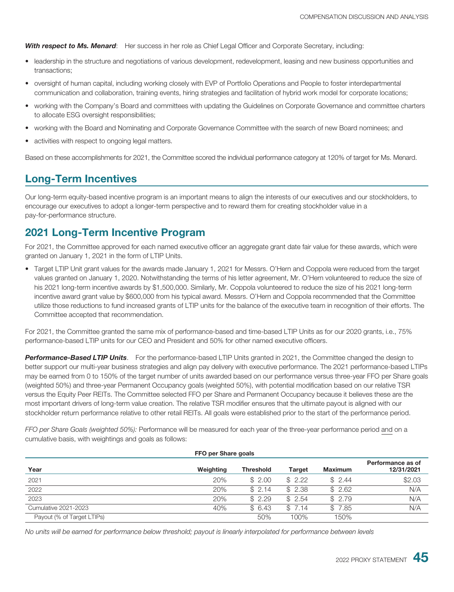*With respect to Ms. Menard*: Her success in her role as Chief Legal Officer and Corporate Secretary, including:

- leadership in the structure and negotiations of various development, redevelopment, leasing and new business opportunities and transactions;
- oversight of human capital, including working closely with EVP of Portfolio Operations and People to foster interdepartmental communication and collaboration, training events, hiring strategies and facilitation of hybrid work model for corporate locations;
- working with the Company's Board and committees with updating the Guidelines on Corporate Governance and committee charters to allocate ESG oversight responsibilities;
- working with the Board and Nominating and Corporate Governance Committee with the search of new Board nominees; and
- activities with respect to ongoing legal matters.

Based on these accomplishments for 2021, the Committee scored the individual performance category at 120% of target for Ms. Menard.

### **Long-Term Incentives**

Our long-term equity-based incentive program is an important means to align the interests of our executives and our stockholders, to encourage our executives to adopt a longer-term perspective and to reward them for creating stockholder value in a pay-for-performance structure.

#### **2021 Long-Term Incentive Program**

For 2021, the Committee approved for each named executive officer an aggregate grant date fair value for these awards, which were granted on January 1, 2021 in the form of LTIP Units.

• Target LTIP Unit grant values for the awards made January 1, 2021 for Messrs. O'Hern and Coppola were reduced from the target values granted on January 1, 2020. Notwithstanding the terms of his letter agreement, Mr. O'Hern volunteered to reduce the size of his 2021 long-term incentive awards by \$1,500,000. Similarly, Mr. Coppola volunteered to reduce the size of his 2021 long-term incentive award grant value by \$600,000 from his typical award. Messrs. O'Hern and Coppola recommended that the Committee utilize those reductions to fund increased grants of LTIP units for the balance of the executive team in recognition of their efforts. The Committee accepted that recommendation.

For 2021, the Committee granted the same mix of performance-based and time-based LTIP Units as for our 2020 grants, i.e., 75% performance-based LTIP units for our CEO and President and 50% for other named executive officers.

*Performance-Based LTIP Units*. For the performance-based LTIP Units granted in 2021, the Committee changed the design to better support our multi-year business strategies and align pay delivery with executive performance. The 2021 performance-based LTIPs may be earned from 0 to 150% of the target number of units awarded based on our performance versus three-year FFO per Share goals (weighted 50%) and three-year Permanent Occupancy goals (weighted 50%), with potential modification based on our relative TSR versus the Equity Peer REITs. The Committee selected FFO per Share and Permanent Occupancy because it believes these are the most important drivers of long-term value creation. The relative TSR modifier ensures that the ultimate payout is aligned with our stockholder return performance relative to other retail REITs. All goals were established prior to the start of the performance period.

*FFO per Share Goals (weighted 50%):* Performance will be measured for each year of the three-year performance period and on a cumulative basis, with weightings and goals as follows:

| FFO per Share goals        |           |                  |               |                |                                 |  |  |
|----------------------------|-----------|------------------|---------------|----------------|---------------------------------|--|--|
| Year                       | Weighting | <b>Threshold</b> | <b>Target</b> | <b>Maximum</b> | Performance as of<br>12/31/2021 |  |  |
| 2021                       | 20%       | \$2.00           | \$2.22        | \$2.44         | \$2.03                          |  |  |
| 2022                       | 20%       | \$2.14           | \$2.38        | \$2.62         | N/A                             |  |  |
| 2023                       | 20%       | \$2.29           | \$2.54        | \$2.79         | N/A                             |  |  |
| Cumulative 2021-2023       | 40%       | \$6.43           | \$7.14        | \$7.85         | N/A                             |  |  |
| Payout (% of Target LTIPs) |           | 50%              | 100%          | 150%           |                                 |  |  |

*No units will be earned for performance below threshold; payout is linearly interpolated for performance between levels*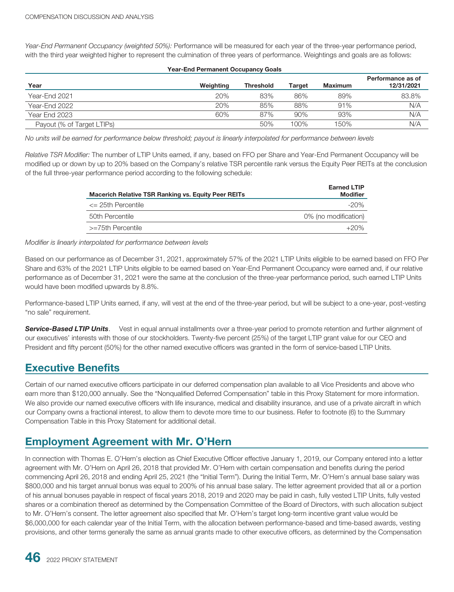*Year-End Permanent Occupancy (weighted 50%):* Performance will be measured for each year of the three-year performance period, with the third year weighted higher to represent the culmination of three years of performance. Weightings and goals are as follows:

| <b>Year-End Permanent Occupancy Goals</b> |           |                  |        |                |                                 |  |  |
|-------------------------------------------|-----------|------------------|--------|----------------|---------------------------------|--|--|
| Year                                      | Weighting | <b>Threshold</b> | Target | <b>Maximum</b> | Performance as of<br>12/31/2021 |  |  |
| Year-End 2021                             | 20%       | 83%              | 86%    | 89%            | 83.8%                           |  |  |
| Year-End 2022                             | 20%       | 85%              | 88%    | 91%            | N/A                             |  |  |
| Year End 2023                             | 60%       | 87%              | 90%    | 93%            | N/A                             |  |  |
| Payout (% of Target LTIPs)                |           | 50%              | 100%   | 150%           | N/A                             |  |  |

*No units will be earned for performance below threshold; payout is linearly interpolated for performance between levels*

*Relative TSR Modifier:* The number of LTIP Units earned, if any, based on FFO per Share and Year-End Permanent Occupancy will be modified up or down by up to 20% based on the Company's relative TSR percentile rank versus the Equity Peer REITs at the conclusion of the full three-year performance period according to the following schedule:

| <b>Macerich Relative TSR Ranking vs. Equity Peer REITs</b> | <b>Earned LTIP</b><br><b>Modifier</b> |
|------------------------------------------------------------|---------------------------------------|
| $\epsilon$ 25th Percentile                                 | $-20\%$                               |
| 50th Percentile                                            | 0% (no modification)                  |
| >=75th Percentile                                          | $+20\%$                               |

#### *Modifier is linearly interpolated for performance between levels*

Based on our performance as of December 31, 2021, approximately 57% of the 2021 LTIP Units eligible to be earned based on FFO Per Share and 63% of the 2021 LTIP Units eligible to be earned based on Year-End Permanent Occupancy were earned and, if our relative performance as of December 31, 2021 were the same at the conclusion of the three-year performance period, such earned LTIP Units would have been modified upwards by 8.8%.

Performance-based LTIP Units earned, if any, will vest at the end of the three-year period, but will be subject to a one-year, post-vesting "no sale" requirement.

**Service-Based LTIP Units**. Vest in equal annual installments over a three-year period to promote retention and further alignment of our executives' interests with those of our stockholders. Twenty-five percent (25%) of the target LTIP grant value for our CEO and President and fifty percent (50%) for the other named executive officers was granted in the form of service-based LTIP Units.

#### **Executive Benefits**

Certain of our named executive officers participate in our deferred compensation plan available to all Vice Presidents and above who earn more than \$120,000 annually. See the "Nonqualified Deferred Compensation" table in this Proxy Statement for more information. We also provide our named executive officers with life insurance, medical and disability insurance, and use of a private aircraft in which our Company owns a fractional interest, to allow them to devote more time to our business. Refer to footnote (6) to the Summary Compensation Table in this Proxy Statement for additional detail.

#### **Employment Agreement with Mr. O'Hern**

In connection with Thomas E. O'Hern's election as Chief Executive Officer effective January 1, 2019, our Company entered into a letter agreement with Mr. O'Hern on April 26, 2018 that provided Mr. O'Hern with certain compensation and benefits during the period commencing April 26, 2018 and ending April 25, 2021 (the "Initial Term"). During the Initial Term, Mr. O'Hern's annual base salary was \$800,000 and his target annual bonus was equal to 200% of his annual base salary. The letter agreement provided that all or a portion of his annual bonuses payable in respect of fiscal years 2018, 2019 and 2020 may be paid in cash, fully vested LTIP Units, fully vested shares or a combination thereof as determined by the Compensation Committee of the Board of Directors, with such allocation subject to Mr. O'Hern's consent. The letter agreement also specified that Mr. O'Hern's target long-term incentive grant value would be \$6,000,000 for each calendar year of the Initial Term, with the allocation between performance-based and time-based awards, vesting provisions, and other terms generally the same as annual grants made to other executive officers, as determined by the Compensation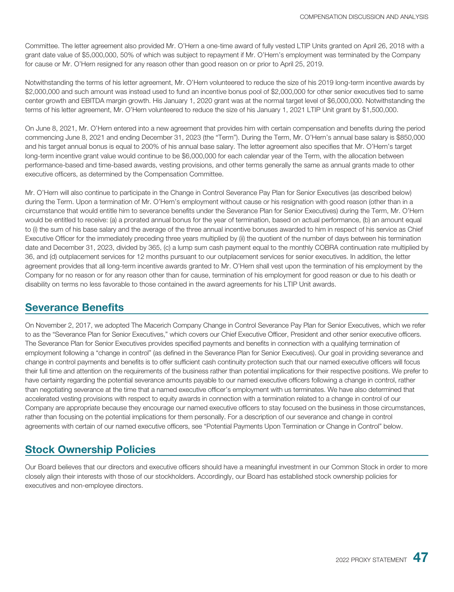Committee. The letter agreement also provided Mr. O'Hern a one-time award of fully vested LTIP Units granted on April 26, 2018 with a grant date value of \$5,000,000, 50% of which was subject to repayment if Mr. O'Hern's employment was terminated by the Company for cause or Mr. O'Hern resigned for any reason other than good reason on or prior to April 25, 2019.

Notwithstanding the terms of his letter agreement, Mr. O'Hern volunteered to reduce the size of his 2019 long-term incentive awards by \$2,000,000 and such amount was instead used to fund an incentive bonus pool of \$2,000,000 for other senior executives tied to same center growth and EBITDA margin growth. His January 1, 2020 grant was at the normal target level of \$6,000,000. Notwithstanding the terms of his letter agreement, Mr. O'Hern volunteered to reduce the size of his January 1, 2021 LTIP Unit grant by \$1,500,000.

On June 8, 2021, Mr. O'Hern entered into a new agreement that provides him with certain compensation and benefits during the period commencing June 8, 2021 and ending December 31, 2023 (the "Term"). During the Term, Mr. O'Hern's annual base salary is \$850,000 and his target annual bonus is equal to 200% of his annual base salary. The letter agreement also specifies that Mr. O'Hern's target long-term incentive grant value would continue to be \$6,000,000 for each calendar year of the Term, with the allocation between performance-based and time-based awards, vesting provisions, and other terms generally the same as annual grants made to other executive officers, as determined by the Compensation Committee.

Mr. O'Hern will also continue to participate in the Change in Control Severance Pay Plan for Senior Executives (as described below) during the Term. Upon a termination of Mr. O'Hern's employment without cause or his resignation with good reason (other than in a circumstance that would entitle him to severance benefits under the Severance Plan for Senior Executives) during the Term, Mr. O'Hern would be entitled to receive: (a) a prorated annual bonus for the year of termination, based on actual performance, (b) an amount equal to (i) the sum of his base salary and the average of the three annual incentive bonuses awarded to him in respect of his service as Chief Executive Officer for the immediately preceding three years multiplied by (ii) the quotient of the number of days between his termination date and December 31, 2023, divided by 365, (c) a lump sum cash payment equal to the monthly COBRA continuation rate multiplied by 36, and (d) outplacement services for 12 months pursuant to our outplacement services for senior executives. In addition, the letter agreement provides that all long-term incentive awards granted to Mr. O'Hern shall vest upon the termination of his employment by the Company for no reason or for any reason other than for cause, termination of his employment for good reason or due to his death or disability on terms no less favorable to those contained in the award agreements for his LTIP Unit awards.

#### **Severance Benefits**

On November 2, 2017, we adopted The Macerich Company Change in Control Severance Pay Plan for Senior Executives, which we refer to as the "Severance Plan for Senior Executives," which covers our Chief Executive Officer, President and other senior executive officers. The Severance Plan for Senior Executives provides specified payments and benefits in connection with a qualifying termination of employment following a "change in control" (as defined in the Severance Plan for Senior Executives). Our goal in providing severance and change in control payments and benefits is to offer sufficient cash continuity protection such that our named executive officers will focus their full time and attention on the requirements of the business rather than potential implications for their respective positions. We prefer to have certainty regarding the potential severance amounts payable to our named executive officers following a change in control, rather than negotiating severance at the time that a named executive officer's employment with us terminates. We have also determined that accelerated vesting provisions with respect to equity awards in connection with a termination related to a change in control of our Company are appropriate because they encourage our named executive officers to stay focused on the business in those circumstances, rather than focusing on the potential implications for them personally. For a description of our severance and change in control agreements with certain of our named executive officers, see "Potential Payments Upon Termination or Change in Control" below.

### **Stock Ownership Policies**

Our Board believes that our directors and executive officers should have a meaningful investment in our Common Stock in order to more closely align their interests with those of our stockholders. Accordingly, our Board has established stock ownership policies for executives and non-employee directors.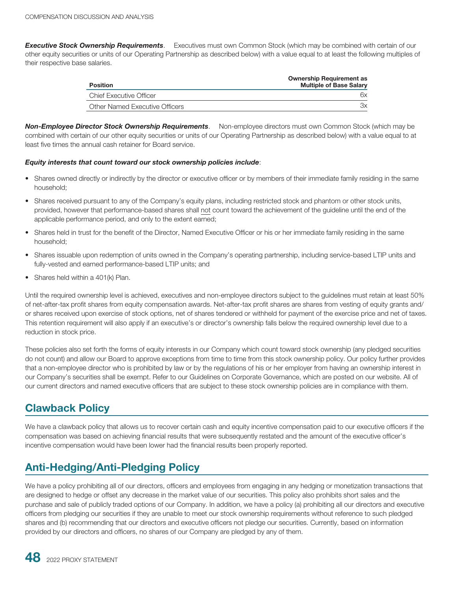*Executive Stock Ownership Requirements*. Executives must own Common Stock (which may be combined with certain of our other equity securities or units of our Operating Partnership as described below) with a value equal to at least the following multiples of their respective base salaries.

| Position                       | <b>Ownership Requirement as</b><br><b>Multiple of Base Salary</b> |
|--------------------------------|-------------------------------------------------------------------|
| <b>Chief Executive Officer</b> | 6x                                                                |
| Other Named Executive Officers | Зx                                                                |

*Non-Employee Director Stock Ownership Requirements*. Non-employee directors must own Common Stock (which may be combined with certain of our other equity securities or units of our Operating Partnership as described below) with a value equal to at least five times the annual cash retainer for Board service.

#### *Equity interests that count toward our stock ownership policies include*:

- Shares owned directly or indirectly by the director or executive officer or by members of their immediate family residing in the same household;
- Shares received pursuant to any of the Company's equity plans, including restricted stock and phantom or other stock units, provided, however that performance-based shares shall not count toward the achievement of the guideline until the end of the applicable performance period, and only to the extent earned;
- Shares held in trust for the benefit of the Director, Named Executive Officer or his or her immediate family residing in the same household;
- Shares issuable upon redemption of units owned in the Company's operating partnership, including service-based LTIP units and fully-vested and earned performance-based LTIP units; and
- Shares held within a 401(k) Plan.

Until the required ownership level is achieved, executives and non-employee directors subject to the guidelines must retain at least 50% of net-after-tax profit shares from equity compensation awards. Net-after-tax profit shares are shares from vesting of equity grants and/ or shares received upon exercise of stock options, net of shares tendered or withheld for payment of the exercise price and net of taxes. This retention requirement will also apply if an executive's or director's ownership falls below the required ownership level due to a reduction in stock price.

These policies also set forth the forms of equity interests in our Company which count toward stock ownership (any pledged securities do not count) and allow our Board to approve exceptions from time to time from this stock ownership policy. Our policy further provides that a non-employee director who is prohibited by law or by the regulations of his or her employer from having an ownership interest in our Company's securities shall be exempt. Refer to our Guidelines on Corporate Governance, which are posted on our website. All of our current directors and named executive officers that are subject to these stock ownership policies are in compliance with them.

#### **Clawback Policy**

We have a clawback policy that allows us to recover certain cash and equity incentive compensation paid to our executive officers if the compensation was based on achieving financial results that were subsequently restated and the amount of the executive officer's incentive compensation would have been lower had the financial results been properly reported.

## **Anti-Hedging/Anti-Pledging Policy**

We have a policy prohibiting all of our directors, officers and employees from engaging in any hedging or monetization transactions that are designed to hedge or offset any decrease in the market value of our securities. This policy also prohibits short sales and the purchase and sale of publicly traded options of our Company. In addition, we have a policy (a) prohibiting all our directors and executive officers from pledging our securities if they are unable to meet our stock ownership requirements without reference to such pledged shares and (b) recommending that our directors and executive officers not pledge our securities. Currently, based on information provided by our directors and officers, no shares of our Company are pledged by any of them.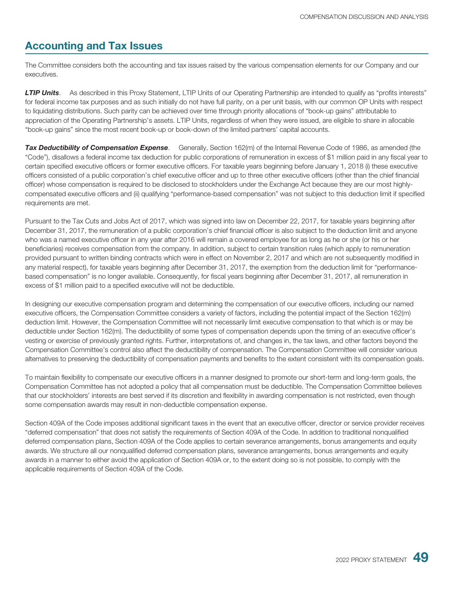### **Accounting and Tax Issues**

The Committee considers both the accounting and tax issues raised by the various compensation elements for our Company and our executives.

**LTIP Units.** As described in this Proxy Statement, LTIP Units of our Operating Partnership are intended to qualify as "profits interests" for federal income tax purposes and as such initially do not have full parity, on a per unit basis, with our common OP Units with respect to liquidating distributions. Such parity can be achieved over time through priority allocations of "book-up gains" attributable to appreciation of the Operating Partnership's assets. LTIP Units, regardless of when they were issued, are eligible to share in allocable "book-up gains" since the most recent book-up or book-down of the limited partners' capital accounts.

*Tax Deductibility of Compensation Expense*. Generally, Section 162(m) of the Internal Revenue Code of 1986, as amended (the "Code"), disallows a federal income tax deduction for public corporations of remuneration in excess of \$1 million paid in any fiscal year to certain specified executive officers or former executive officers. For taxable years beginning before January 1, 2018 (i) these executive officers consisted of a public corporation's chief executive officer and up to three other executive officers (other than the chief financial officer) whose compensation is required to be disclosed to stockholders under the Exchange Act because they are our most highlycompensated executive officers and (ii) qualifying "performance-based compensation" was not subject to this deduction limit if specified requirements are met.

Pursuant to the Tax Cuts and Jobs Act of 2017, which was signed into law on December 22, 2017, for taxable years beginning after December 31, 2017, the remuneration of a public corporation's chief financial officer is also subject to the deduction limit and anyone who was a named executive officer in any year after 2016 will remain a covered employee for as long as he or she (or his or her beneficiaries) receives compensation from the company. In addition, subject to certain transition rules (which apply to remuneration provided pursuant to written binding contracts which were in effect on November 2, 2017 and which are not subsequently modified in any material respect), for taxable years beginning after December 31, 2017, the exemption from the deduction limit for "performancebased compensation" is no longer available. Consequently, for fiscal years beginning after December 31, 2017, all remuneration in excess of \$1 million paid to a specified executive will not be deductible.

In designing our executive compensation program and determining the compensation of our executive officers, including our named executive officers, the Compensation Committee considers a variety of factors, including the potential impact of the Section 162(m) deduction limit. However, the Compensation Committee will not necessarily limit executive compensation to that which is or may be deductible under Section 162(m). The deductibility of some types of compensation depends upon the timing of an executive officer's vesting or exercise of previously granted rights. Further, interpretations of, and changes in, the tax laws, and other factors beyond the Compensation Committee's control also affect the deductibility of compensation. The Compensation Committee will consider various alternatives to preserving the deductibility of compensation payments and benefits to the extent consistent with its compensation goals.

To maintain flexibility to compensate our executive officers in a manner designed to promote our short-term and long-term goals, the Compensation Committee has not adopted a policy that all compensation must be deductible. The Compensation Committee believes that our stockholders' interests are best served if its discretion and flexibility in awarding compensation is not restricted, even though some compensation awards may result in non-deductible compensation expense.

Section 409A of the Code imposes additional significant taxes in the event that an executive officer, director or service provider receives "deferred compensation" that does not satisfy the requirements of Section 409A of the Code. In addition to traditional nonqualified deferred compensation plans, Section 409A of the Code applies to certain severance arrangements, bonus arrangements and equity awards. We structure all our nonqualified deferred compensation plans, severance arrangements, bonus arrangements and equity awards in a manner to either avoid the application of Section 409A or, to the extent doing so is not possible, to comply with the applicable requirements of Section 409A of the Code.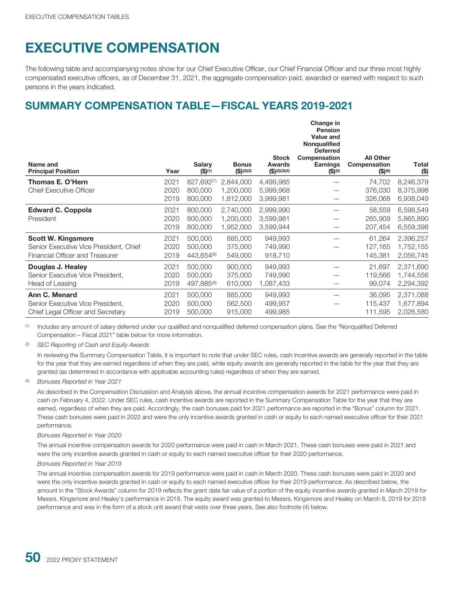# **EXECUTIVE COMPENSATION**

The following table and accompanying notes show for our Chief Executive Officer, our Chief Financial Officer and our three most highly compensated executive officers, as of December 31, 2021, the aggregate compensation paid, awarded or earned with respect to such persons in the years indicated.

# **SUMMARY COMPENSATION TABLE—FISCAL YEARS 2019-2021**

|                                                                                                        |                      |                                  |                                     |                                        | Change in<br><b>Pension</b><br>Value and<br>Nonqualified<br><b>Deferred</b> |                                                |                                     |
|--------------------------------------------------------------------------------------------------------|----------------------|----------------------------------|-------------------------------------|----------------------------------------|-----------------------------------------------------------------------------|------------------------------------------------|-------------------------------------|
| Name and<br><b>Principal Position</b>                                                                  | Year                 | Salary<br>$($ \$) <sup>(1)</sup> | <b>Bonus</b><br>(S)(2)(3)           | <b>Stock</b><br>Awards<br>(S)(2)(3)(4) | Compensation<br><b>Earnings</b><br>$$^{(5)}$$                               | <b>All Other</b><br>Compensation<br>$$^{(6)}$$ | Total<br>(\$)                       |
| Thomas E. O'Hern<br><b>Chief Executive Officer</b>                                                     | 2021<br>2020<br>2019 | 827,692(7)<br>800,000<br>800,000 | 2,844,000<br>1,200,000<br>1,812,000 | 4,499,985<br>5,999,968<br>3,999,981    |                                                                             | 74,702<br>376,030<br>326,068                   | 8,246,379<br>8,375,998<br>6,938,049 |
| <b>Edward C. Coppola</b><br>President                                                                  | 2021<br>2020<br>2019 | 800,000<br>800,000<br>800,000    | 2,740,000<br>1,200,000<br>1,952,000 | 2,999,990<br>3,599,981<br>3,599,944    |                                                                             | 58,559<br>265,909<br>207,454                   | 6,598,549<br>5,865,890<br>6,559,398 |
| <b>Scott W. Kingsmore</b><br>Senior Executive Vice President, Chief<br>Financial Officer and Treasurer | 2021<br>2020<br>2019 | 500,000<br>500,000<br>443,654(8) | 885,000<br>375,000<br>549,000       | 949,993<br>749,990<br>918,710          |                                                                             | 61,264<br>127,165<br>145,381                   | 2,396,257<br>1,752,155<br>2,056,745 |
| Douglas J. Healey<br>Senior Executive Vice President,<br>Head of Leasing                               | 2021<br>2020<br>2019 | 500,000<br>500,000<br>497,885(9) | 900,000<br>375,000<br>610,000       | 949,993<br>749,990<br>1,087,433        |                                                                             | 21,697<br>119,566<br>99,074                    | 2,371,690<br>1,744,556<br>2,294,392 |
| Ann C. Menard<br>Senior Executive Vice President,<br>Chief Legal Officer and Secretary                 | 2021<br>2020<br>2019 | 500,000<br>500,000<br>500,000    | 885,000<br>562,500<br>915,000       | 949,993<br>499,957<br>499,985          |                                                                             | 36,095<br>115,437<br>111,595                   | 2,371,088<br>1,677,894<br>2,026,580 |

(1) Includes any amount of salary deferred under our qualified and nonqualified deferred compensation plans. See the "Nonqualified Deferred Compensation – Fiscal 2021" table below for more information.

(2) *SEC Reporting of Cash and Equity Awards*

In reviewing the Summary Compensation Table, it is important to note that under SEC rules, cash incentive awards are generally reported in the table for the year that they are earned regardless of when they are paid, while equity awards are generally reported in the table for the year that they are granted (as determined in accordance with applicable accounting rules) regardless of when they are earned.

(3) *Bonuses Reported in Year 2021*

As described in the Compensation Discussion and Analysis above, the annual incentive compensation awards for 2021 performance were paid in cash on February 4, 2022. Under SEC rules, cash incentive awards are reported in the Summary Compensation Table for the year that they are earned, regardless of when they are paid. Accordingly, the cash bonuses paid for 2021 performance are reported in the "Bonus" column for 2021. These cash bonuses were paid in 2022 and were the only incentive awards granted in cash or equity to each named executive officer for their 2021 performance.

#### *Bonuses Reported in Year 2020*

The annual incentive compensation awards for 2020 performance were paid in cash in March 2021. These cash bonuses were paid in 2021 and were the only incentive awards granted in cash or equity to each named executive officer for their 2020 performance.

#### *Bonuses Reported in Year 2019*

The annual incentive compensation awards for 2019 performance were paid in cash in March 2020. These cash bonuses were paid in 2020 and were the only incentive awards granted in cash or equity to each named executive officer for their 2019 performance. As described below, the amount in the "Stock Awards" column for 2019 reflects the grant date fair value of a portion of the equity incentive awards granted in March 2019 for Messrs. Kingsmore and Healey's performance in 2018. The equity award was granted to Messrs. Kingsmore and Healey on March 8, 2019 for 2018 performance and was in the form of a stock unit award that vests over three years. See also footnote (4) below.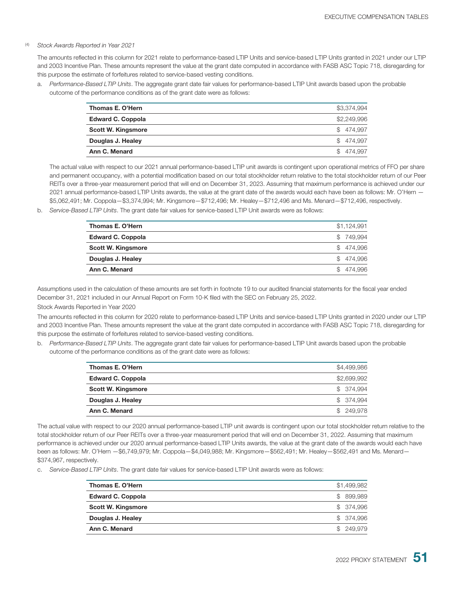#### (4) *Stock Awards Reported in Year 2021*

The amounts reflected in this column for 2021 relate to performance-based LTIP Units and service-based LTIP Units granted in 2021 under our LTIP and 2003 Incentive Plan. These amounts represent the value at the grant date computed in accordance with FASB ASC Topic 718, disregarding for this purpose the estimate of forfeitures related to service-based vesting conditions.

a. *Performance-Based LTIP Units*. The aggregate grant date fair values for performance-based LTIP Unit awards based upon the probable outcome of the performance conditions as of the grant date were as follows:

| Thomas E. O'Hern          | \$3,374,994 |
|---------------------------|-------------|
| <b>Edward C. Coppola</b>  | \$2,249,996 |
| <b>Scott W. Kingsmore</b> | \$474.997   |
| Douglas J. Healey         | \$474.997   |
| Ann C. Menard             | \$474.997   |

The actual value with respect to our 2021 annual performance-based LTIP unit awards is contingent upon operational metrics of FFO per share and permanent occupancy, with a potential modification based on our total stockholder return relative to the total stockholder return of our Peer REITs over a three-year measurement period that will end on December 31, 2023. Assuming that maximum performance is achieved under our 2021 annual performance-based LTIP Units awards, the value at the grant date of the awards would each have been as follows: Mr. O'Hern — \$5,062,491; Mr. Coppola—\$3,374,994; Mr. Kingsmore—\$712,496; Mr. Healey—\$712,496 and Ms. Menard—\$712,496, respectively.

b. *Service-Based LTIP Units*. The grant date fair values for service-based LTIP Unit awards were as follows:

| Thomas E. O'Hern         | \$1,124,991 |
|--------------------------|-------------|
| <b>Edward C. Coppola</b> | \$749.994   |
| Scott W. Kingsmore       | \$474.996   |
| Douglas J. Healey        | \$474.996   |
| Ann C. Menard            | \$474.996   |

Assumptions used in the calculation of these amounts are set forth in footnote 19 to our audited financial statements for the fiscal year ended December 31, 2021 included in our Annual Report on Form 10-K filed with the SEC on February 25, 2022.

#### Stock Awards Reported in Year 2020

The amounts reflected in this column for 2020 relate to performance-based LTIP Units and service-based LTIP Units granted in 2020 under our LTIP and 2003 Incentive Plan. These amounts represent the value at the grant date computed in accordance with FASB ASC Topic 718, disregarding for this purpose the estimate of forfeitures related to service-based vesting conditions.

b. *Performance-Based LTIP Units*. The aggregate grant date fair values for performance-based LTIP Unit awards based upon the probable outcome of the performance conditions as of the grant date were as follows:

| Thomas E. O'Hern         | \$4,499,986 |
|--------------------------|-------------|
| <b>Edward C. Coppola</b> | \$2,699,992 |
| Scott W. Kingsmore       | \$ 374.994  |
| Douglas J. Healey        | \$ 374.994  |
| Ann C. Menard            | \$249,978   |

The actual value with respect to our 2020 annual performance-based LTIP unit awards is contingent upon our total stockholder return relative to the total stockholder return of our Peer REITs over a three-year measurement period that will end on December 31, 2022. Assuming that maximum performance is achieved under our 2020 annual performance-based LTIP Units awards, the value at the grant date of the awards would each have been as follows: Mr. O'Hern —\$6,749,979; Mr. Coppola—\$4,049,988; Mr. Kingsmore—\$562,491; Mr. Healey—\$562,491 and Ms. Menard— \$374,967, respectively.

c. *Service-Based LTIP Units*. The grant date fair values for service-based LTIP Unit awards were as follows:

| \$1,499,982 |
|-------------|
| \$ 899,989  |
| \$ 374,996  |
| \$ 374,996  |
| \$249,979   |
|             |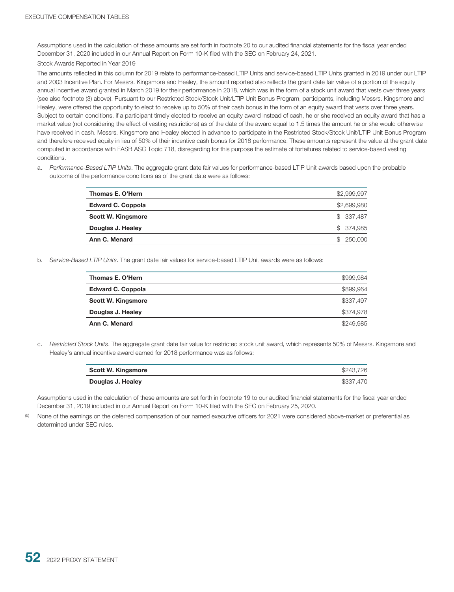Assumptions used in the calculation of these amounts are set forth in footnote 20 to our audited financial statements for the fiscal year ended December 31, 2020 included in our Annual Report on Form 10-K filed with the SEC on February 24, 2021.

#### Stock Awards Reported in Year 2019

The amounts reflected in this column for 2019 relate to performance-based LTIP Units and service-based LTIP Units granted in 2019 under our LTIP and 2003 Incentive Plan. For Messrs. Kingsmore and Healey, the amount reported also reflects the grant date fair value of a portion of the equity annual incentive award granted in March 2019 for their performance in 2018, which was in the form of a stock unit award that vests over three years (see also footnote (3) above). Pursuant to our Restricted Stock/Stock Unit/LTIP Unit Bonus Program, participants, including Messrs. Kingsmore and Healey, were offered the opportunity to elect to receive up to 50% of their cash bonus in the form of an equity award that vests over three years. Subject to certain conditions, if a participant timely elected to receive an equity award instead of cash, he or she received an equity award that has a market value (not considering the effect of vesting restrictions) as of the date of the award equal to 1.5 times the amount he or she would otherwise have received in cash. Messrs. Kingsmore and Healey elected in advance to participate in the Restricted Stock/Stock Unit/LTIP Unit Bonus Program and therefore received equity in lieu of 50% of their incentive cash bonus for 2018 performance. These amounts represent the value at the grant date computed in accordance with FASB ASC Topic 718, disregarding for this purpose the estimate of forfeitures related to service-based vesting conditions.

a. *Performance-Based LTIP Units*. The aggregate grant date fair values for performance-based LTIP Unit awards based upon the probable outcome of the performance conditions as of the grant date were as follows:

| Thomas E. O'Hern          | \$2,999,997 |
|---------------------------|-------------|
| <b>Edward C. Coppola</b>  | \$2,699,980 |
| <b>Scott W. Kingsmore</b> | \$337.487   |
| Douglas J. Healey         | \$ 374,985  |
| Ann C. Menard             | \$250,000   |

b. *Service-Based LTIP Units*. The grant date fair values for service-based LTIP Unit awards were as follows:

| Thomas E. O'Hern          | \$999.984 |
|---------------------------|-----------|
| <b>Edward C. Coppola</b>  | \$899,964 |
| <b>Scott W. Kingsmore</b> | \$337,497 |
| Douglas J. Healey         | \$374.978 |
| Ann C. Menard             | \$249,985 |
|                           |           |

c. *Restricted Stock Units*. The aggregate grant date fair value for restricted stock unit award, which represents 50% of Messrs. Kingsmore and Healey's annual incentive award earned for 2018 performance was as follows:

| <b>Scott W. Kingsmore</b> | \$243.726 |
|---------------------------|-----------|
| Douglas J. Healey         | \$337,470 |

Assumptions used in the calculation of these amounts are set forth in footnote 19 to our audited financial statements for the fiscal year ended December 31, 2019 included in our Annual Report on Form 10-K filed with the SEC on February 25, 2020.

None of the earnings on the deferred compensation of our named executive officers for 2021 were considered above-market or preferential as determined under SEC rules.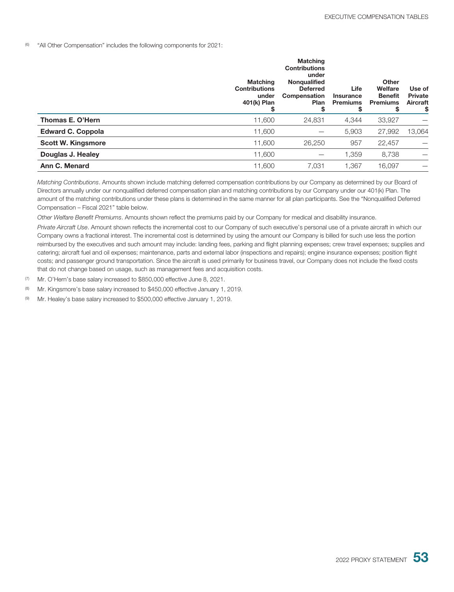(6) "All Other Compensation" includes the following components for 2021:

|                           | <b>Matching</b><br><b>Contributions</b><br>under<br>401(k) Plan<br>S | <b>Matching</b><br><b>Contributions</b><br>under<br>Nongualified<br><b>Deferred</b><br>Compensation<br><b>Plan</b><br>\$ | Life<br>Insurance<br><b>Premiums</b><br>S | Other<br>Welfare<br><b>Benefit</b><br><b>Premiums</b><br>\$ | Use of<br><b>Private</b><br>Aircraft<br>\$ |
|---------------------------|----------------------------------------------------------------------|--------------------------------------------------------------------------------------------------------------------------|-------------------------------------------|-------------------------------------------------------------|--------------------------------------------|
| Thomas E. O'Hern          | 11,600                                                               | 24,831                                                                                                                   | 4,344                                     | 33,927                                                      |                                            |
| <b>Edward C. Coppola</b>  | 11,600                                                               |                                                                                                                          | 5,903                                     | 27,992                                                      | 13,064                                     |
| <b>Scott W. Kingsmore</b> | 11,600                                                               | 26,250                                                                                                                   | 957                                       | 22,457                                                      |                                            |
| Douglas J. Healey         | 11,600                                                               |                                                                                                                          | 1,359                                     | 8,738                                                       |                                            |
| Ann C. Menard             | 11,600                                                               | 7,031                                                                                                                    | 1,367                                     | 16,097                                                      |                                            |

*Matching Contributions*. Amounts shown include matching deferred compensation contributions by our Company as determined by our Board of Directors annually under our nonqualified deferred compensation plan and matching contributions by our Company under our 401(k) Plan. The amount of the matching contributions under these plans is determined in the same manner for all plan participants. See the "Nonqualified Deferred Compensation – Fiscal 2021" table below.

*Other Welfare Benefit Premiums*. Amounts shown reflect the premiums paid by our Company for medical and disability insurance.

*Private Aircraft Use*. Amount shown reflects the incremental cost to our Company of such executive's personal use of a private aircraft in which our Company owns a fractional interest. The incremental cost is determined by using the amount our Company is billed for such use less the portion reimbursed by the executives and such amount may include: landing fees, parking and flight planning expenses; crew travel expenses; supplies and catering; aircraft fuel and oil expenses; maintenance, parts and external labor (inspections and repairs); engine insurance expenses; position flight costs; and passenger ground transportation. Since the aircraft is used primarily for business travel, our Company does not include the fixed costs that do not change based on usage, such as management fees and acquisition costs.

(7) Mr. O'Hern's base salary increased to \$850,000 effective June 8, 2021.

(8) Mr. Kingsmore's base salary increased to \$450,000 effective January 1, 2019.

(9) Mr. Healey's base salary increased to \$500,000 effective January 1, 2019.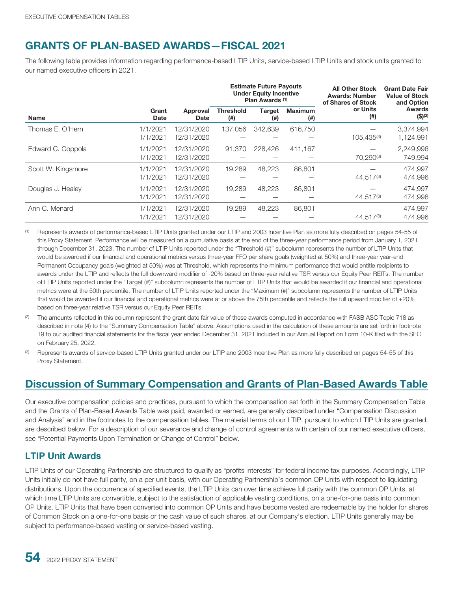# **GRANTS OF PLAN-BASED AWARDS—FISCAL 2021**

The following table provides information regarding performance-based LTIP Units, service-based LTIP Units and stock units granted to our named executive officers in 2021.

|                    |                      |                          | <b>Estimate Future Payouts</b><br><b>Under Equity Incentive</b><br>Plan Awards (1) |                      | <b>All Other Stock</b><br><b>Awards: Number</b><br>of Shares of Stock | <b>Grant Date Fair</b><br><b>Value of Stock</b><br>and Option |                                         |
|--------------------|----------------------|--------------------------|------------------------------------------------------------------------------------|----------------------|-----------------------------------------------------------------------|---------------------------------------------------------------|-----------------------------------------|
| <b>Name</b>        | Grant<br><b>Date</b> | Approval<br>Date         | <b>Threshold</b><br>$^{(ii)}$                                                      | <b>Target</b><br>(#) | <b>Maximum</b><br>$^{(ii)}$                                           | or Units<br>(#)                                               | <b>Awards</b><br>$($ \$) <sup>(2)</sup> |
| Thomas E. O'Hern   | 1/1/2021<br>1/1/2021 | 12/31/2020<br>12/31/2020 | 137,056                                                                            | 342.639              | 616,750                                                               | 105.435(3)                                                    | 3,374,994<br>1,124,991                  |
| Edward C. Coppola  | 1/1/2021<br>1/1/2021 | 12/31/2020<br>12/31/2020 | 91,370                                                                             | 228,426              | 411.167                                                               | 70.290(3)                                                     | 2,249,996<br>749,994                    |
| Scott W. Kingsmore | 1/1/2021<br>1/1/2021 | 12/31/2020<br>12/31/2020 | 19.289                                                                             | 48.223               | 86,801                                                                | 44.517(3)                                                     | 474,997<br>474,996                      |
| Douglas J. Healey  | 1/1/2021<br>1/1/2021 | 12/31/2020<br>12/31/2020 | 19.289                                                                             | 48.223               | 86,801                                                                | 44.517(3)                                                     | 474.997<br>474,996                      |
| Ann C. Menard      | 1/1/2021<br>1/1/2021 | 12/31/2020<br>12/31/2020 | 19,289                                                                             | 48,223               | 86,801                                                                | 44.517(3)                                                     | 474,997<br>474,996                      |

(1) Represents awards of performance-based LTIP Units granted under our LTIP and 2003 Incentive Plan as more fully described on pages 54-55 of this Proxy Statement. Performance will be measured on a cumulative basis at the end of the three-year performance period from January 1, 2021 through December 31, 2023. The number of LTIP Units reported under the "Threshold (#)" subcolumn represents the number of LTIP Units that would be awarded if our financial and operational metrics versus three-year FFO per share goals (weighted at 50%) and three-year year-end Permanent Occupancy goals (weighted at 50%) was at Threshold, which represents the minimum performance that would entitle recipients to awards under the LTIP and reflects the full downward modifier of -20% based on three-year relative TSR versus our Equity Peer REITs. The number of LTIP Units reported under the "Target (#)" subcolumn represents the number of LTIP Units that would be awarded if our financial and operational metrics were at the 50th percentile. The number of LTIP Units reported under the "Maximum (#)" subcolumn represents the number of LTIP Units that would be awarded if our financial and operational metrics were at or above the 75th percentile and reflects the full upward modifier of +20% based on three-year relative TSR versus our Equity Peer REITs.

- <sup>(2)</sup> The amounts reflected in this column represent the grant date fair value of these awards computed in accordance with FASB ASC Topic 718 as described in note (4) to the "Summary Compensation Table" above. Assumptions used in the calculation of these amounts are set forth in footnote 19 to our audited financial statements for the fiscal year ended December 31, 2021 included in our Annual Report on Form 10-K filed with the SEC on February 25, 2022.
- <sup>(3)</sup> Represents awards of service-based LTIP Units granted under our LTIP and 2003 Incentive Plan as more fully described on pages 54-55 of this Proxy Statement.

# **Discussion of Summary Compensation and Grants of Plan-Based Awards Table**

Our executive compensation policies and practices, pursuant to which the compensation set forth in the Summary Compensation Table and the Grants of Plan-Based Awards Table was paid, awarded or earned, are generally described under "Compensation Discussion and Analysis" and in the footnotes to the compensation tables. The material terms of our LTIP, pursuant to which LTIP Units are granted, are described below. For a description of our severance and change of control agreements with certain of our named executive officers, see "Potential Payments Upon Termination or Change of Control" below.

#### **LTIP Unit Awards**

LTIP Units of our Operating Partnership are structured to qualify as "profits interests" for federal income tax purposes. Accordingly, LTIP Units initially do not have full parity, on a per unit basis, with our Operating Partnership's common OP Units with respect to liquidating distributions. Upon the occurrence of specified events, the LTIP Units can over time achieve full parity with the common OP Units, at which time LTIP Units are convertible, subject to the satisfaction of applicable vesting conditions, on a one-for-one basis into common OP Units. LTIP Units that have been converted into common OP Units and have become vested are redeemable by the holder for shares of Common Stock on a one-for-one basis or the cash value of such shares, at our Company's election. LTIP Units generally may be subject to performance-based vesting or service-based vesting.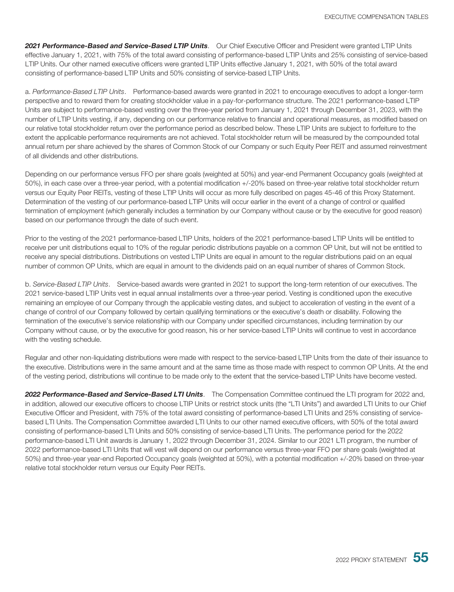*2021 Performance-Based and Service-Based LTIP Units*. Our Chief Executive Officer and President were granted LTIP Units effective January 1, 2021, with 75% of the total award consisting of performance-based LTIP Units and 25% consisting of service-based LTIP Units. Our other named executive officers were granted LTIP Units effective January 1, 2021, with 50% of the total award consisting of performance-based LTIP Units and 50% consisting of service-based LTIP Units.

a. *Performance-Based LTIP Units*. Performance-based awards were granted in 2021 to encourage executives to adopt a longer-term perspective and to reward them for creating stockholder value in a pay-for-performance structure. The 2021 performance-based LTIP Units are subject to performance-based vesting over the three-year period from January 1, 2021 through December 31, 2023, with the number of LTIP Units vesting, if any, depending on our performance relative to financial and operational measures, as modified based on our relative total stockholder return over the performance period as described below. These LTIP Units are subject to forfeiture to the extent the applicable performance requirements are not achieved. Total stockholder return will be measured by the compounded total annual return per share achieved by the shares of Common Stock of our Company or such Equity Peer REIT and assumed reinvestment of all dividends and other distributions.

Depending on our performance versus FFO per share goals (weighted at 50%) and year-end Permanent Occupancy goals (weighted at 50%), in each case over a three-year period, with a potential modification +/-20% based on three-year relative total stockholder return versus our Equity Peer REITs, vesting of these LTIP Units will occur as more fully described on pages 45-46 of this Proxy Statement. Determination of the vesting of our performance-based LTIP Units will occur earlier in the event of a change of control or qualified termination of employment (which generally includes a termination by our Company without cause or by the executive for good reason) based on our performance through the date of such event.

Prior to the vesting of the 2021 performance-based LTIP Units, holders of the 2021 performance-based LTIP Units will be entitled to receive per unit distributions equal to 10% of the regular periodic distributions payable on a common OP Unit, but will not be entitled to receive any special distributions. Distributions on vested LTIP Units are equal in amount to the regular distributions paid on an equal number of common OP Units, which are equal in amount to the dividends paid on an equal number of shares of Common Stock.

b. *Service-Based LTIP Units*. Service-based awards were granted in 2021 to support the long-term retention of our executives. The 2021 service-based LTIP Units vest in equal annual installments over a three-year period. Vesting is conditioned upon the executive remaining an employee of our Company through the applicable vesting dates, and subject to acceleration of vesting in the event of a change of control of our Company followed by certain qualifying terminations or the executive's death or disability. Following the termination of the executive's service relationship with our Company under specified circumstances, including termination by our Company without cause, or by the executive for good reason, his or her service-based LTIP Units will continue to vest in accordance with the vesting schedule.

Regular and other non-liquidating distributions were made with respect to the service-based LTIP Units from the date of their issuance to the executive. Distributions were in the same amount and at the same time as those made with respect to common OP Units. At the end of the vesting period, distributions will continue to be made only to the extent that the service-based LTIP Units have become vested.

*2022 Performance-Based and Service-Based LTI Units*. The Compensation Committee continued the LTI program for 2022 and, in addition, allowed our executive officers to choose LTIP Units or restrict stock units (the "LTI Units") and awarded LTI Units to our Chief Executive Officer and President, with 75% of the total award consisting of performance-based LTI Units and 25% consisting of servicebased LTI Units. The Compensation Committee awarded LTI Units to our other named executive officers, with 50% of the total award consisting of performance-based LTI Units and 50% consisting of service-based LTI Units. The performance period for the 2022 performance-based LTI Unit awards is January 1, 2022 through December 31, 2024. Similar to our 2021 LTI program, the number of 2022 performance-based LTI Units that will vest will depend on our performance versus three-year FFO per share goals (weighted at 50%) and three-year year-end Reported Occupancy goals (weighted at 50%), with a potential modification +/-20% based on three-year relative total stockholder return versus our Equity Peer REITs.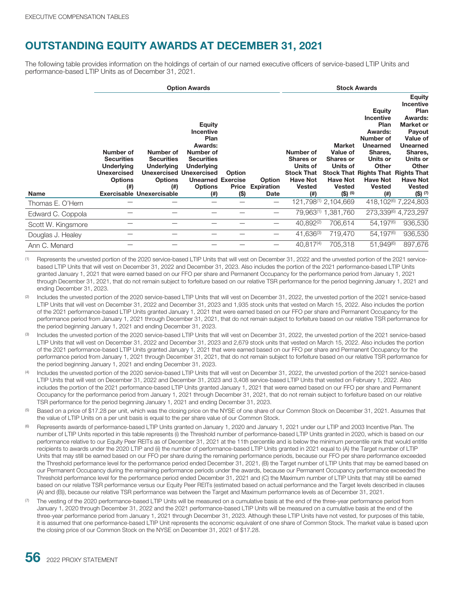## **OUTSTANDING EQUITY AWARDS AT DECEMBER 31, 2021**

The following table provides information on the holdings of certain of our named executive officers of service-based LTIP Units and performance-based LTIP Units as of December 31, 2021.

|                    | <b>Option Awards</b>                                                                                  |                                                                                                                        |                                                                                                                                                                                                    |                                   |                                            |                                                                                                              | <b>Stock Awards</b>                                                                                 |                                                                                                                                                                                                                    |                                                                                                                                                                                                    |
|--------------------|-------------------------------------------------------------------------------------------------------|------------------------------------------------------------------------------------------------------------------------|----------------------------------------------------------------------------------------------------------------------------------------------------------------------------------------------------|-----------------------------------|--------------------------------------------|--------------------------------------------------------------------------------------------------------------|-----------------------------------------------------------------------------------------------------|--------------------------------------------------------------------------------------------------------------------------------------------------------------------------------------------------------------------|----------------------------------------------------------------------------------------------------------------------------------------------------------------------------------------------------|
| <b>Name</b>        | Number of<br><b>Securities</b><br><b>Underlying</b><br><b>Unexercised</b><br><b>Options</b><br>$($ #) | Number of<br><b>Securities</b><br><b>Underlying</b><br><b>Options</b><br>$($ # $)$<br><b>Exercisable Unexercisable</b> | <b>Equity</b><br><b>Incentive</b><br>Plan<br>Awards:<br>Number of<br><b>Securities</b><br><b>Underlying</b><br><b>Unexercised Unexercised</b><br><b>Unearned Exercise</b><br><b>Options</b><br>(#) | Option<br><b>Price</b><br>$($ \$) | <b>Option</b><br><b>Expiration</b><br>Date | Number of<br><b>Shares or</b><br>Units of<br><b>Stock That</b><br><b>Have Not</b><br><b>Vested</b><br>$($ #) | Market<br>Value of<br><b>Shares or</b><br>Units of<br><b>Have Not</b><br><b>Vested</b><br>$(5)$ (5) | <b>Equity</b><br><b>Incentive</b><br>Plan<br>Awards:<br>Number of<br><b>Unearned</b><br>Shares,<br>Units or<br>Other<br><b>Stock That Rights That Rights That</b><br><b>Have Not</b><br><b>Vested</b><br>$($ # $)$ | <b>Equity</b><br><b>Incentive</b><br>Plan<br>Awards:<br><b>Market or</b><br>Payout<br>Value of<br><b>Unearned</b><br>Shares,<br>Units or<br>Other<br><b>Have Not</b><br><b>Vested</b><br>$(5)$ (7) |
| Thomas E. O'Hern   |                                                                                                       |                                                                                                                        |                                                                                                                                                                                                    |                                   | $\overline{\phantom{0}}$                   |                                                                                                              | 121,798(1) 2,104,669                                                                                |                                                                                                                                                                                                                    | 418,102 <sup>(6)</sup> 7,224,803                                                                                                                                                                   |
| Edward C. Coppola  |                                                                                                       |                                                                                                                        |                                                                                                                                                                                                    |                                   | $\overline{\phantom{0}}$                   |                                                                                                              | 79.963(1) 1.381.760                                                                                 |                                                                                                                                                                                                                    | 273,339(6) 4,723,297                                                                                                                                                                               |
| Scott W. Kingsmore |                                                                                                       |                                                                                                                        |                                                                                                                                                                                                    |                                   | —                                          | 40.892(2)                                                                                                    | 706.614                                                                                             | 54.197 <sup>(6)</sup>                                                                                                                                                                                              | 936,530                                                                                                                                                                                            |
| Douglas J. Healey  |                                                                                                       |                                                                                                                        |                                                                                                                                                                                                    |                                   |                                            | 41.636(3)                                                                                                    | 719,470                                                                                             | 54.197 <sup>(6)</sup>                                                                                                                                                                                              | 936,530                                                                                                                                                                                            |
| Ann C. Menard      |                                                                                                       |                                                                                                                        |                                                                                                                                                                                                    |                                   | $\overline{\phantom{0}}$                   | 40.817(4)                                                                                                    | 705.318                                                                                             | 51.949(6)                                                                                                                                                                                                          | 897.676                                                                                                                                                                                            |

(1) Represents the unvested portion of the 2020 service-based LTIP Units that will vest on December 31, 2022 and the unvested portion of the 2021 servicebased LTIP Units that will vest on December 31, 2022 and December 31, 2023. Also includes the portion of the 2021 performance-based LTIP Units granted January 1, 2021 that were earned based on our FFO per share and Permanent Occupancy for the performance period from January 1, 2021 through December 31, 2021, that do not remain subject to forfeiture based on our relative TSR performance for the period beginning January 1, 2021 and ending December 31, 2023.

- (2) Includes the unvested portion of the 2020 service-based LTIP Units that will vest on December 31, 2022, the unvested portion of the 2021 service-based LTIP Units that will vest on December 31, 2022 and December 31, 2023 and 1,935 stock units that vested on March 15, 2022. Also includes the portion of the 2021 performance-based LTIP Units granted January 1, 2021 that were earned based on our FFO per share and Permanent Occupancy for the performance period from January 1, 2021 through December 31, 2021, that do not remain subject to forfeiture based on our relative TSR performance for the period beginning January 1, 2021 and ending December 31, 2023.
- (3) Includes the unvested portion of the 2020 service-based LTIP Units that will vest on December 31, 2022, the unvested portion of the 2021 service-based LTIP Units that will vest on December 31, 2022 and December 31, 2023 and 2,679 stock units that vested on March 15, 2022. Also includes the portion of the 2021 performance-based LTIP Units granted January 1, 2021 that were earned based on our FFO per share and Permanent Occupancy for the performance period from January 1, 2021 through December 31, 2021, that do not remain subject to forfeiture based on our relative TSR performance for the period beginning January 1, 2021 and ending December 31, 2023.
- Includes the unvested portion of the 2020 service-based LTIP Units that will vest on December 31, 2022, the unvested portion of the 2021 service-based LTIP Units that will vest on December 31, 2022 and December 31, 2023 and 3,408 service-based LTIP Units that vested on February 1, 2022. Also includes the portion of the 2021 performance-based LTIP Units granted January 1, 2021 that were earned based on our FFO per share and Permanent Occupancy for the performance period from January 1, 2021 through December 31, 2021, that do not remain subject to forfeiture based on our relative TSR performance for the period beginning January 1, 2021 and ending December 31, 2023.
- Based on a price of \$17.28 per unit, which was the closing price on the NYSE of one share of our Common Stock on December 31, 2021. Assumes that the value of LTIP Units on a per unit basis is equal to the per share value of our Common Stock.
- (6) Represents awards of performance-based LTIP Units granted on January 1, 2020 and January 1, 2021 under our LTIP and 2003 Incentive Plan. The number of LTIP Units reported in this table represents (i) the Threshold number of performance-based LTIP Units granted in 2020, which is based on our performance relative to our Equity Peer REITs as of December 31, 2021 at the 11th percentile and is below the minimum percentile rank that would entitle recipients to awards under the 2020 LTIP and (ii) the number of performance-based LTIP Units granted in 2021 equal to (A) the Target number of LTIP Units that may still be earned based on our FFO per share during the remaining performance periods, because our FFO per share performance exceeded the Threshold performance level for the performance period ended December 31, 2021, (B) the Target number of LTIP Units that may be earned based on our Permanent Occupancy during the remaining performance periods under the awards, because our Permanent Occupancy performance exceeded the Threshold performance level for the performance period ended December 31, 2021 and (C) the Maximum number of LTIP Units that may still be earned based on our relative TSR performance versus our Equity Peer REITs (estimated based on actual performance and the Target levels described in clauses (A) and (B)), because our relative TSR performance was between the Target and Maximum performance levels as of December 31, 2021.
- (7) The vesting of the 2020 performance-based LTIP Units will be measured on a cumulative basis at the end of the three-year performance period from January 1, 2020 through December 31, 2022 and the 2021 performance-based LTIP Units will be measured on a cumulative basis at the end of the three-year performance period from January 1, 2021 through December 31, 2023. Although these LTIP Units have not vested, for purposes of this table, it is assumed that one performance-based LTIP Unit represents the economic equivalent of one share of Common Stock. The market value is based upon the closing price of our Common Stock on the NYSE on December 31, 2021 of \$17.28.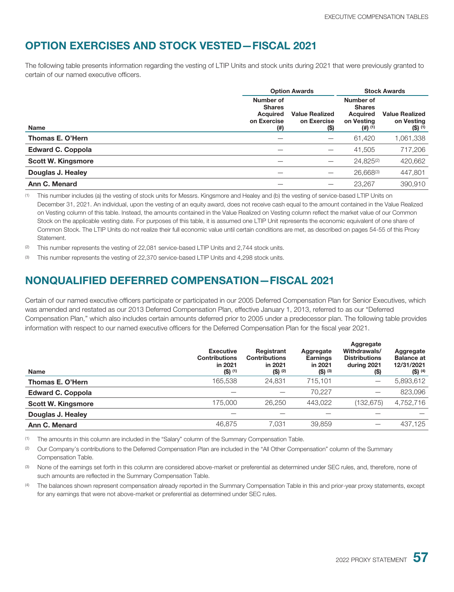## **OPTION EXERCISES AND STOCK VESTED—FISCAL 2021**

The following table presents information regarding the vesting of LTIP Units and stock units during 2021 that were previously granted to certain of our named executive officers.

|                           | <b>Option Awards</b>                                                      |                                              |                                                                   | <b>Stock Awards</b>                              |
|---------------------------|---------------------------------------------------------------------------|----------------------------------------------|-------------------------------------------------------------------|--------------------------------------------------|
| <b>Name</b>               | Number of<br><b>Shares</b><br><b>Acquired</b><br>on Exercise<br>$^{(ii)}$ | <b>Value Realized</b><br>on Exercise<br>(\$) | Number of<br><b>Shares</b><br>Acquired<br>on Vesting<br>$(4)$ (1) | <b>Value Realized</b><br>on Vesting<br>$(5)$ (1) |
| Thomas E. O'Hern          |                                                                           |                                              | 61,420                                                            | 1,061,338                                        |
| <b>Edward C. Coppola</b>  |                                                                           |                                              | 41,505                                                            | 717,206                                          |
| <b>Scott W. Kingsmore</b> |                                                                           |                                              | 24.825(2)                                                         | 420,662                                          |
| Douglas J. Healey         |                                                                           |                                              | $26,668^{(3)}$                                                    | 447,801                                          |
| Ann C. Menard             |                                                                           |                                              | 23,267                                                            | 390,910                                          |

(1) This number includes (a) the vesting of stock units for Messrs. Kingsmore and Healey and (b) the vesting of service-based LTIP Units on December 31, 2021. An individual, upon the vesting of an equity award, does not receive cash equal to the amount contained in the Value Realized on Vesting column of this table. Instead, the amounts contained in the Value Realized on Vesting column reflect the market value of our Common Stock on the applicable vesting date. For purposes of this table, it is assumed one LTIP Unit represents the economic equivalent of one share of Common Stock. The LTIP Units do not realize their full economic value until certain conditions are met, as described on pages 54-55 of this Proxy Statement.

- (2) This number represents the vesting of 22,081 service-based LTIP Units and 2,744 stock units.
- <sup>(3)</sup> This number represents the vesting of 22,370 service-based LTIP Units and 4,298 stock units.

### **NONQUALIFIED DEFERRED COMPENSATION—FISCAL 2021**

Certain of our named executive officers participate or participated in our 2005 Deferred Compensation Plan for Senior Executives, which was amended and restated as our 2013 Deferred Compensation Plan, effective January 1, 2013, referred to as our "Deferred Compensation Plan," which also includes certain amounts deferred prior to 2005 under a predecessor plan. The following table provides information with respect to our named executive officers for the Deferred Compensation Plan for the fiscal year 2021.

| Name                      | <b>Executive</b><br><b>Contributions</b><br>in 2021<br>$(S)$ (1) | Registrant<br><b>Contributions</b><br>in 2021<br>$(S)$ (2) | Aggregate<br><b>Earnings</b><br>in 2021<br>$(S)$ (3) | Aggregate<br>Withdrawals/<br><b>Distributions</b><br>during 2021<br>(S) | Aggregate<br><b>Balance at</b><br>12/31/2021<br>$($ \$) $(4)$ |
|---------------------------|------------------------------------------------------------------|------------------------------------------------------------|------------------------------------------------------|-------------------------------------------------------------------------|---------------------------------------------------------------|
| Thomas E. O'Hern          | 165.538                                                          | 24.831                                                     | 715.101                                              |                                                                         | 5,893,612                                                     |
| <b>Edward C. Coppola</b>  |                                                                  |                                                            | 70.227                                               |                                                                         | 823,096                                                       |
| <b>Scott W. Kingsmore</b> | 175,000                                                          | 26,250                                                     | 443.022                                              | (132, 675)                                                              | 4,752,716                                                     |
| Douglas J. Healey         |                                                                  |                                                            |                                                      |                                                                         |                                                               |
| Ann C. Menard             | 46,875                                                           | 7.031                                                      | 39,859                                               |                                                                         | 437.125                                                       |

(1) The amounts in this column are included in the "Salary" column of the Summary Compensation Table.

(2) Our Company's contributions to the Deferred Compensation Plan are included in the "All Other Compensation" column of the Summary Compensation Table.

(3) None of the earnings set forth in this column are considered above-market or preferential as determined under SEC rules, and, therefore, none of such amounts are reflected in the Summary Compensation Table.

The balances shown represent compensation already reported in the Summary Compensation Table in this and prior-year proxy statements, except for any earnings that were not above-market or preferential as determined under SEC rules.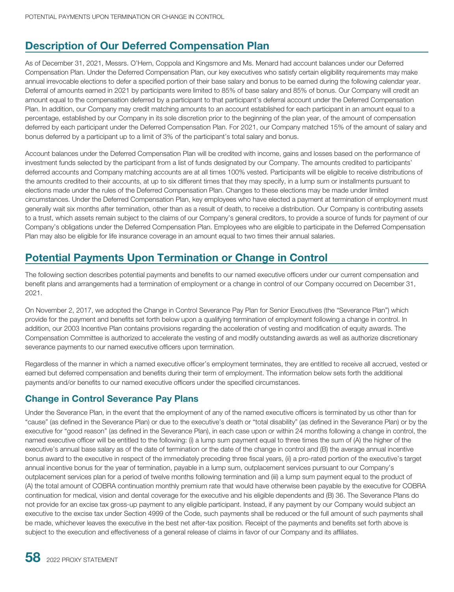### **Description of Our Deferred Compensation Plan**

As of December 31, 2021, Messrs. O'Hern, Coppola and Kingsmore and Ms. Menard had account balances under our Deferred Compensation Plan. Under the Deferred Compensation Plan, our key executives who satisfy certain eligibility requirements may make annual irrevocable elections to defer a specified portion of their base salary and bonus to be earned during the following calendar year. Deferral of amounts earned in 2021 by participants were limited to 85% of base salary and 85% of bonus. Our Company will credit an amount equal to the compensation deferred by a participant to that participant's deferral account under the Deferred Compensation Plan. In addition, our Company may credit matching amounts to an account established for each participant in an amount equal to a percentage, established by our Company in its sole discretion prior to the beginning of the plan year, of the amount of compensation deferred by each participant under the Deferred Compensation Plan. For 2021, our Company matched 15% of the amount of salary and bonus deferred by a participant up to a limit of 3% of the participant's total salary and bonus.

Account balances under the Deferred Compensation Plan will be credited with income, gains and losses based on the performance of investment funds selected by the participant from a list of funds designated by our Company. The amounts credited to participants' deferred accounts and Company matching accounts are at all times 100% vested. Participants will be eligible to receive distributions of the amounts credited to their accounts, at up to six different times that they may specify, in a lump sum or installments pursuant to elections made under the rules of the Deferred Compensation Plan. Changes to these elections may be made under limited circumstances. Under the Deferred Compensation Plan, key employees who have elected a payment at termination of employment must generally wait six months after termination, other than as a result of death, to receive a distribution. Our Company is contributing assets to a trust, which assets remain subject to the claims of our Company's general creditors, to provide a source of funds for payment of our Company's obligations under the Deferred Compensation Plan. Employees who are eligible to participate in the Deferred Compensation Plan may also be eligible for life insurance coverage in an amount equal to two times their annual salaries.

## **Potential Payments Upon Termination or Change in Control**

The following section describes potential payments and benefits to our named executive officers under our current compensation and benefit plans and arrangements had a termination of employment or a change in control of our Company occurred on December 31, 2021.

On November 2, 2017, we adopted the Change in Control Severance Pay Plan for Senior Executives (the "Severance Plan") which provide for the payment and benefits set forth below upon a qualifying termination of employment following a change in control. In addition, our 2003 Incentive Plan contains provisions regarding the acceleration of vesting and modification of equity awards. The Compensation Committee is authorized to accelerate the vesting of and modify outstanding awards as well as authorize discretionary severance payments to our named executive officers upon termination.

Regardless of the manner in which a named executive officer's employment terminates, they are entitled to receive all accrued, vested or earned but deferred compensation and benefits during their term of employment. The information below sets forth the additional payments and/or benefits to our named executive officers under the specified circumstances.

#### **Change in Control Severance Pay Plans**

Under the Severance Plan, in the event that the employment of any of the named executive officers is terminated by us other than for "cause" (as defined in the Severance Plan) or due to the executive's death or "total disability" (as defined in the Severance Plan) or by the executive for "good reason" (as defined in the Severance Plan), in each case upon or within 24 months following a change in control, the named executive officer will be entitled to the following: (i) a lump sum payment equal to three times the sum of (A) the higher of the executive's annual base salary as of the date of termination or the date of the change in control and (B) the average annual incentive bonus award to the executive in respect of the immediately preceding three fiscal years, (ii) a pro-rated portion of the executive's target annual incentive bonus for the year of termination, payable in a lump sum, outplacement services pursuant to our Company's outplacement services plan for a period of twelve months following termination and (iii) a lump sum payment equal to the product of (A) the total amount of COBRA continuation monthly premium rate that would have otherwise been payable by the executive for COBRA continuation for medical, vision and dental coverage for the executive and his eligible dependents and (B) 36. The Severance Plans do not provide for an excise tax gross-up payment to any eligible participant. Instead, if any payment by our Company would subject an executive to the excise tax under Section 4999 of the Code, such payments shall be reduced or the full amount of such payments shall be made, whichever leaves the executive in the best net after-tax position. Receipt of the payments and benefits set forth above is subject to the execution and effectiveness of a general release of claims in favor of our Company and its affiliates.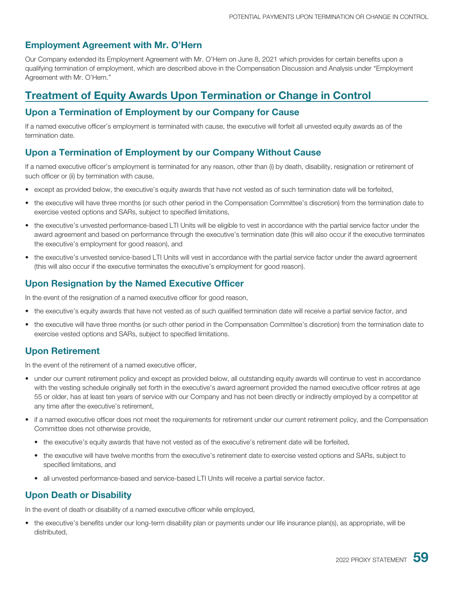#### **Employment Agreement with Mr. O'Hern**

Our Company extended its Employment Agreement with Mr. O'Hern on June 8, 2021 which provides for certain benefits upon a qualifying termination of employment, which are described above in the Compensation Discussion and Analysis under "Employment Agreement with Mr. O'Hern."

### **Treatment of Equity Awards Upon Termination or Change in Control**

#### **Upon a Termination of Employment by our Company for Cause**

If a named executive officer's employment is terminated with cause, the executive will forfeit all unvested equity awards as of the termination date.

#### **Upon a Termination of Employment by our Company Without Cause**

If a named executive officer's employment is terminated for any reason, other than (i) by death, disability, resignation or retirement of such officer or (ii) by termination with cause,

- except as provided below, the executive's equity awards that have not vested as of such termination date will be forfeited,
- the executive will have three months (or such other period in the Compensation Committee's discretion) from the termination date to exercise vested options and SARs, subject to specified limitations,
- the executive's unvested performance-based LTI Units will be eligible to vest in accordance with the partial service factor under the award agreement and based on performance through the executive's termination date (this will also occur if the executive terminates the executive's employment for good reason), and
- the executive's unvested service-based LTI Units will vest in accordance with the partial service factor under the award agreement (this will also occur if the executive terminates the executive's employment for good reason).

#### **Upon Resignation by the Named Executive Officer**

In the event of the resignation of a named executive officer for good reason,

- the executive's equity awards that have not vested as of such qualified termination date will receive a partial service factor, and
- the executive will have three months (or such other period in the Compensation Committee's discretion) from the termination date to exercise vested options and SARs, subject to specified limitations.

#### **Upon Retirement**

In the event of the retirement of a named executive officer,

- under our current retirement policy and except as provided below, all outstanding equity awards will continue to vest in accordance with the vesting schedule originally set forth in the executive's award agreement provided the named executive officer retires at age 55 or older, has at least ten years of service with our Company and has not been directly or indirectly employed by a competitor at any time after the executive's retirement,
- if a named executive officer does not meet the requirements for retirement under our current retirement policy, and the Compensation Committee does not otherwise provide,
	- the executive's equity awards that have not vested as of the executive's retirement date will be forfeited,
	- the executive will have twelve months from the executive's retirement date to exercise vested options and SARs, subject to specified limitations, and
	- all unvested performance-based and service-based LTI Units will receive a partial service factor.

#### **Upon Death or Disability**

In the event of death or disability of a named executive officer while employed,

• the executive's benefits under our long-term disability plan or payments under our life insurance plan(s), as appropriate, will be distributed,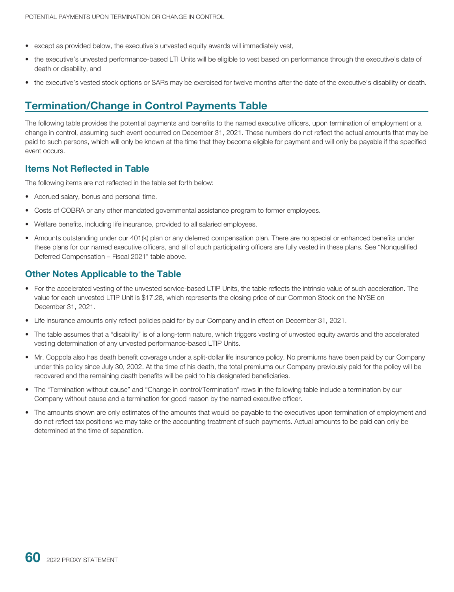- except as provided below, the executive's unvested equity awards will immediately vest,
- the executive's unvested performance-based LTI Units will be eligible to vest based on performance through the executive's date of death or disability, and
- the executive's vested stock options or SARs may be exercised for twelve months after the date of the executive's disability or death.

### **Termination/Change in Control Payments Table**

The following table provides the potential payments and benefits to the named executive officers, upon termination of employment or a change in control, assuming such event occurred on December 31, 2021. These numbers do not reflect the actual amounts that may be paid to such persons, which will only be known at the time that they become eligible for payment and will only be payable if the specified event occurs.

#### **Items Not Reflected in Table**

The following items are not reflected in the table set forth below:

- Accrued salary, bonus and personal time.
- Costs of COBRA or any other mandated governmental assistance program to former employees.
- Welfare benefits, including life insurance, provided to all salaried employees.
- Amounts outstanding under our 401(k) plan or any deferred compensation plan. There are no special or enhanced benefits under these plans for our named executive officers, and all of such participating officers are fully vested in these plans. See "Nonqualified Deferred Compensation – Fiscal 2021" table above.

#### **Other Notes Applicable to the Table**

- For the accelerated vesting of the unvested service-based LTIP Units, the table reflects the intrinsic value of such acceleration. The value for each unvested LTIP Unit is \$17.28, which represents the closing price of our Common Stock on the NYSE on December 31, 2021.
- Life insurance amounts only reflect policies paid for by our Company and in effect on December 31, 2021.
- The table assumes that a "disability" is of a long-term nature, which triggers vesting of unvested equity awards and the accelerated vesting determination of any unvested performance-based LTIP Units.
- Mr. Coppola also has death benefit coverage under a split-dollar life insurance policy. No premiums have been paid by our Company under this policy since July 30, 2002. At the time of his death, the total premiums our Company previously paid for the policy will be recovered and the remaining death benefits will be paid to his designated beneficiaries.
- The "Termination without cause" and "Change in control/Termination" rows in the following table include a termination by our Company without cause and a termination for good reason by the named executive officer.
- The amounts shown are only estimates of the amounts that would be payable to the executives upon termination of employment and do not reflect tax positions we may take or the accounting treatment of such payments. Actual amounts to be paid can only be determined at the time of separation.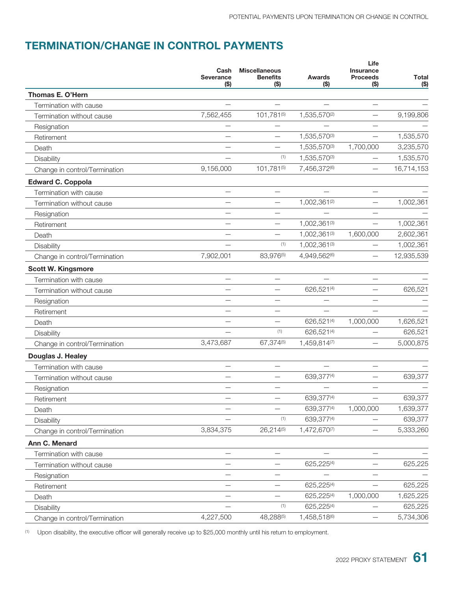## **TERMINATION/CHANGE IN CONTROL PAYMENTS**

| $($ \$)<br>( \$)<br>$($ \$)<br>(\$)<br>Thomas E. O'Hern<br>Termination with cause<br>1,535,570(2)<br>7,562,455<br>101,781(5)<br>9,199,806<br>Termination without cause<br>Resignation<br>1,535,570(3)<br>1,535,570<br>Retirement<br>3,235,570<br>1,535,570(3)<br>1,700,000<br>Death<br>(1)<br>1,535,570(3)<br>1,535,570<br>Disability<br>16,714,153<br>9,156,000<br>101,781(5)<br>7,456,372(6)<br>Change in control/Termination<br><b>Edward C. Coppola</b><br>Termination with cause<br>1,002,361(2)<br>Termination without cause<br>Resignation<br>1,002,361(3)<br>Retirement<br>1,002,361(3)<br>1,600,000<br>Death<br>(1)<br>1,002,361(3)<br>Disability<br>7,902,001<br>83,976(5)<br>4,949,562(6)<br>Change in control/Termination<br><b>Scott W. Kingsmore</b><br>Termination with cause<br>626,521(4)<br>Termination without cause<br>Resignation<br>Retirement<br>626,521(4)<br>1,000,000<br>Death<br>(1)<br>626,521(4)<br>Disability<br>3,473,687<br>67,374(5)<br>1,459,814(7)<br>Change in control/Termination<br>Douglas J. Healey<br>Termination with cause<br>639,377(4)<br>Termination without cause<br>Resignation<br>639,377(4)<br>Retirement<br>639,377(4)<br>1,000,000<br>1,639,377<br>Death<br>(1)<br>639,377(4)<br>639,377<br>Disability<br>26,214(5)<br>5,333,260<br>3,834,375<br>1,472,670(7)<br>Change in control/Termination<br>Ann C. Menard<br>Termination with cause<br>625,225(4)<br>625,225<br>Termination without cause<br>Resignation<br>625,225<br>625,225(4)<br>Retirement<br>625,225(4)<br>1,000,000<br>1,625,225<br>Death<br>(1)<br>625,225(4)<br>625,225<br>Disability<br>4,227,500<br>48,288(5)<br>1,458,518(6)<br>5,734,306<br>Change in control/Termination<br>$\qquad \qquad -$ | Cash<br><b>Severance</b> | <b>Miscellaneous</b><br><b>Benefits</b> | <b>Awards</b> | Life<br><b>Insurance</b><br><b>Proceeds</b> | <b>Total</b> |
|-----------------------------------------------------------------------------------------------------------------------------------------------------------------------------------------------------------------------------------------------------------------------------------------------------------------------------------------------------------------------------------------------------------------------------------------------------------------------------------------------------------------------------------------------------------------------------------------------------------------------------------------------------------------------------------------------------------------------------------------------------------------------------------------------------------------------------------------------------------------------------------------------------------------------------------------------------------------------------------------------------------------------------------------------------------------------------------------------------------------------------------------------------------------------------------------------------------------------------------------------------------------------------------------------------------------------------------------------------------------------------------------------------------------------------------------------------------------------------------------------------------------------------------------------------------------------------------------------------------------------------------------------------------------------------------------------------------------------|--------------------------|-----------------------------------------|---------------|---------------------------------------------|--------------|
|                                                                                                                                                                                                                                                                                                                                                                                                                                                                                                                                                                                                                                                                                                                                                                                                                                                                                                                                                                                                                                                                                                                                                                                                                                                                                                                                                                                                                                                                                                                                                                                                                                                                                                                       |                          |                                         |               |                                             | ( \$)        |
|                                                                                                                                                                                                                                                                                                                                                                                                                                                                                                                                                                                                                                                                                                                                                                                                                                                                                                                                                                                                                                                                                                                                                                                                                                                                                                                                                                                                                                                                                                                                                                                                                                                                                                                       |                          |                                         |               |                                             |              |
|                                                                                                                                                                                                                                                                                                                                                                                                                                                                                                                                                                                                                                                                                                                                                                                                                                                                                                                                                                                                                                                                                                                                                                                                                                                                                                                                                                                                                                                                                                                                                                                                                                                                                                                       |                          |                                         |               |                                             |              |
|                                                                                                                                                                                                                                                                                                                                                                                                                                                                                                                                                                                                                                                                                                                                                                                                                                                                                                                                                                                                                                                                                                                                                                                                                                                                                                                                                                                                                                                                                                                                                                                                                                                                                                                       |                          |                                         |               |                                             |              |
|                                                                                                                                                                                                                                                                                                                                                                                                                                                                                                                                                                                                                                                                                                                                                                                                                                                                                                                                                                                                                                                                                                                                                                                                                                                                                                                                                                                                                                                                                                                                                                                                                                                                                                                       |                          |                                         |               |                                             |              |
|                                                                                                                                                                                                                                                                                                                                                                                                                                                                                                                                                                                                                                                                                                                                                                                                                                                                                                                                                                                                                                                                                                                                                                                                                                                                                                                                                                                                                                                                                                                                                                                                                                                                                                                       |                          |                                         |               |                                             |              |
|                                                                                                                                                                                                                                                                                                                                                                                                                                                                                                                                                                                                                                                                                                                                                                                                                                                                                                                                                                                                                                                                                                                                                                                                                                                                                                                                                                                                                                                                                                                                                                                                                                                                                                                       |                          |                                         |               |                                             |              |
|                                                                                                                                                                                                                                                                                                                                                                                                                                                                                                                                                                                                                                                                                                                                                                                                                                                                                                                                                                                                                                                                                                                                                                                                                                                                                                                                                                                                                                                                                                                                                                                                                                                                                                                       |                          |                                         |               |                                             |              |
|                                                                                                                                                                                                                                                                                                                                                                                                                                                                                                                                                                                                                                                                                                                                                                                                                                                                                                                                                                                                                                                                                                                                                                                                                                                                                                                                                                                                                                                                                                                                                                                                                                                                                                                       |                          |                                         |               |                                             |              |
|                                                                                                                                                                                                                                                                                                                                                                                                                                                                                                                                                                                                                                                                                                                                                                                                                                                                                                                                                                                                                                                                                                                                                                                                                                                                                                                                                                                                                                                                                                                                                                                                                                                                                                                       |                          |                                         |               |                                             |              |
|                                                                                                                                                                                                                                                                                                                                                                                                                                                                                                                                                                                                                                                                                                                                                                                                                                                                                                                                                                                                                                                                                                                                                                                                                                                                                                                                                                                                                                                                                                                                                                                                                                                                                                                       |                          |                                         |               |                                             |              |
|                                                                                                                                                                                                                                                                                                                                                                                                                                                                                                                                                                                                                                                                                                                                                                                                                                                                                                                                                                                                                                                                                                                                                                                                                                                                                                                                                                                                                                                                                                                                                                                                                                                                                                                       |                          |                                         |               |                                             | 1,002,361    |
|                                                                                                                                                                                                                                                                                                                                                                                                                                                                                                                                                                                                                                                                                                                                                                                                                                                                                                                                                                                                                                                                                                                                                                                                                                                                                                                                                                                                                                                                                                                                                                                                                                                                                                                       |                          |                                         |               |                                             |              |
|                                                                                                                                                                                                                                                                                                                                                                                                                                                                                                                                                                                                                                                                                                                                                                                                                                                                                                                                                                                                                                                                                                                                                                                                                                                                                                                                                                                                                                                                                                                                                                                                                                                                                                                       |                          |                                         |               |                                             | 1,002,361    |
|                                                                                                                                                                                                                                                                                                                                                                                                                                                                                                                                                                                                                                                                                                                                                                                                                                                                                                                                                                                                                                                                                                                                                                                                                                                                                                                                                                                                                                                                                                                                                                                                                                                                                                                       |                          |                                         |               |                                             | 2,602,361    |
|                                                                                                                                                                                                                                                                                                                                                                                                                                                                                                                                                                                                                                                                                                                                                                                                                                                                                                                                                                                                                                                                                                                                                                                                                                                                                                                                                                                                                                                                                                                                                                                                                                                                                                                       |                          |                                         |               |                                             | 1,002,361    |
|                                                                                                                                                                                                                                                                                                                                                                                                                                                                                                                                                                                                                                                                                                                                                                                                                                                                                                                                                                                                                                                                                                                                                                                                                                                                                                                                                                                                                                                                                                                                                                                                                                                                                                                       |                          |                                         |               |                                             | 12,935,539   |
|                                                                                                                                                                                                                                                                                                                                                                                                                                                                                                                                                                                                                                                                                                                                                                                                                                                                                                                                                                                                                                                                                                                                                                                                                                                                                                                                                                                                                                                                                                                                                                                                                                                                                                                       |                          |                                         |               |                                             |              |
|                                                                                                                                                                                                                                                                                                                                                                                                                                                                                                                                                                                                                                                                                                                                                                                                                                                                                                                                                                                                                                                                                                                                                                                                                                                                                                                                                                                                                                                                                                                                                                                                                                                                                                                       |                          |                                         |               |                                             |              |
|                                                                                                                                                                                                                                                                                                                                                                                                                                                                                                                                                                                                                                                                                                                                                                                                                                                                                                                                                                                                                                                                                                                                                                                                                                                                                                                                                                                                                                                                                                                                                                                                                                                                                                                       |                          |                                         |               |                                             | 626,521      |
|                                                                                                                                                                                                                                                                                                                                                                                                                                                                                                                                                                                                                                                                                                                                                                                                                                                                                                                                                                                                                                                                                                                                                                                                                                                                                                                                                                                                                                                                                                                                                                                                                                                                                                                       |                          |                                         |               |                                             |              |
|                                                                                                                                                                                                                                                                                                                                                                                                                                                                                                                                                                                                                                                                                                                                                                                                                                                                                                                                                                                                                                                                                                                                                                                                                                                                                                                                                                                                                                                                                                                                                                                                                                                                                                                       |                          |                                         |               |                                             |              |
|                                                                                                                                                                                                                                                                                                                                                                                                                                                                                                                                                                                                                                                                                                                                                                                                                                                                                                                                                                                                                                                                                                                                                                                                                                                                                                                                                                                                                                                                                                                                                                                                                                                                                                                       |                          |                                         |               |                                             | 1,626,521    |
|                                                                                                                                                                                                                                                                                                                                                                                                                                                                                                                                                                                                                                                                                                                                                                                                                                                                                                                                                                                                                                                                                                                                                                                                                                                                                                                                                                                                                                                                                                                                                                                                                                                                                                                       |                          |                                         |               |                                             | 626,521      |
|                                                                                                                                                                                                                                                                                                                                                                                                                                                                                                                                                                                                                                                                                                                                                                                                                                                                                                                                                                                                                                                                                                                                                                                                                                                                                                                                                                                                                                                                                                                                                                                                                                                                                                                       |                          |                                         |               |                                             | 5,000,875    |
|                                                                                                                                                                                                                                                                                                                                                                                                                                                                                                                                                                                                                                                                                                                                                                                                                                                                                                                                                                                                                                                                                                                                                                                                                                                                                                                                                                                                                                                                                                                                                                                                                                                                                                                       |                          |                                         |               |                                             |              |
|                                                                                                                                                                                                                                                                                                                                                                                                                                                                                                                                                                                                                                                                                                                                                                                                                                                                                                                                                                                                                                                                                                                                                                                                                                                                                                                                                                                                                                                                                                                                                                                                                                                                                                                       |                          |                                         |               |                                             |              |
|                                                                                                                                                                                                                                                                                                                                                                                                                                                                                                                                                                                                                                                                                                                                                                                                                                                                                                                                                                                                                                                                                                                                                                                                                                                                                                                                                                                                                                                                                                                                                                                                                                                                                                                       |                          |                                         |               |                                             | 639,377      |
|                                                                                                                                                                                                                                                                                                                                                                                                                                                                                                                                                                                                                                                                                                                                                                                                                                                                                                                                                                                                                                                                                                                                                                                                                                                                                                                                                                                                                                                                                                                                                                                                                                                                                                                       |                          |                                         |               |                                             |              |
|                                                                                                                                                                                                                                                                                                                                                                                                                                                                                                                                                                                                                                                                                                                                                                                                                                                                                                                                                                                                                                                                                                                                                                                                                                                                                                                                                                                                                                                                                                                                                                                                                                                                                                                       |                          |                                         |               |                                             | 639,377      |
|                                                                                                                                                                                                                                                                                                                                                                                                                                                                                                                                                                                                                                                                                                                                                                                                                                                                                                                                                                                                                                                                                                                                                                                                                                                                                                                                                                                                                                                                                                                                                                                                                                                                                                                       |                          |                                         |               |                                             |              |
|                                                                                                                                                                                                                                                                                                                                                                                                                                                                                                                                                                                                                                                                                                                                                                                                                                                                                                                                                                                                                                                                                                                                                                                                                                                                                                                                                                                                                                                                                                                                                                                                                                                                                                                       |                          |                                         |               |                                             |              |
|                                                                                                                                                                                                                                                                                                                                                                                                                                                                                                                                                                                                                                                                                                                                                                                                                                                                                                                                                                                                                                                                                                                                                                                                                                                                                                                                                                                                                                                                                                                                                                                                                                                                                                                       |                          |                                         |               |                                             |              |
|                                                                                                                                                                                                                                                                                                                                                                                                                                                                                                                                                                                                                                                                                                                                                                                                                                                                                                                                                                                                                                                                                                                                                                                                                                                                                                                                                                                                                                                                                                                                                                                                                                                                                                                       |                          |                                         |               |                                             |              |
|                                                                                                                                                                                                                                                                                                                                                                                                                                                                                                                                                                                                                                                                                                                                                                                                                                                                                                                                                                                                                                                                                                                                                                                                                                                                                                                                                                                                                                                                                                                                                                                                                                                                                                                       |                          |                                         |               |                                             |              |
|                                                                                                                                                                                                                                                                                                                                                                                                                                                                                                                                                                                                                                                                                                                                                                                                                                                                                                                                                                                                                                                                                                                                                                                                                                                                                                                                                                                                                                                                                                                                                                                                                                                                                                                       |                          |                                         |               |                                             |              |
|                                                                                                                                                                                                                                                                                                                                                                                                                                                                                                                                                                                                                                                                                                                                                                                                                                                                                                                                                                                                                                                                                                                                                                                                                                                                                                                                                                                                                                                                                                                                                                                                                                                                                                                       |                          |                                         |               |                                             |              |
|                                                                                                                                                                                                                                                                                                                                                                                                                                                                                                                                                                                                                                                                                                                                                                                                                                                                                                                                                                                                                                                                                                                                                                                                                                                                                                                                                                                                                                                                                                                                                                                                                                                                                                                       |                          |                                         |               |                                             |              |
|                                                                                                                                                                                                                                                                                                                                                                                                                                                                                                                                                                                                                                                                                                                                                                                                                                                                                                                                                                                                                                                                                                                                                                                                                                                                                                                                                                                                                                                                                                                                                                                                                                                                                                                       |                          |                                         |               |                                             |              |
|                                                                                                                                                                                                                                                                                                                                                                                                                                                                                                                                                                                                                                                                                                                                                                                                                                                                                                                                                                                                                                                                                                                                                                                                                                                                                                                                                                                                                                                                                                                                                                                                                                                                                                                       |                          |                                         |               |                                             |              |
|                                                                                                                                                                                                                                                                                                                                                                                                                                                                                                                                                                                                                                                                                                                                                                                                                                                                                                                                                                                                                                                                                                                                                                                                                                                                                                                                                                                                                                                                                                                                                                                                                                                                                                                       |                          |                                         |               |                                             |              |

(1) Upon disability, the executive officer will generally receive up to \$25,000 monthly until his return to employment.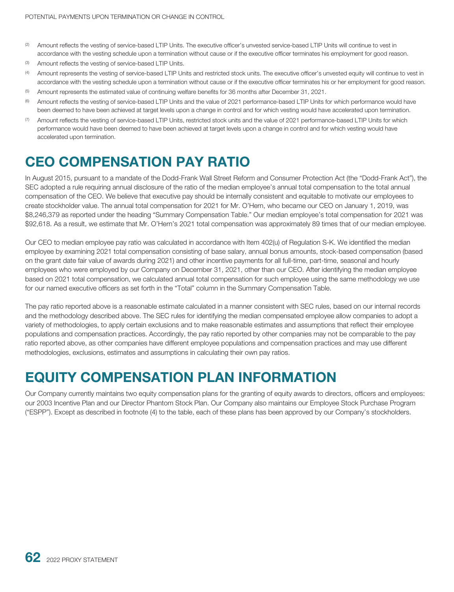- (2) Amount reflects the vesting of service-based LTIP Units. The executive officer's unvested service-based LTIP Units will continue to vest in accordance with the vesting schedule upon a termination without cause or if the executive officer terminates his employment for good reason.
- (3) Amount reflects the vesting of service-based LTIP Units.
- (4) Amount represents the vesting of service-based LTIP Units and restricted stock units. The executive officer's unvested equity will continue to vest in accordance with the vesting schedule upon a termination without cause or if the executive officer terminates his or her employment for good reason.
- (5) Amount represents the estimated value of continuing welfare benefits for 36 months after December 31, 2021.
- <sup>(6)</sup> Amount reflects the vesting of service-based LTIP Units and the value of 2021 performance-based LTIP Units for which performance would have been deemed to have been achieved at target levels upon a change in control and for which vesting would have accelerated upon termination.
- (7) Amount reflects the vesting of service-based LTIP Units, restricted stock units and the value of 2021 performance-based LTIP Units for which performance would have been deemed to have been achieved at target levels upon a change in control and for which vesting would have accelerated upon termination.

# **CEO COMPENSATION PAY RATIO**

In August 2015, pursuant to a mandate of the Dodd-Frank Wall Street Reform and Consumer Protection Act (the "Dodd-Frank Act"), the SEC adopted a rule requiring annual disclosure of the ratio of the median employee's annual total compensation to the total annual compensation of the CEO. We believe that executive pay should be internally consistent and equitable to motivate our employees to create stockholder value. The annual total compensation for 2021 for Mr. O'Hern, who became our CEO on January 1, 2019, was \$8,246,379 as reported under the heading "Summary Compensation Table." Our median employee's total compensation for 2021 was \$92,618. As a result, we estimate that Mr. O'Hern's 2021 total compensation was approximately 89 times that of our median employee.

Our CEO to median employee pay ratio was calculated in accordance with Item 402(u) of Regulation S-K. We identified the median employee by examining 2021 total compensation consisting of base salary, annual bonus amounts, stock-based compensation (based on the grant date fair value of awards during 2021) and other incentive payments for all full-time, part-time, seasonal and hourly employees who were employed by our Company on December 31, 2021, other than our CEO. After identifying the median employee based on 2021 total compensation, we calculated annual total compensation for such employee using the same methodology we use for our named executive officers as set forth in the "Total" column in the Summary Compensation Table.

The pay ratio reported above is a reasonable estimate calculated in a manner consistent with SEC rules, based on our internal records and the methodology described above. The SEC rules for identifying the median compensated employee allow companies to adopt a variety of methodologies, to apply certain exclusions and to make reasonable estimates and assumptions that reflect their employee populations and compensation practices. Accordingly, the pay ratio reported by other companies may not be comparable to the pay ratio reported above, as other companies have different employee populations and compensation practices and may use different methodologies, exclusions, estimates and assumptions in calculating their own pay ratios.

# **EQUITY COMPENSATION PLAN INFORMATION**

Our Company currently maintains two equity compensation plans for the granting of equity awards to directors, officers and employees: our 2003 Incentive Plan and our Director Phantom Stock Plan. Our Company also maintains our Employee Stock Purchase Program ("ESPP"). Except as described in footnote (4) to the table, each of these plans has been approved by our Company's stockholders.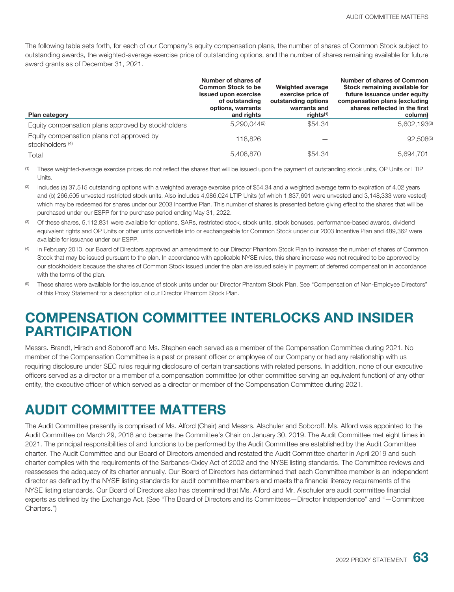The following table sets forth, for each of our Company's equity compensation plans, the number of shares of Common Stock subject to outstanding awards, the weighted-average exercise price of outstanding options, and the number of shares remaining available for future award grants as of December 31, 2021.

| Plan category                                                 | Number of shares of<br><b>Common Stock to be</b><br>issued upon exercise<br>of outstanding<br>options, warrants<br>and rights | Weighted average<br>exercise price of<br>outstanding options<br>warrants and<br>rights <sup>(1)</sup> | Number of shares of Common<br>Stock remaining available for<br>future issuance under equity<br>compensation plans (excluding<br>shares reflected in the first<br>column) |
|---------------------------------------------------------------|-------------------------------------------------------------------------------------------------------------------------------|-------------------------------------------------------------------------------------------------------|--------------------------------------------------------------------------------------------------------------------------------------------------------------------------|
| Equity compensation plans approved by stockholders            | $5.290.044^{(2)}$                                                                                                             | \$54.34                                                                                               | 5,602,193(3)                                                                                                                                                             |
| Equity compensation plans not approved by<br>stockholders (4) | 118,826                                                                                                                       |                                                                                                       | 92,508(5)                                                                                                                                                                |
| Total                                                         | 5,408,870                                                                                                                     | \$54.34                                                                                               | 5,694,701                                                                                                                                                                |

(1) These weighted-average exercise prices do not reflect the shares that will be issued upon the payment of outstanding stock units, OP Units or LTIP Units.

- (2) Includes (a) 37,515 outstanding options with a weighted average exercise price of \$54.34 and a weighted average term to expiration of 4.02 years and (b) 266,505 unvested restricted stock units. Also includes 4,986,024 LTIP Units (of which 1,837,691 were unvested and 3,148,333 were vested) which may be redeemed for shares under our 2003 Incentive Plan. This number of shares is presented before giving effect to the shares that will be purchased under our ESPP for the purchase period ending May 31, 2022.
- <sup>(3)</sup> Of these shares, 5,112,831 were available for options, SARs, restricted stock, stock units, stock bonuses, performance-based awards, dividend equivalent rights and OP Units or other units convertible into or exchangeable for Common Stock under our 2003 Incentive Plan and 489,362 were available for issuance under our ESPP.
- (4) In February 2010, our Board of Directors approved an amendment to our Director Phantom Stock Plan to increase the number of shares of Common Stock that may be issued pursuant to the plan. In accordance with applicable NYSE rules, this share increase was not required to be approved by our stockholders because the shares of Common Stock issued under the plan are issued solely in payment of deferred compensation in accordance with the terms of the plan.
- (5) These shares were available for the issuance of stock units under our Director Phantom Stock Plan. See "Compensation of Non-Employee Directors" of this Proxy Statement for a description of our Director Phantom Stock Plan.

# **COMPENSATION COMMITTEE INTERLOCKS AND INSIDER PARTICIPATION**

Messrs. Brandt, Hirsch and Soboroff and Ms. Stephen each served as a member of the Compensation Committee during 2021. No member of the Compensation Committee is a past or present officer or employee of our Company or had any relationship with us requiring disclosure under SEC rules requiring disclosure of certain transactions with related persons. In addition, none of our executive officers served as a director or a member of a compensation committee (or other committee serving an equivalent function) of any other entity, the executive officer of which served as a director or member of the Compensation Committee during 2021.

# **AUDIT COMMITTEE MATTERS**

The Audit Committee presently is comprised of Ms. Alford (Chair) and Messrs. Alschuler and Soboroff. Ms. Alford was appointed to the Audit Committee on March 29, 2018 and became the Committee's Chair on January 30, 2019. The Audit Committee met eight times in 2021. The principal responsibilities of and functions to be performed by the Audit Committee are established by the Audit Committee charter. The Audit Committee and our Board of Directors amended and restated the Audit Committee charter in April 2019 and such charter complies with the requirements of the Sarbanes-Oxley Act of 2002 and the NYSE listing standards. The Committee reviews and reassesses the adequacy of its charter annually. Our Board of Directors has determined that each Committee member is an independent director as defined by the NYSE listing standards for audit committee members and meets the financial literacy requirements of the NYSE listing standards. Our Board of Directors also has determined that Ms. Alford and Mr. Alschuler are audit committee financial experts as defined by the Exchange Act. (See "The Board of Directors and its Committees—Director Independence" and "—Committee Charters.")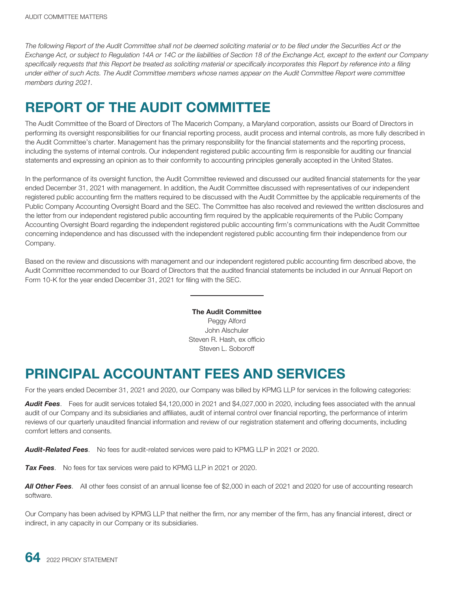*The following Report of the Audit Committee shall not be deemed soliciting material or to be filed under the Securities Act or the Exchange Act, or subject to Regulation 14A or 14C or the liabilities of Section 18 of the Exchange Act, except to the extent our Company specifically requests that this Report be treated as soliciting material or specifically incorporates this Report by reference into a filing under either of such Acts. The Audit Committee members whose names appear on the Audit Committee Report were committee members during 2021.*

### **REPORT OF THE AUDIT COMMITTEE**

The Audit Committee of the Board of Directors of The Macerich Company, a Maryland corporation, assists our Board of Directors in performing its oversight responsibilities for our financial reporting process, audit process and internal controls, as more fully described in the Audit Committee's charter. Management has the primary responsibility for the financial statements and the reporting process, including the systems of internal controls. Our independent registered public accounting firm is responsible for auditing our financial statements and expressing an opinion as to their conformity to accounting principles generally accepted in the United States.

In the performance of its oversight function, the Audit Committee reviewed and discussed our audited financial statements for the year ended December 31, 2021 with management. In addition, the Audit Committee discussed with representatives of our independent registered public accounting firm the matters required to be discussed with the Audit Committee by the applicable requirements of the Public Company Accounting Oversight Board and the SEC. The Committee has also received and reviewed the written disclosures and the letter from our independent registered public accounting firm required by the applicable requirements of the Public Company Accounting Oversight Board regarding the independent registered public accounting firm's communications with the Audit Committee concerning independence and has discussed with the independent registered public accounting firm their independence from our Company.

Based on the review and discussions with management and our independent registered public accounting firm described above, the Audit Committee recommended to our Board of Directors that the audited financial statements be included in our Annual Report on Form 10-K for the year ended December 31, 2021 for filing with the SEC.

> **The Audit Committee** Peggy Alford John Alschuler Steven R. Hash, ex officio Steven L. Soboroff

#### **PRINCIPAL ACCOUNTANT FEES AND SERVICES**

For the years ended December 31, 2021 and 2020, our Company was billed by KPMG LLP for services in the following categories:

*Audit Fees*. Fees for audit services totaled \$4,120,000 in 2021 and \$4,027,000 in 2020, including fees associated with the annual audit of our Company and its subsidiaries and affiliates, audit of internal control over financial reporting, the performance of interim reviews of our quarterly unaudited financial information and review of our registration statement and offering documents, including comfort letters and consents.

*Audit-Related Fees*. No fees for audit-related services were paid to KPMG LLP in 2021 or 2020.

**Tax Fees**. No fees for tax services were paid to KPMG LLP in 2021 or 2020.

*All Other Fees*. All other fees consist of an annual license fee of \$2,000 in each of 2021 and 2020 for use of accounting research software.

Our Company has been advised by KPMG LLP that neither the firm, nor any member of the firm, has any financial interest, direct or indirect, in any capacity in our Company or its subsidiaries.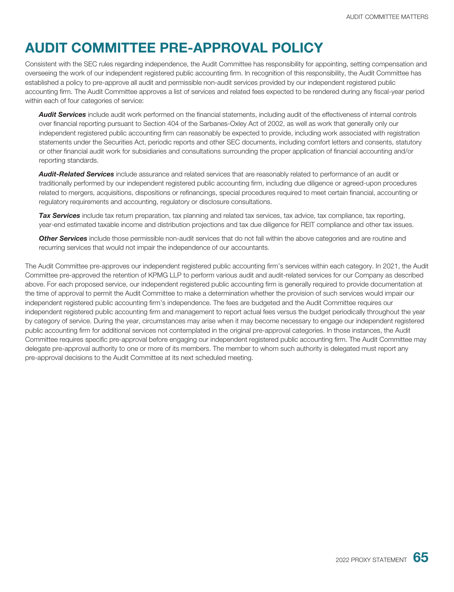#### **AUDIT COMMITTEE PRE-APPROVAL POLICY**

Consistent with the SEC rules regarding independence, the Audit Committee has responsibility for appointing, setting compensation and overseeing the work of our independent registered public accounting firm. In recognition of this responsibility, the Audit Committee has established a policy to pre-approve all audit and permissible non-audit services provided by our independent registered public accounting firm. The Audit Committee approves a list of services and related fees expected to be rendered during any fiscal-year period within each of four categories of service:

*Audit Services* include audit work performed on the financial statements, including audit of the effectiveness of internal controls over financial reporting pursuant to Section 404 of the Sarbanes-Oxley Act of 2002, as well as work that generally only our independent registered public accounting firm can reasonably be expected to provide, including work associated with registration statements under the Securities Act, periodic reports and other SEC documents, including comfort letters and consents, statutory or other financial audit work for subsidiaries and consultations surrounding the proper application of financial accounting and/or reporting standards.

*Audit-Related Services* include assurance and related services that are reasonably related to performance of an audit or traditionally performed by our independent registered public accounting firm, including due diligence or agreed-upon procedures related to mergers, acquisitions, dispositions or refinancings, special procedures required to meet certain financial, accounting or regulatory requirements and accounting, regulatory or disclosure consultations.

*Tax Services* include tax return preparation, tax planning and related tax services, tax advice, tax compliance, tax reporting, year-end estimated taxable income and distribution projections and tax due diligence for REIT compliance and other tax issues.

*Other Services* include those permissible non-audit services that do not fall within the above categories and are routine and recurring services that would not impair the independence of our accountants.

The Audit Committee pre-approves our independent registered public accounting firm's services within each category. In 2021, the Audit Committee pre-approved the retention of KPMG LLP to perform various audit and audit-related services for our Company as described above. For each proposed service, our independent registered public accounting firm is generally required to provide documentation at the time of approval to permit the Audit Committee to make a determination whether the provision of such services would impair our independent registered public accounting firm's independence. The fees are budgeted and the Audit Committee requires our independent registered public accounting firm and management to report actual fees versus the budget periodically throughout the year by category of service. During the year, circumstances may arise when it may become necessary to engage our independent registered public accounting firm for additional services not contemplated in the original pre-approval categories. In those instances, the Audit Committee requires specific pre-approval before engaging our independent registered public accounting firm. The Audit Committee may delegate pre-approval authority to one or more of its members. The member to whom such authority is delegated must report any pre-approval decisions to the Audit Committee at its next scheduled meeting.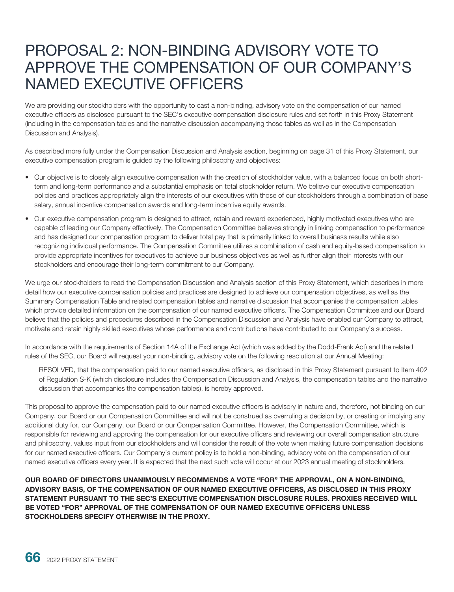## PROPOSAL 2: NON-BINDING ADVISORY VOTE TO APPROVE THE COMPENSATION OF OUR COMPANY'S NAMED EXECUTIVE OFFICERS

We are providing our stockholders with the opportunity to cast a non-binding, advisory vote on the compensation of our named executive officers as disclosed pursuant to the SEC's executive compensation disclosure rules and set forth in this Proxy Statement (including in the compensation tables and the narrative discussion accompanying those tables as well as in the Compensation Discussion and Analysis).

As described more fully under the Compensation Discussion and Analysis section, beginning on page 31 of this Proxy Statement, our executive compensation program is guided by the following philosophy and objectives:

- Our objective is to closely align executive compensation with the creation of stockholder value, with a balanced focus on both shortterm and long-term performance and a substantial emphasis on total stockholder return. We believe our executive compensation policies and practices appropriately align the interests of our executives with those of our stockholders through a combination of base salary, annual incentive compensation awards and long-term incentive equity awards.
- Our executive compensation program is designed to attract, retain and reward experienced, highly motivated executives who are capable of leading our Company effectively. The Compensation Committee believes strongly in linking compensation to performance and has designed our compensation program to deliver total pay that is primarily linked to overall business results while also recognizing individual performance. The Compensation Committee utilizes a combination of cash and equity-based compensation to provide appropriate incentives for executives to achieve our business objectives as well as further align their interests with our stockholders and encourage their long-term commitment to our Company.

We urge our stockholders to read the Compensation Discussion and Analysis section of this Proxy Statement, which describes in more detail how our executive compensation policies and practices are designed to achieve our compensation objectives, as well as the Summary Compensation Table and related compensation tables and narrative discussion that accompanies the compensation tables which provide detailed information on the compensation of our named executive officers. The Compensation Committee and our Board believe that the policies and procedures described in the Compensation Discussion and Analysis have enabled our Company to attract, motivate and retain highly skilled executives whose performance and contributions have contributed to our Company's success.

In accordance with the requirements of Section 14A of the Exchange Act (which was added by the Dodd-Frank Act) and the related rules of the SEC, our Board will request your non-binding, advisory vote on the following resolution at our Annual Meeting:

RESOLVED, that the compensation paid to our named executive officers, as disclosed in this Proxy Statement pursuant to Item 402 of Regulation S-K (which disclosure includes the Compensation Discussion and Analysis, the compensation tables and the narrative discussion that accompanies the compensation tables), is hereby approved.

This proposal to approve the compensation paid to our named executive officers is advisory in nature and, therefore, not binding on our Company, our Board or our Compensation Committee and will not be construed as overruling a decision by, or creating or implying any additional duty for, our Company, our Board or our Compensation Committee. However, the Compensation Committee, which is responsible for reviewing and approving the compensation for our executive officers and reviewing our overall compensation structure and philosophy, values input from our stockholders and will consider the result of the vote when making future compensation decisions for our named executive officers. Our Company's current policy is to hold a non-binding, advisory vote on the compensation of our named executive officers every year. It is expected that the next such vote will occur at our 2023 annual meeting of stockholders.

**OUR BOARD OF DIRECTORS UNANIMOUSLY RECOMMENDS A VOTE "FOR" THE APPROVAL, ON A NON-BINDING, ADVISORY BASIS, OF THE COMPENSATION OF OUR NAMED EXECUTIVE OFFICERS, AS DISCLOSED IN THIS PROXY STATEMENT PURSUANT TO THE SEC'S EXECUTIVE COMPENSATION DISCLOSURE RULES. PROXIES RECEIVED WILL BE VOTED "FOR" APPROVAL OF THE COMPENSATION OF OUR NAMED EXECUTIVE OFFICERS UNLESS STOCKHOLDERS SPECIFY OTHERWISE IN THE PROXY.**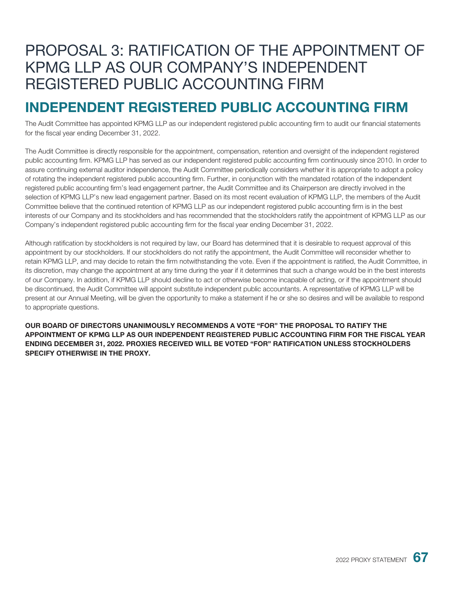## PROPOSAL 3: RATIFICATION OF THE APPOINTMENT OF KPMG LLP AS OUR COMPANY'S INDEPENDENT REGISTERED PUBLIC ACCOUNTING FIRM

#### **INDEPENDENT REGISTERED PUBLIC ACCOUNTING FIRM**

The Audit Committee has appointed KPMG LLP as our independent registered public accounting firm to audit our financial statements for the fiscal year ending December 31, 2022.

The Audit Committee is directly responsible for the appointment, compensation, retention and oversight of the independent registered public accounting firm. KPMG LLP has served as our independent registered public accounting firm continuously since 2010. In order to assure continuing external auditor independence, the Audit Committee periodically considers whether it is appropriate to adopt a policy of rotating the independent registered public accounting firm. Further, in conjunction with the mandated rotation of the independent registered public accounting firm's lead engagement partner, the Audit Committee and its Chairperson are directly involved in the selection of KPMG LLP's new lead engagement partner. Based on its most recent evaluation of KPMG LLP, the members of the Audit Committee believe that the continued retention of KPMG LLP as our independent registered public accounting firm is in the best interests of our Company and its stockholders and has recommended that the stockholders ratify the appointment of KPMG LLP as our Company's independent registered public accounting firm for the fiscal year ending December 31, 2022.

Although ratification by stockholders is not required by law, our Board has determined that it is desirable to request approval of this appointment by our stockholders. If our stockholders do not ratify the appointment, the Audit Committee will reconsider whether to retain KPMG LLP, and may decide to retain the firm notwithstanding the vote. Even if the appointment is ratified, the Audit Committee, in its discretion, may change the appointment at any time during the year if it determines that such a change would be in the best interests of our Company. In addition, if KPMG LLP should decline to act or otherwise become incapable of acting, or if the appointment should be discontinued, the Audit Committee will appoint substitute independent public accountants. A representative of KPMG LLP will be present at our Annual Meeting, will be given the opportunity to make a statement if he or she so desires and will be available to respond to appropriate questions.

**OUR BOARD OF DIRECTORS UNANIMOUSLY RECOMMENDS A VOTE "FOR" THE PROPOSAL TO RATIFY THE APPOINTMENT OF KPMG LLP AS OUR INDEPENDENT REGISTERED PUBLIC ACCOUNTING FIRM FOR THE FISCAL YEAR ENDING DECEMBER 31, 2022. PROXIES RECEIVED WILL BE VOTED "FOR" RATIFICATION UNLESS STOCKHOLDERS SPECIFY OTHERWISE IN THE PROXY.**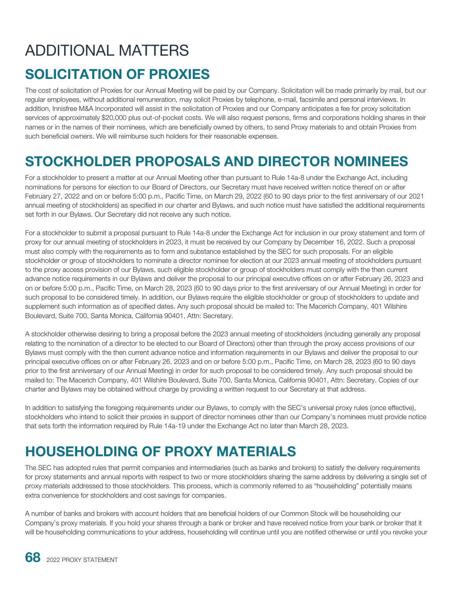# ADDITIONAL MATTERS

### **SOLICITATION OF PROXIES**

The cost of solicitation of Proxies for our Annual Meeting will be paid by our Company. Solicitation will be made primarily by mail, but our regular employees, without additional remuneration, may solicit Proxies by telephone, e-mail, facsimile and personal interviews. In addition, Innisfree M&A Incorporated will assist in the solicitation of Proxies and our Company anticipates a fee for proxy solicitation services of approximately \$20,000 plus out-of-pocket costs. We will also request persons, firms and corporations holding shares in their names or in the names of their nominees, which are beneficially owned by others, to send Proxy materials to and obtain Proxies from such beneficial owners. We will reimburse such holders for their reasonable expenses.

#### **STOCKHOLDER PROPOSALS AND DIRECTOR NOMINEES**

For a stockholder to present a matter at our Annual Meeting other than pursuant to Rule 14a-8 under the Exchange Act, including nominations for persons for election to our Board of Directors, our Secretary must have received written notice thereof on or after February 27, 2022 and on or before 5:00 p.m., Pacific Time, on March 29, 2022 (60 to 90 days prior to the first anniversary of our 2021 annual meeting of stockholders) as specified in our charter and Bylaws, and such notice must have satisfied the additional requirements set forth in our Bylaws. Our Secretary did not receive any such notice.

For a stockholder to submit a proposal pursuant to Rule 14a-8 under the Exchange Act for inclusion in our proxy statement and form of proxy for our annual meeting of stockholders in 2023, it must be received by our Company by December 16, 2022. Such a proposal must also comply with the requirements as to form and substance established by the SEC for such proposals. For an eligible stockholder or group of stockholders to nominate a director nominee for election at our 2023 annual meeting of stockholders pursuant to the proxy access provision of our Bylaws, such eligible stockholder or group of stockholders must comply with the then current advance notice requirements in our Bylaws and deliver the proposal to our principal executive offices on or after February 26, 2023 and on or before 5:00 p.m., Pacific Time, on March 28, 2023 (60 to 90 days prior to the first anniversary of our Annual Meeting) in order for such proposal to be considered timely. In addition, our Bylaws require the eligible stockholder or group of stockholders to update and supplement such information as of specified dates. Any such proposal should be mailed to: The Macerich Company, 401 Wilshire Boulevard, Suite 700, Santa Monica, California 90401, Attn: Secretary.

A stockholder otherwise desiring to bring a proposal before the 2023 annual meeting of stockholders (including generally any proposal relating to the nomination of a director to be elected to our Board of Directors) other than through the proxy access provisions of our Bylaws must comply with the then current advance notice and information requirements in our Bylaws and deliver the proposal to our principal executive offices on or after February 26, 2023 and on or before 5:00 p.m., Pacific Time, on March 28, 2023 (60 to 90 days prior to the first anniversary of our Annual Meeting) in order for such proposal to be considered timely. Any such proposal should be mailed to: The Macerich Company, 401 Wilshire Boulevard, Suite 700, Santa Monica, California 90401, Attn: Secretary. Copies of our charter and Bylaws may be obtained without charge by providing a written request to our Secretary at that address.

In addition to satisfying the foregoing requirements under our Bylaws, to comply with the SEC's universal proxy rules (once effective), stockholders who intend to solicit their proxies in support of director nominees other than our Company's nominees must provide notice that sets forth the information required by Rule 14a-19 under the Exchange Act no later than March 28, 2023.

### **HOUSEHOLDING OF PROXY MATERIALS**

The SEC has adopted rules that permit companies and intermediaries (such as banks and brokers) to satisfy the delivery requirements for proxy statements and annual reports with respect to two or more stockholders sharing the same address by delivering a single set of proxy materials addressed to those stockholders. This process, which is commonly referred to as "householding" potentially means extra convenience for stockholders and cost savings for companies.

A number of banks and brokers with account holders that are beneficial holders of our Common Stock will be householding our Company's proxy materials. If you hold your shares through a bank or broker and have received notice from your bank or broker that it will be householding communications to your address, householding will continue until you are notified otherwise or until you revoke your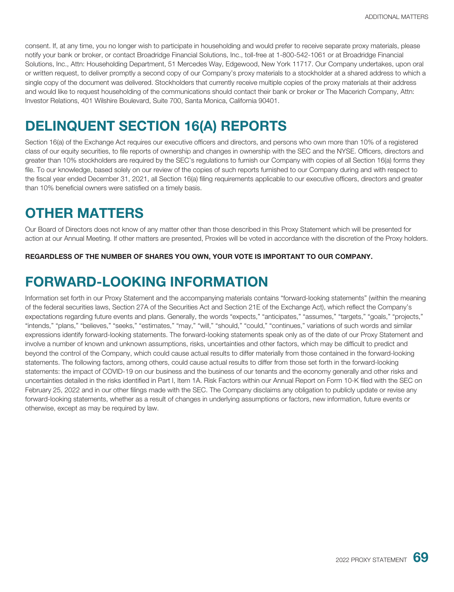consent. If, at any time, you no longer wish to participate in householding and would prefer to receive separate proxy materials, please notify your bank or broker, or contact Broadridge Financial Solutions, Inc., toll-free at 1-800-542-1061 or at Broadridge Financial Solutions, Inc., Attn: Householding Department, 51 Mercedes Way, Edgewood, New York 11717. Our Company undertakes, upon oral or written request, to deliver promptly a second copy of our Company's proxy materials to a stockholder at a shared address to which a single copy of the document was delivered. Stockholders that currently receive multiple copies of the proxy materials at their address and would like to request householding of the communications should contact their bank or broker or The Macerich Company, Attn: Investor Relations, 401 Wilshire Boulevard, Suite 700, Santa Monica, California 90401.

### **DELINQUENT SECTION 16(A) REPORTS**

Section 16(a) of the Exchange Act requires our executive officers and directors, and persons who own more than 10% of a registered class of our equity securities, to file reports of ownership and changes in ownership with the SEC and the NYSE. Officers, directors and greater than 10% stockholders are required by the SEC's regulations to furnish our Company with copies of all Section 16(a) forms they file. To our knowledge, based solely on our review of the copies of such reports furnished to our Company during and with respect to the fiscal year ended December 31, 2021, all Section 16(a) filing requirements applicable to our executive officers, directors and greater than 10% beneficial owners were satisfied on a timely basis.

#### **OTHER MATTERS**

Our Board of Directors does not know of any matter other than those described in this Proxy Statement which will be presented for action at our Annual Meeting. If other matters are presented, Proxies will be voted in accordance with the discretion of the Proxy holders.

**REGARDLESS OF THE NUMBER OF SHARES YOU OWN, YOUR VOTE IS IMPORTANT TO OUR COMPANY.**

#### **FORWARD-LOOKING INFORMATION**

Information set forth in our Proxy Statement and the accompanying materials contains "forward-looking statements" (within the meaning of the federal securities laws, Section 27A of the Securities Act and Section 21E of the Exchange Act), which reflect the Company's expectations regarding future events and plans. Generally, the words "expects," "anticipates," "assumes," "targets," "goals," "projects," "intends," "plans," "believes," "seeks," "estimates," "may," "will," "should," "could," "continues," variations of such words and similar expressions identify forward-looking statements. The forward-looking statements speak only as of the date of our Proxy Statement and involve a number of known and unknown assumptions, risks, uncertainties and other factors, which may be difficult to predict and beyond the control of the Company, which could cause actual results to differ materially from those contained in the forward-looking statements. The following factors, among others, could cause actual results to differ from those set forth in the forward-looking statements: the impact of COVID-19 on our business and the business of our tenants and the economy generally and other risks and uncertainties detailed in the risks identified in Part I, Item 1A. Risk Factors within our Annual Report on Form 10-K filed with the SEC on February 25, 2022 and in our other filings made with the SEC. The Company disclaims any obligation to publicly update or revise any forward-looking statements, whether as a result of changes in underlying assumptions or factors, new information, future events or otherwise, except as may be required by law.